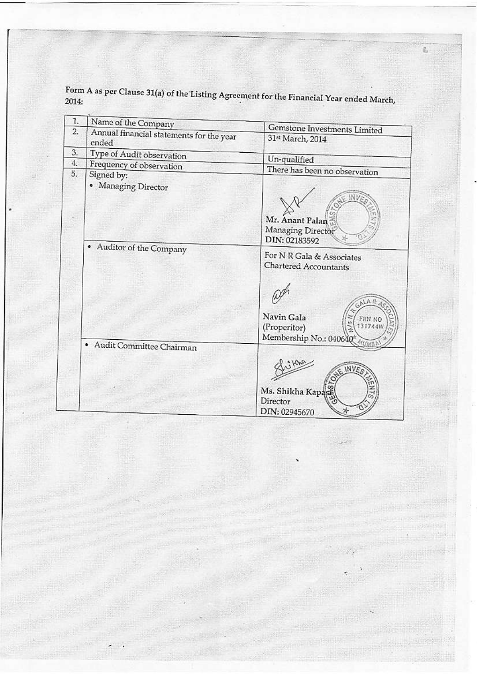Form A as per Clause 31(a) of the Listing Agreement for the Financial Year ended March,<br>2014:

ë,

| 1.               | Name of the Company                      |                                                                  |
|------------------|------------------------------------------|------------------------------------------------------------------|
| $\overline{2}$ . | Annual financial statements for the year | Gemstone Investments Limited                                     |
|                  | ended                                    | 31st March, 2014                                                 |
| 3.               | Type of Audit observation                | Un-qualified                                                     |
| 4.               | Frequency of observation                 |                                                                  |
| 5.               | Signed by:                               | There has been no observation                                    |
|                  | • Managing Director                      | Mr. Anant Palan<br>Managing Director<br>DIN: 02183592            |
|                  | • Auditor of the Company                 | For N R Gala & Associates<br>Chartered Accountants<br>Navin Gala |
|                  |                                          | 1317441<br>(Properitor)<br>Membership No.: 040640                |
|                  | Audit Committee Chairman                 |                                                                  |
|                  |                                          | Ms. Shikha Kapasi<br>Director<br>DIN: 02945670                   |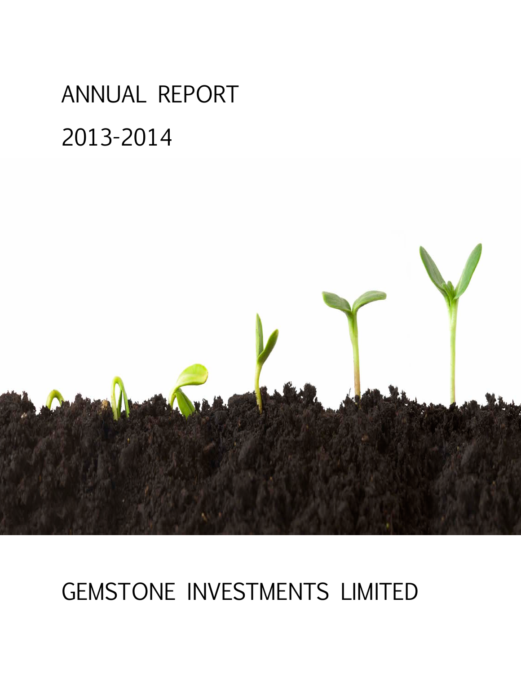# ANNUAL REPORT 2013-2014



# GEMSTONE INVESTMENTS LIMITED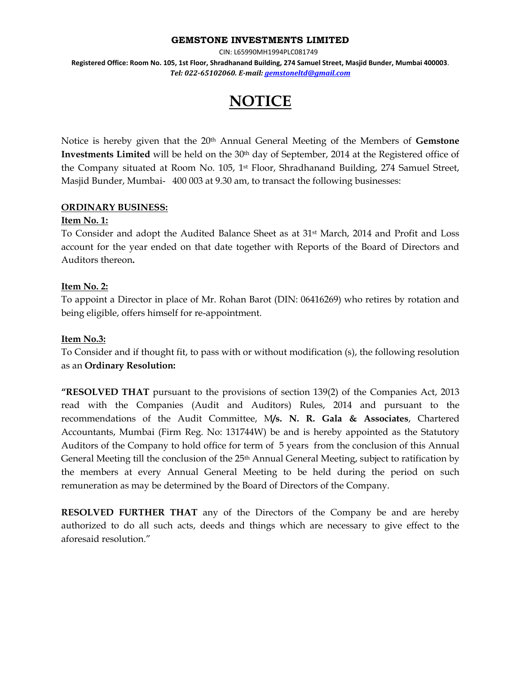#### **GEMSTONE INVESTMENTS LIMITED**

CIN: L65990MH1994PLC081749

**Registered Office: Room No. 105, 1st Floor, Shradhanand Building, 274 Samuel Street, Masjid Bunder, Mumbai 400003**. *Tel: 022-65102060. E-mail[: gemstoneltd@gmail.com](mailto:gemstoneltd@gmail.com)*

# **NOTICE**

Notice is hereby given that the 20<sup>th</sup> Annual General Meeting of the Members of Gemstone **Investments Limited** will be held on the 30<sup>th</sup> day of September, 2014 at the Registered office of the Company situated at Room No. 105, 1st Floor, Shradhanand Building, 274 Samuel Street, Masjid Bunder, Mumbai- 400 003 at 9.30 am, to transact the following businesses:

#### **ORDINARY BUSINESS:**

#### **Item No. 1:**

To Consider and adopt the Audited Balance Sheet as at 31st March, 2014 and Profit and Loss account for the year ended on that date together with Reports of the Board of Directors and Auditors thereon**.** 

#### **Item No. 2:**

To appoint a Director in place of Mr. Rohan Barot (DIN: 06416269) who retires by rotation and being eligible, offers himself for re-appointment.

#### **Item No.3:**

To Consider and if thought fit, to pass with or without modification (s), the following resolution as an **Ordinary Resolution:**

**"RESOLVED THAT** pursuant to the provisions of section 139(2) of the Companies Act, 2013 read with the Companies (Audit and Auditors) Rules, 2014 and pursuant to the recommendations of the Audit Committee, M**/s. N. R. Gala & Associates**, Chartered Accountants, Mumbai (Firm Reg. No: 131744W) be and is hereby appointed as the Statutory Auditors of the Company to hold office for term of 5 years from the conclusion of this Annual General Meeting till the conclusion of the 25<sup>th</sup> Annual General Meeting, subject to ratification by the members at every Annual General Meeting to be held during the period on such remuneration as may be determined by the Board of Directors of the Company.

**RESOLVED FURTHER THAT** any of the Directors of the Company be and are hereby authorized to do all such acts, deeds and things which are necessary to give effect to the aforesaid resolution."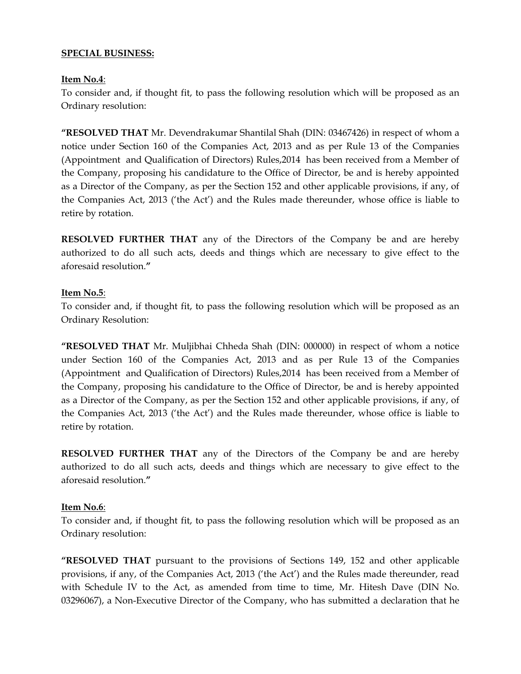#### **SPECIAL BUSINESS:**

#### **Item No.4**:

To consider and, if thought fit, to pass the following resolution which will be proposed as an Ordinary resolution:

**"RESOLVED THAT** Mr. Devendrakumar Shantilal Shah (DIN: 03467426) in respect of whom a notice under Section 160 of the Companies Act, 2013 and as per Rule 13 of the Companies (Appointment and Qualification of Directors) Rules,2014 has been received from a Member of the Company, proposing his candidature to the Office of Director, be and is hereby appointed as a Director of the Company, as per the Section 152 and other applicable provisions, if any, of the Companies Act, 2013 ('the Act') and the Rules made thereunder, whose office is liable to retire by rotation.

**RESOLVED FURTHER THAT** any of the Directors of the Company be and are hereby authorized to do all such acts, deeds and things which are necessary to give effect to the aforesaid resolution.**"** 

#### **Item No.5**:

To consider and, if thought fit, to pass the following resolution which will be proposed as an Ordinary Resolution:

**"RESOLVED THAT** Mr. Muljibhai Chheda Shah (DIN: 000000) in respect of whom a notice under Section 160 of the Companies Act, 2013 and as per Rule 13 of the Companies (Appointment and Qualification of Directors) Rules,2014 has been received from a Member of the Company, proposing his candidature to the Office of Director, be and is hereby appointed as a Director of the Company, as per the Section 152 and other applicable provisions, if any, of the Companies Act, 2013 ('the Act') and the Rules made thereunder, whose office is liable to retire by rotation.

**RESOLVED FURTHER THAT** any of the Directors of the Company be and are hereby authorized to do all such acts, deeds and things which are necessary to give effect to the aforesaid resolution.**"** 

#### **Item No.6**:

To consider and, if thought fit, to pass the following resolution which will be proposed as an Ordinary resolution:

**"RESOLVED THAT** pursuant to the provisions of Sections 149, 152 and other applicable provisions, if any, of the Companies Act, 2013 ('the Act') and the Rules made thereunder, read with Schedule IV to the Act, as amended from time to time, Mr. Hitesh Dave (DIN No. 03296067), a Non-Executive Director of the Company, who has submitted a declaration that he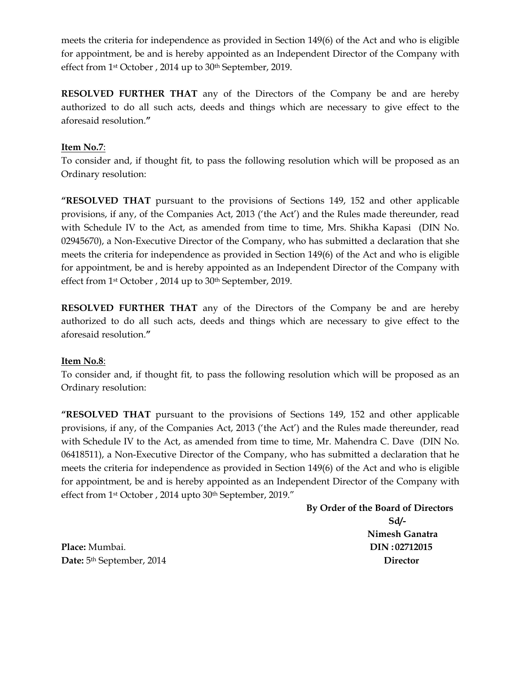meets the criteria for independence as provided in Section 149(6) of the Act and who is eligible for appointment, be and is hereby appointed as an Independent Director of the Company with effect from 1<sup>st</sup> October, 2014 up to 30<sup>th</sup> September, 2019.

**RESOLVED FURTHER THAT** any of the Directors of the Company be and are hereby authorized to do all such acts, deeds and things which are necessary to give effect to the aforesaid resolution.**"** 

#### **Item No.7**:

To consider and, if thought fit, to pass the following resolution which will be proposed as an Ordinary resolution:

**"RESOLVED THAT** pursuant to the provisions of Sections 149, 152 and other applicable provisions, if any, of the Companies Act, 2013 ('the Act') and the Rules made thereunder, read with Schedule IV to the Act, as amended from time to time, Mrs. Shikha Kapasi (DIN No. 02945670), a Non-Executive Director of the Company, who has submitted a declaration that she meets the criteria for independence as provided in Section 149(6) of the Act and who is eligible for appointment, be and is hereby appointed as an Independent Director of the Company with effect from 1st October , 2014 up to 30th September, 2019.

**RESOLVED FURTHER THAT** any of the Directors of the Company be and are hereby authorized to do all such acts, deeds and things which are necessary to give effect to the aforesaid resolution.**"** 

#### **Item No.8**:

To consider and, if thought fit, to pass the following resolution which will be proposed as an Ordinary resolution:

**"RESOLVED THAT** pursuant to the provisions of Sections 149, 152 and other applicable provisions, if any, of the Companies Act, 2013 ('the Act') and the Rules made thereunder, read with Schedule IV to the Act, as amended from time to time, Mr. Mahendra C. Dave (DIN No. 06418511), a Non-Executive Director of the Company, who has submitted a declaration that he meets the criteria for independence as provided in Section 149(6) of the Act and who is eligible for appointment, be and is hereby appointed as an Independent Director of the Company with effect from 1st October , 2014 upto 30th September, 2019."

 **By Order of the Board of Directors Sd/- Nimesh Ganatra Place:** Mumbai. **DIN : 02712015 Date:**  $5^{th}$  September, 2014 **Director Director**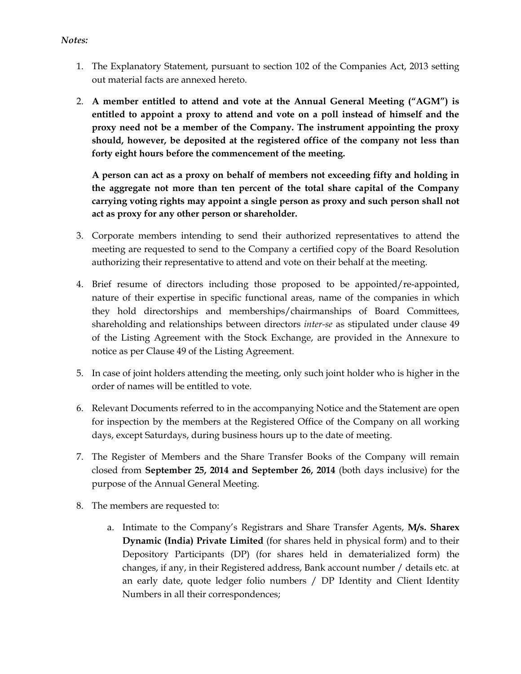- *Notes:*
	- 1. The Explanatory Statement, pursuant to section 102 of the Companies Act, 2013 setting out material facts are annexed hereto.
	- 2. **A member entitled to attend and vote at the Annual General Meeting ("AGM") is entitled to appoint a proxy to attend and vote on a poll instead of himself and the proxy need not be a member of the Company. The instrument appointing the proxy should, however, be deposited at the registered office of the company not less than forty eight hours before the commencement of the meeting.**

**A person can act as a proxy on behalf of members not exceeding fifty and holding in the aggregate not more than ten percent of the total share capital of the Company carrying voting rights may appoint a single person as proxy and such person shall not act as proxy for any other person or shareholder.**

- 3. Corporate members intending to send their authorized representatives to attend the meeting are requested to send to the Company a certified copy of the Board Resolution authorizing their representative to attend and vote on their behalf at the meeting.
- 4. Brief resume of directors including those proposed to be appointed/re-appointed, nature of their expertise in specific functional areas, name of the companies in which they hold directorships and memberships/chairmanships of Board Committees, shareholding and relationships between directors *inter-se* as stipulated under clause 49 of the Listing Agreement with the Stock Exchange, are provided in the Annexure to notice as per Clause 49 of the Listing Agreement.
- 5. In case of joint holders attending the meeting, only such joint holder who is higher in the order of names will be entitled to vote.
- 6. Relevant Documents referred to in the accompanying Notice and the Statement are open for inspection by the members at the Registered Office of the Company on all working days, except Saturdays, during business hours up to the date of meeting.
- 7. The Register of Members and the Share Transfer Books of the Company will remain closed from **September 25, 2014 and September 26, 2014** (both days inclusive) for the purpose of the Annual General Meeting.
- 8. The members are requested to:
	- a. Intimate to the Company's Registrars and Share Transfer Agents, **M/s. Sharex Dynamic (India) Private Limited** (for shares held in physical form) and to their Depository Participants (DP) (for shares held in dematerialized form) the changes, if any, in their Registered address, Bank account number / details etc. at an early date, quote ledger folio numbers / DP Identity and Client Identity Numbers in all their correspondences;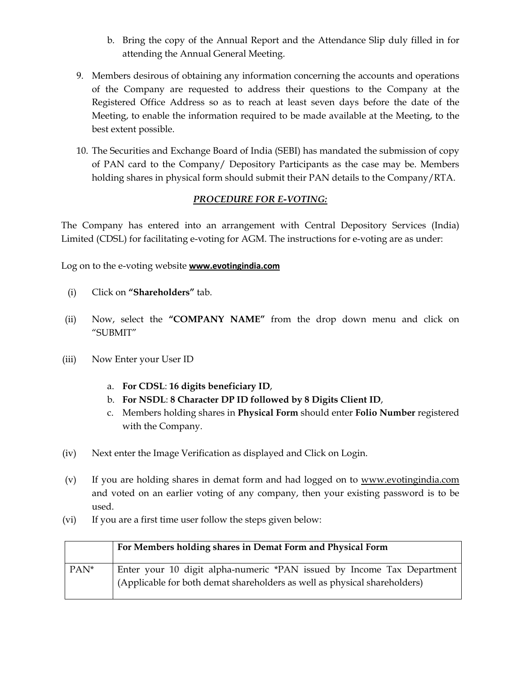- b. Bring the copy of the Annual Report and the Attendance Slip duly filled in for attending the Annual General Meeting.
- 9. Members desirous of obtaining any information concerning the accounts and operations of the Company are requested to address their questions to the Company at the Registered Office Address so as to reach at least seven days before the date of the Meeting, to enable the information required to be made available at the Meeting, to the best extent possible.
- 10. The Securities and Exchange Board of India (SEBI) has mandated the submission of copy of PAN card to the Company/ Depository Participants as the case may be. Members holding shares in physical form should submit their PAN details to the Company/RTA.

#### *PROCEDURE FOR E-VOTING:*

The Company has entered into an arrangement with Central Depository Services (India) Limited (CDSL) for facilitating e-voting for AGM. The instructions for e-voting are as under:

Log on to the e-voting website **[www.evotingindia.com](http://www.evotingindia.com/)**

- (i) Click on **"Shareholders"** tab.
- (ii) Now, select the **"COMPANY NAME"** from the drop down menu and click on "SUBMIT"
- (iii) Now Enter your User ID
	- a. **For CDSL**: **16 digits beneficiary ID**,
	- b. **For NSDL**: **8 Character DP ID followed by 8 Digits Client ID**,
	- c. Members holding shares in **Physical Form** should enter **Folio Number** registered with the Company.
- (iv) Next enter the Image Verification as displayed and Click on Login.
- (v) If you are holding shares in demat form and had logged on to [www.evotingindia.com](http://www.evotingindia.com/) and voted on an earlier voting of any company, then your existing password is to be used.
- (vi) If you are a first time user follow the steps given below:

|                  | For Members holding shares in Demat Form and Physical Form                |  |
|------------------|---------------------------------------------------------------------------|--|
| PAN <sup>*</sup> | Enter your 10 digit alpha-numeric *PAN issued by Income Tax Department    |  |
|                  | (Applicable for both demat shareholders as well as physical shareholders) |  |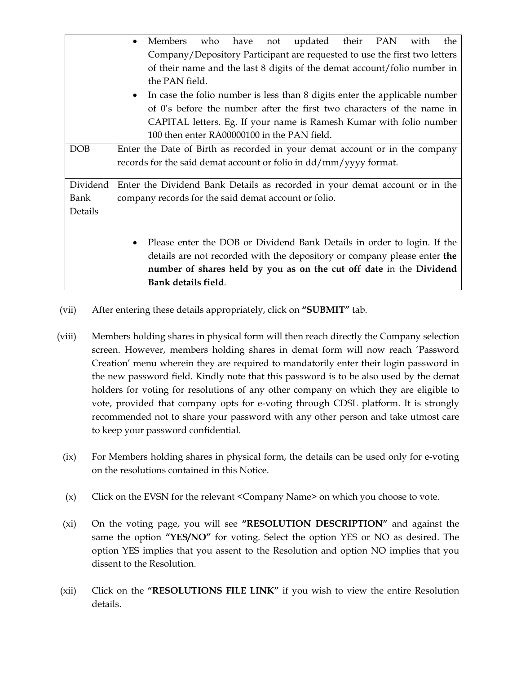|            | Members<br>who have<br>updated their PAN<br>the<br>with<br>not                       |  |  |  |
|------------|--------------------------------------------------------------------------------------|--|--|--|
|            | Company/Depository Participant are requested to use the first two letters            |  |  |  |
|            | of their name and the last 8 digits of the demat account/folio number in             |  |  |  |
|            | the PAN field.                                                                       |  |  |  |
|            | In case the folio number is less than 8 digits enter the applicable number           |  |  |  |
|            | of 0's before the number after the first two characters of the name in               |  |  |  |
|            | CAPITAL letters. Eg. If your name is Ramesh Kumar with folio number                  |  |  |  |
|            | 100 then enter RA00000100 in the PAN field.                                          |  |  |  |
| <b>DOB</b> | Enter the Date of Birth as recorded in your demat account or in the company          |  |  |  |
|            | records for the said demat account or folio in dd/mm/yyyy format.                    |  |  |  |
|            |                                                                                      |  |  |  |
| Dividend   | Enter the Dividend Bank Details as recorded in your demat account or in the          |  |  |  |
| Bank       | company records for the said demat account or folio.                                 |  |  |  |
| Details    |                                                                                      |  |  |  |
|            |                                                                                      |  |  |  |
|            | Please enter the DOB or Dividend Bank Details in order to login. If the<br>$\bullet$ |  |  |  |
|            | details are not recorded with the depository or company please enter the             |  |  |  |
|            | number of shares held by you as on the cut off date in the Dividend                  |  |  |  |
|            | Bank details field.                                                                  |  |  |  |

- (vii) After entering these details appropriately, click on **"SUBMIT"** tab.
- (viii) Members holding shares in physical form will then reach directly the Company selection screen. However, members holding shares in demat form will now reach 'Password Creation' menu wherein they are required to mandatorily enter their login password in the new password field. Kindly note that this password is to be also used by the demat holders for voting for resolutions of any other company on which they are eligible to vote, provided that company opts for e-voting through CDSL platform. It is strongly recommended not to share your password with any other person and take utmost care to keep your password confidential.
- (ix) For Members holding shares in physical form, the details can be used only for e-voting on the resolutions contained in this Notice.
- (x) Click on the EVSN for the relevant <Company Name> on which you choose to vote.
- (xi) On the voting page, you will see **"RESOLUTION DESCRIPTION"** and against the same the option **"YES/NO"** for voting. Select the option YES or NO as desired. The option YES implies that you assent to the Resolution and option NO implies that you dissent to the Resolution.
- (xii) Click on the **"RESOLUTIONS FILE LINK"** if you wish to view the entire Resolution details.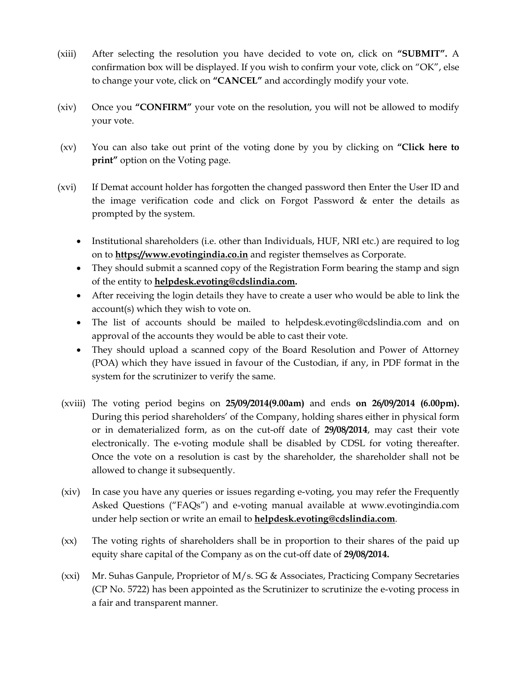- (xiii) After selecting the resolution you have decided to vote on, click on **"SUBMIT".** A confirmation box will be displayed. If you wish to confirm your vote, click on "OK", else to change your vote, click on **"CANCEL"** and accordingly modify your vote.
- (xiv) Once you **"CONFIRM"** your vote on the resolution, you will not be allowed to modify your vote.
- (xv) You can also take out print of the voting done by you by clicking on **"Click here to print**" option on the Voting page.
- (xvi) If Demat account holder has forgotten the changed password then Enter the User ID and the image verification code and click on Forgot Password & enter the details as prompted by the system.
	- Institutional shareholders (i.e. other than Individuals, HUF, NRI etc.) are required to log on to **[https://www.evotingindia.co.in](https://www.evotingindia.co.in/)** and register themselves as Corporate.
	- They should submit a scanned copy of the Registration Form bearing the stamp and sign of the entity to **[helpdesk.evoting@cdslindia.com.](mailto:helpdesk.evoting@cdslindia.com)**
	- After receiving the login details they have to create a user who would be able to link the account(s) which they wish to vote on.
	- The list of accounts should be mailed to helpdesk.evoting@cdslindia.com and on approval of the accounts they would be able to cast their vote.
	- They should upload a scanned copy of the Board Resolution and Power of Attorney (POA) which they have issued in favour of the Custodian, if any, in PDF format in the system for the scrutinizer to verify the same.
- (xviii) The voting period begins on **25/09/2014(9.00am)** and ends **on 26/09/2014 (6.00pm).** During this period shareholders' of the Company, holding shares either in physical form or in dematerialized form, as on the cut-off date of **29/08/2014**, may cast their vote electronically. The e-voting module shall be disabled by CDSL for voting thereafter. Once the vote on a resolution is cast by the shareholder, the shareholder shall not be allowed to change it subsequently.
- (xiv) In case you have any queries or issues regarding e-voting, you may refer the Frequently Asked Questions ("FAQs") and e-voting manual available at www.evotingindia.com under help section or write an email to **[helpdesk.evoting@cdslindia.com](mailto:helpdesk.evoting@cdslindia.com)**.
- (xx) The voting rights of shareholders shall be in proportion to their shares of the paid up equity share capital of the Company as on the cut-off date of **29/08/2014.**
- (xxi) Mr. Suhas Ganpule, Proprietor of M/s. SG & Associates, Practicing Company Secretaries (CP No. 5722) has been appointed as the Scrutinizer to scrutinize the e-voting process in a fair and transparent manner.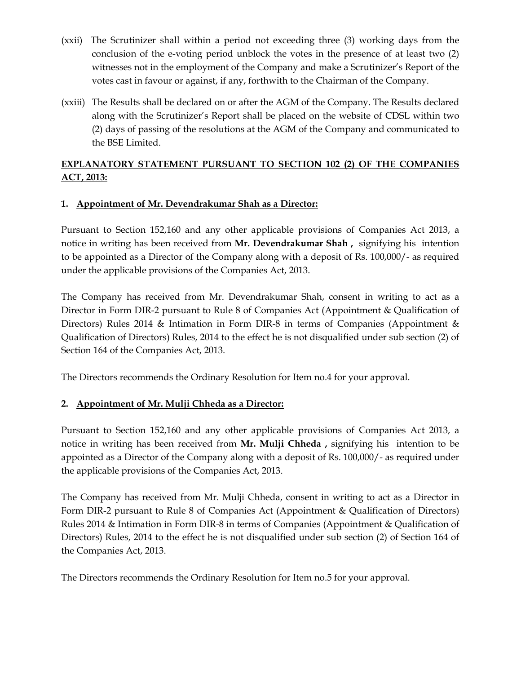- (xxii) The Scrutinizer shall within a period not exceeding three (3) working days from the conclusion of the e-voting period unblock the votes in the presence of at least two (2) witnesses not in the employment of the Company and make a Scrutinizer's Report of the votes cast in favour or against, if any, forthwith to the Chairman of the Company.
- (xxiii) The Results shall be declared on or after the AGM of the Company. The Results declared along with the Scrutinizer's Report shall be placed on the website of CDSL within two (2) days of passing of the resolutions at the AGM of the Company and communicated to the BSE Limited.

# **EXPLANATORY STATEMENT PURSUANT TO SECTION 102 (2) OF THE COMPANIES ACT, 2013:**

# **1. Appointment of Mr. Devendrakumar Shah as a Director:**

Pursuant to Section 152,160 and any other applicable provisions of Companies Act 2013, a notice in writing has been received from **Mr. Devendrakumar Shah ,** signifying his intention to be appointed as a Director of the Company along with a deposit of Rs. 100,000/- as required under the applicable provisions of the Companies Act, 2013.

The Company has received from Mr. Devendrakumar Shah, consent in writing to act as a Director in Form DIR-2 pursuant to Rule 8 of Companies Act (Appointment & Qualification of Directors) Rules 2014 & Intimation in Form DIR-8 in terms of Companies (Appointment & Qualification of Directors) Rules, 2014 to the effect he is not disqualified under sub section (2) of Section 164 of the Companies Act, 2013.

The Directors recommends the Ordinary Resolution for Item no.4 for your approval.

#### **2. Appointment of Mr. Mulji Chheda as a Director:**

Pursuant to Section 152,160 and any other applicable provisions of Companies Act 2013, a notice in writing has been received from **Mr. Mulji Chheda ,** signifying his intention to be appointed as a Director of the Company along with a deposit of Rs. 100,000/- as required under the applicable provisions of the Companies Act, 2013.

The Company has received from Mr. Mulji Chheda, consent in writing to act as a Director in Form DIR-2 pursuant to Rule 8 of Companies Act (Appointment & Qualification of Directors) Rules 2014 & Intimation in Form DIR-8 in terms of Companies (Appointment & Qualification of Directors) Rules, 2014 to the effect he is not disqualified under sub section (2) of Section 164 of the Companies Act, 2013.

The Directors recommends the Ordinary Resolution for Item no.5 for your approval.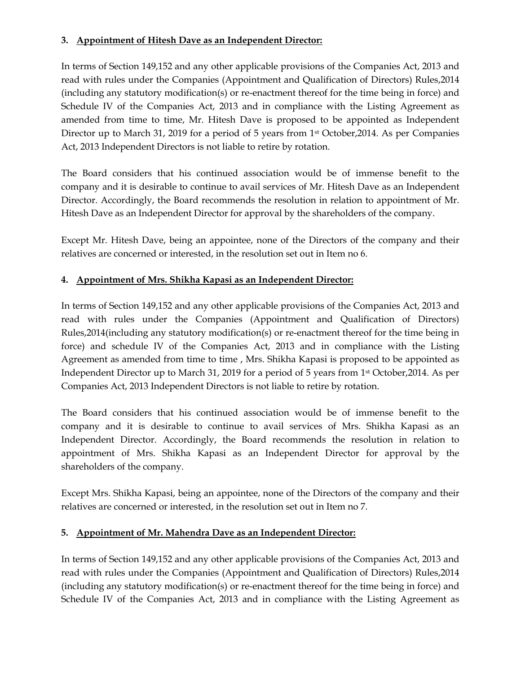## **3. Appointment of Hitesh Dave as an Independent Director:**

In terms of Section 149,152 and any other applicable provisions of the Companies Act, 2013 and read with rules under the Companies (Appointment and Qualification of Directors) Rules,2014 (including any statutory modification(s) or re-enactment thereof for the time being in force) and Schedule IV of the Companies Act, 2013 and in compliance with the Listing Agreement as amended from time to time, Mr. Hitesh Dave is proposed to be appointed as Independent Director up to March 31, 2019 for a period of 5 years from 1<sup>st</sup> October, 2014. As per Companies Act, 2013 Independent Directors is not liable to retire by rotation.

The Board considers that his continued association would be of immense benefit to the company and it is desirable to continue to avail services of Mr. Hitesh Dave as an Independent Director. Accordingly, the Board recommends the resolution in relation to appointment of Mr. Hitesh Dave as an Independent Director for approval by the shareholders of the company.

Except Mr. Hitesh Dave, being an appointee, none of the Directors of the company and their relatives are concerned or interested, in the resolution set out in Item no 6.

#### **4. Appointment of Mrs. Shikha Kapasi as an Independent Director:**

In terms of Section 149,152 and any other applicable provisions of the Companies Act, 2013 and read with rules under the Companies (Appointment and Qualification of Directors) Rules,2014(including any statutory modification(s) or re-enactment thereof for the time being in force) and schedule IV of the Companies Act, 2013 and in compliance with the Listing Agreement as amended from time to time , Mrs. Shikha Kapasi is proposed to be appointed as Independent Director up to March 31, 2019 for a period of 5 years from 1st October,2014. As per Companies Act, 2013 Independent Directors is not liable to retire by rotation.

The Board considers that his continued association would be of immense benefit to the company and it is desirable to continue to avail services of Mrs. Shikha Kapasi as an Independent Director. Accordingly, the Board recommends the resolution in relation to appointment of Mrs. Shikha Kapasi as an Independent Director for approval by the shareholders of the company.

Except Mrs. Shikha Kapasi, being an appointee, none of the Directors of the company and their relatives are concerned or interested, in the resolution set out in Item no 7.

#### **5. Appointment of Mr. Mahendra Dave as an Independent Director:**

In terms of Section 149,152 and any other applicable provisions of the Companies Act, 2013 and read with rules under the Companies (Appointment and Qualification of Directors) Rules,2014 (including any statutory modification(s) or re-enactment thereof for the time being in force) and Schedule IV of the Companies Act, 2013 and in compliance with the Listing Agreement as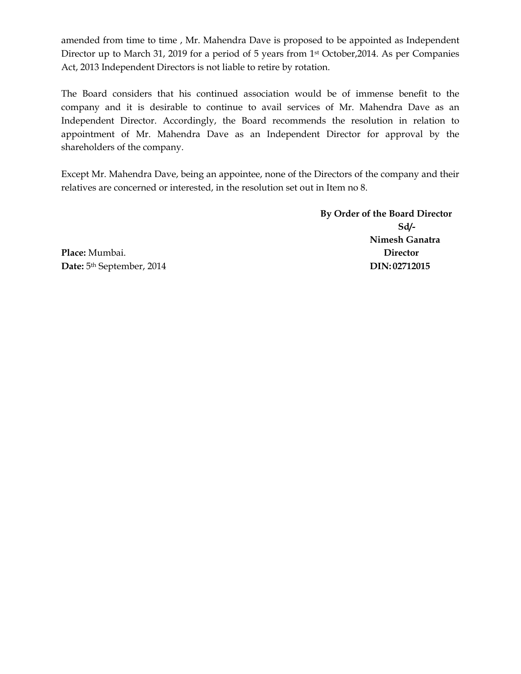amended from time to time , Mr. Mahendra Dave is proposed to be appointed as Independent Director up to March 31, 2019 for a period of 5 years from 1st October,2014. As per Companies Act, 2013 Independent Directors is not liable to retire by rotation.

The Board considers that his continued association would be of immense benefit to the company and it is desirable to continue to avail services of Mr. Mahendra Dave as an Independent Director. Accordingly, the Board recommends the resolution in relation to appointment of Mr. Mahendra Dave as an Independent Director for approval by the shareholders of the company.

Except Mr. Mahendra Dave, being an appointee, none of the Directors of the company and their relatives are concerned or interested, in the resolution set out in Item no 8.

> **By Order of the Board Director Sd/- Nimesh Ganatra**

**Place:** Mumbai. **Director Date:**  $5<sup>th</sup> September, 2014$  **DIN: 02712015**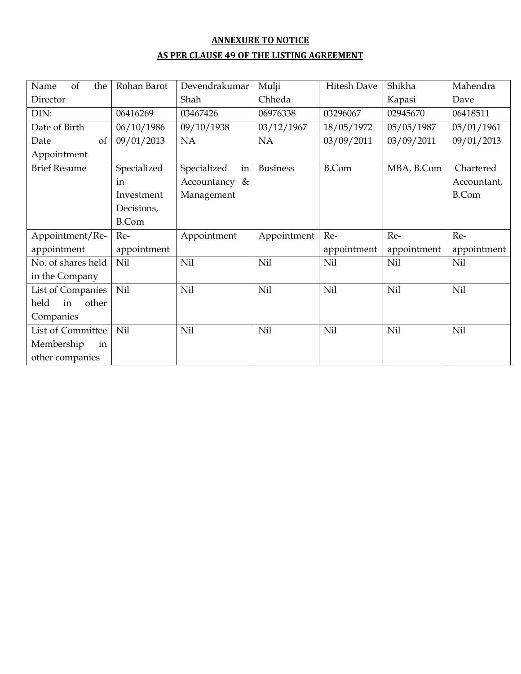# **ANNEXURE TO NOTICE AS PER CLAUSE 49 OF THE LISTING AGREEMENT**

| of<br>the<br>Name   | Rohan Barot  | Devendrakumar     | Mulji           | Hitesh Dave  | Shikha      | Mahendra     |
|---------------------|--------------|-------------------|-----------------|--------------|-------------|--------------|
| Director            |              | Shah              | Chheda          |              | Kapasi      | Dave         |
| DIN:                | 06416269     | 03467426          | 06976338        | 03296067     | 02945670    | 06418511     |
| Date of Birth       | 06/10/1986   | 09/10/1938        | 03/12/1967      | 18/05/1972   | 05/05/1987  | 05/01/1961   |
| Date<br>of          | 09/01/2013   | NA                | <b>NA</b>       | 03/09/2011   | 03/09/2011  | 09/01/2013   |
| Appointment         |              |                   |                 |              |             |              |
| <b>Brief Resume</b> | Specialized  | Specialized<br>in | <b>Business</b> | <b>B.Com</b> | MBA, B.Com  | Chartered    |
|                     | in           | Accountancy &     |                 |              |             | Accountant,  |
|                     | Investment   | Management        |                 |              |             | <b>B.Com</b> |
|                     | Decisions,   |                   |                 |              |             |              |
|                     | <b>B.Com</b> |                   |                 |              |             |              |
| Appointment/Re-     | Re-          | Appointment       | Appointment     | Re-          | Re-         | Re-          |
| appointment         | appointment  |                   |                 | appointment  | appointment | appointment  |
| No. of shares held  | Nil          | Nil               | Nil             | Nil          | Nil         | Nil          |
| in the Company      |              |                   |                 |              |             |              |
| List of Companies   | Nil          | Nil               | Nil             | Nil          | Nil         | Nil          |
| held<br>in<br>other |              |                   |                 |              |             |              |
| Companies           |              |                   |                 |              |             |              |
| List of Committee   | Nil          | Nil               | Nil             | Nil          | Nil         | Nil          |
| Membership<br>in    |              |                   |                 |              |             |              |
| other companies     |              |                   |                 |              |             |              |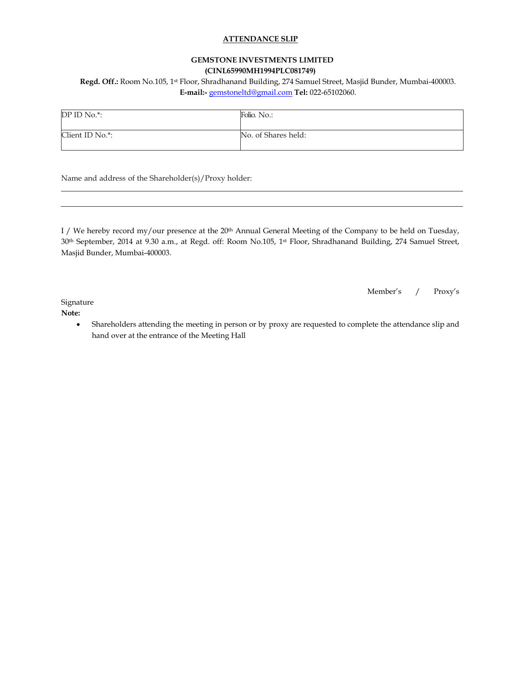#### **ATTENDANCE SLIP**

#### **GEMSTONE INVESTMENTS LIMITED (CINL65990MH1994PLC081749)**

**Regd. Off.:** Room No.105, 1st Floor, Shradhanand Building, 274 Samuel Street, Masjid Bunder, Mumbai-400003. **E-mail:-** [gemstoneltd@gmail.com](mailto:gemstoneltd@gmail.com) **Tel:** 022-65102060.

| DP ID No.*:     | Folio. No.:         |
|-----------------|---------------------|
| Client ID No.*: | No. of Shares held: |

Name and address of the Shareholder(s)/Proxy holder:

I / We hereby record my/our presence at the 20<sup>th</sup> Annual General Meeting of the Company to be held on Tuesday, 30th September, 2014 at 9.30 a.m., at Regd. off: Room No.105, 1st Floor, Shradhanand Building, 274 Samuel Street, Masjid Bunder, Mumbai-400003.

Member's / Proxy's

Signature

**Note:** 

• Shareholders attending the meeting in person or by proxy are requested to complete the attendance slip and hand over at the entrance of the Meeting Hall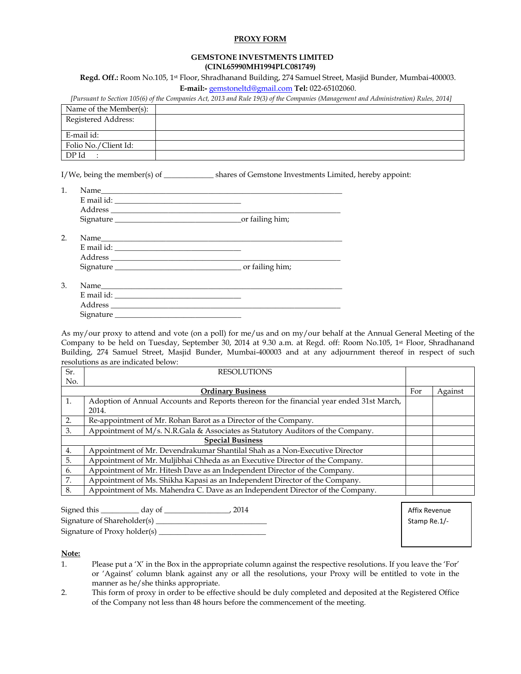#### **PROXY FORM**

#### **GEMSTONE INVESTMENTS LIMITED (CINL65990MH1994PLC081749)**

**Regd. Off.:** Room No.105, 1st Floor, Shradhanand Building, 274 Samuel Street, Masjid Bunder, Mumbai-400003. **E-mail:-** [gemstoneltd@gmail.com](mailto:gemstoneltd@gmail.com) **Tel:** 022-65102060.

*[Pursuant to Section 105(6) of the Companies Act, 2013 and Rule 19(3) of the Companies (Management and Administration) Rules, 2014]*

| Name of the Member(s): |  |
|------------------------|--|
| Registered Address:    |  |
| E-mail id:             |  |
| Folio No./Client Id:   |  |
| DP Id                  |  |

I/We, being the member(s) of shares of Gemstone Investments Limited, hereby appoint:

| Name       |                 |
|------------|-----------------|
| E mail id: |                 |
| Address    |                 |
| Signature  | or failing him; |

2. Name E mail id: Address \_\_\_\_\_\_\_\_\_\_\_\_\_\_\_\_\_\_\_\_\_\_\_\_\_\_\_\_\_\_\_\_\_\_\_\_\_\_\_\_\_\_\_\_\_\_\_\_\_\_\_\_\_\_\_\_\_\_\_\_ Signature \_\_\_\_\_\_\_\_\_\_\_\_\_\_\_\_\_\_\_\_\_\_\_\_\_\_\_\_\_\_\_\_\_ or failing him;

| 3. | Name       |  |
|----|------------|--|
|    | E mail id: |  |
|    | Address    |  |
|    | Signature  |  |

As my/our proxy to attend and vote (on a poll) for me/us and on my/our behalf at the Annual General Meeting of the Company to be held on Tuesday, September 30, 2014 at 9.30 a.m. at Regd. off: Room No.105, 1st Floor, Shradhanand Building, 274 Samuel Street, Masjid Bunder, Mumbai-400003 and at any adjournment thereof in respect of such resolutions as are indicated below:

| Sr. | <b>RESOLUTIONS</b>                                                                       |     |         |
|-----|------------------------------------------------------------------------------------------|-----|---------|
| No. |                                                                                          |     |         |
|     | <b>Ordinary Business</b>                                                                 | For | Against |
| 1.  | Adoption of Annual Accounts and Reports thereon for the financial year ended 31st March, |     |         |
|     | 2014.                                                                                    |     |         |
| 2.  | Re-appointment of Mr. Rohan Barot as a Director of the Company.                          |     |         |
| 3.  | Appointment of M/s. N.R.Gala & Associates as Statutory Auditors of the Company.          |     |         |
|     | <b>Special Business</b>                                                                  |     |         |
| 4.  | Appointment of Mr. Devendrakumar Shantilal Shah as a Non-Executive Director              |     |         |
| 5.  | Appointment of Mr. Muljibhai Chheda as an Executive Director of the Company.             |     |         |
| 6.  | Appointment of Mr. Hitesh Dave as an Independent Director of the Company.                |     |         |
| 7.  | Appointment of Ms. Shikha Kapasi as an Independent Director of the Company.              |     |         |
| 8.  | Appointment of Ms. Mahendra C. Dave as an Independent Director of the Company.           |     |         |

| Signed this                  | day of | $-2014$ |
|------------------------------|--------|---------|
| Signature of Shareholder(s)  |        |         |
| Signature of Proxy holder(s) |        |         |

Affix Revenue Stamp Re.1/-

**Note:**

- 1. Please put a 'X' in the Box in the appropriate column against the respective resolutions. If you leave the 'For' or 'Against' column blank against any or all the resolutions, your Proxy will be entitled to vote in the manner as he/she thinks appropriate.
- 2. This form of proxy in order to be effective should be duly completed and deposited at the Registered Office of the Company not less than 48 hours before the commencement of the meeting.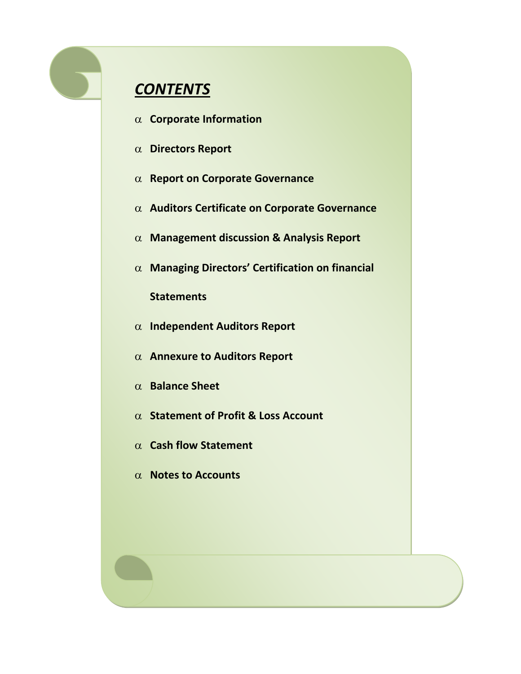# *CONTENTS*

- α **Corporate Information**
- α **Directors Report**
- α **Report on Corporate Governance**
- α **Auditors Certificate on Corporate Governance**
- α **Management discussion & Analysis Report**
- α **Managing Directors' Certification on financial**

**Statements** 

- α **Independent Auditors Report**
- α **Annexure to Auditors Report**
- α **Balance Sheet**
- α **Statement of Profit & Loss Account**
- α **Cash flow Statement**
- α **Notes to Accounts**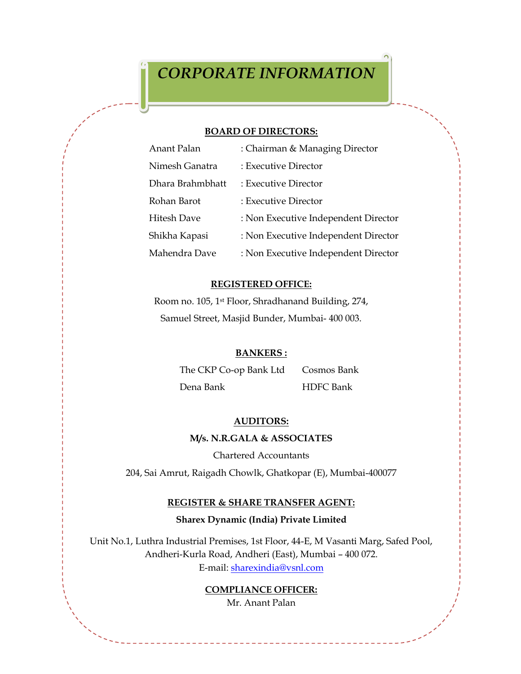#### **BOARD OF DIRECTORS:**

| Anant Palan        | : Chairman & Managing Director       |
|--------------------|--------------------------------------|
| Nimesh Ganatra     | : Executive Director                 |
| Dhara Brahmbhatt   | : Executive Director                 |
| Rohan Barot        | : Executive Director                 |
| <b>Hitesh Dave</b> | : Non Executive Independent Director |
| Shikha Kapasi      | : Non Executive Independent Director |
| Mahendra Dave      | : Non Executive Independent Director |

#### **REGISTERED OFFICE:**

Room no. 105, 1st Floor, Shradhanand Building, 274, Samuel Street, Masjid Bunder, Mumbai- 400 003.

#### **BANKERS :**

The CKP Co-op Bank Ltd Cosmos Bank

# Dena Bank HDFC Bank

# **AUDITORS:**

#### **M/s. N.R.GALA & ASSOCIATES**

Chartered Accountants

204, Sai Amrut, Raigadh Chowlk, Ghatkopar (E), Mumbai-400077

#### **REGISTER & SHARE TRANSFER AGENT:**

#### **Sharex Dynamic (India) Private Limited**

Unit No.1, Luthra Industrial Premises, 1st Floor, 44-E, M Vasanti Marg, Safed Pool, Andheri-Kurla Road, Andheri (East), Mumbai – 400 072. E-mail: [sharexindia@vsnl.com](mailto:sharexindia@vsnl.com)

#### **COMPLIANCE OFFICER:**

Mr. Anant Palan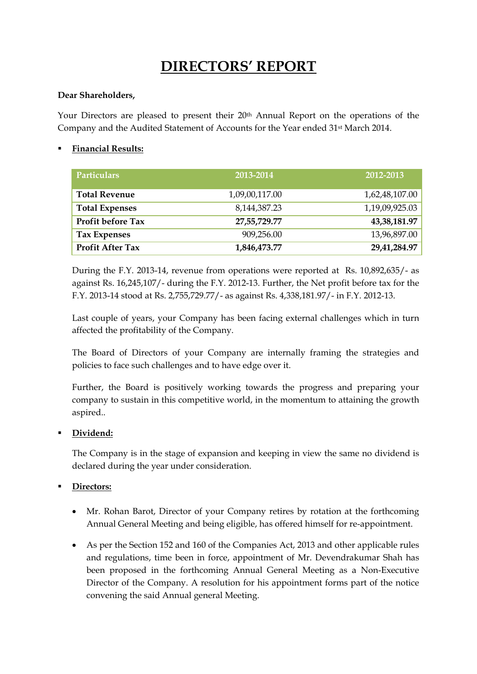# **DIRECTORS' REPORT**

#### **Dear Shareholders,**

Your Directors are pleased to present their 20<sup>th</sup> Annual Report on the operations of the Company and the Audited Statement of Accounts for the Year ended 31st March 2014.

#### **Financial Results:**

| <b>Particulars</b>      | 2013-2014       | 2012-2013       |
|-------------------------|-----------------|-----------------|
| <b>Total Revenue</b>    | 1,09,00,117.00  | 1,62,48,107.00  |
| <b>Total Expenses</b>   | 8, 144, 387. 23 | 1,19,09,925.03  |
| Profit before Tax       | 27,55,729.77    | 43, 38, 181. 97 |
| Tax Expenses            | 909,256.00      | 13,96,897.00    |
| <b>Profit After Tax</b> | 1,846,473.77    | 29,41,284.97    |

During the F.Y. 2013-14, revenue from operations were reported at Rs. 10,892,635/- as against Rs. 16,245,107/- during the F.Y. 2012-13. Further, the Net profit before tax for the F.Y. 2013-14 stood at Rs. 2,755,729.77/- as against Rs. 4,338,181.97/- in F.Y. 2012-13.

Last couple of years, your Company has been facing external challenges which in turn affected the profitability of the Company.

The Board of Directors of your Company are internally framing the strategies and policies to face such challenges and to have edge over it.

Further, the Board is positively working towards the progress and preparing your company to sustain in this competitive world, in the momentum to attaining the growth aspired..

#### **Dividend:**

The Company is in the stage of expansion and keeping in view the same no dividend is declared during the year under consideration.

#### **Directors:**

- Mr. Rohan Barot, Director of your Company retires by rotation at the forthcoming Annual General Meeting and being eligible, has offered himself for re-appointment.
- As per the Section 152 and 160 of the Companies Act, 2013 and other applicable rules and regulations, time been in force, appointment of Mr. Devendrakumar Shah has been proposed in the forthcoming Annual General Meeting as a Non-Executive Director of the Company. A resolution for his appointment forms part of the notice convening the said Annual general Meeting.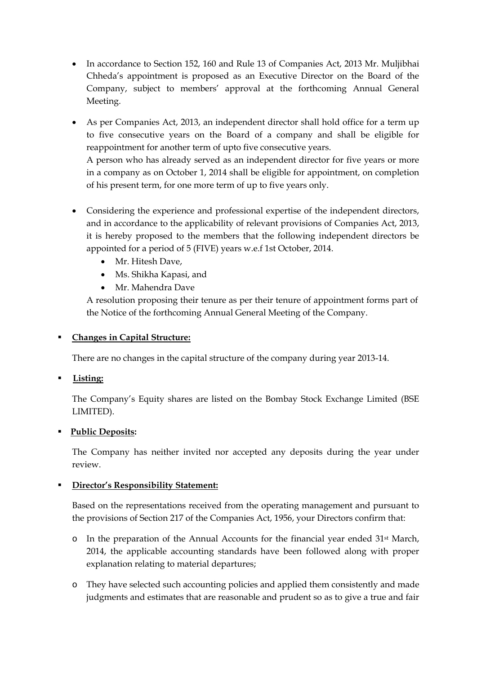- In accordance to Section 152, 160 and Rule 13 of Companies Act, 2013 Mr. Muljibhai Chheda's appointment is proposed as an Executive Director on the Board of the Company, subject to members' approval at the forthcoming Annual General Meeting.
- As per Companies Act, 2013, an independent director shall hold office for a term up to five consecutive years on the Board of a company and shall be eligible for reappointment for another term of upto five consecutive years.

A person who has already served as an independent director for five years or more in a company as on October 1, 2014 shall be eligible for appointment, on completion of his present term, for one more term of up to five years only.

- Considering the experience and professional expertise of the independent directors, and in accordance to the applicability of relevant provisions of Companies Act, 2013, it is hereby proposed to the members that the following independent directors be appointed for a period of 5 (FIVE) years w.e.f 1st October, 2014.
	- Mr. Hitesh Dave,
	- Ms. Shikha Kapasi, and
	- Mr. Mahendra Dave

A resolution proposing their tenure as per their tenure of appointment forms part of the Notice of the forthcoming Annual General Meeting of the Company.

## **Changes in Capital Structure:**

There are no changes in the capital structure of the company during year 2013-14.

# **Listing:**

The Company's Equity shares are listed on the Bombay Stock Exchange Limited (BSE LIMITED).

#### **Public Deposits:**

The Company has neither invited nor accepted any deposits during the year under review.

#### **Director's Responsibility Statement:**

Based on the representations received from the operating management and pursuant to the provisions of Section 217 of the Companies Act, 1956, your Directors confirm that:

- o In the preparation of the Annual Accounts for the financial year ended 31st March, 2014, the applicable accounting standards have been followed along with proper explanation relating to material departures;
- o They have selected such accounting policies and applied them consistently and made judgments and estimates that are reasonable and prudent so as to give a true and fair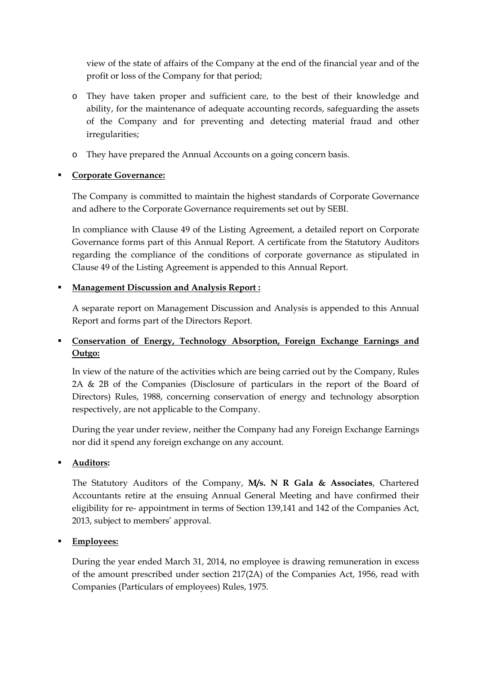view of the state of affairs of the Company at the end of the financial year and of the profit or loss of the Company for that period;

- o They have taken proper and sufficient care, to the best of their knowledge and ability, for the maintenance of adequate accounting records, safeguarding the assets of the Company and for preventing and detecting material fraud and other irregularities;
- o They have prepared the Annual Accounts on a going concern basis.

#### **Corporate Governance:**

The Company is committed to maintain the highest standards of Corporate Governance and adhere to the Corporate Governance requirements set out by SEBI.

In compliance with Clause 49 of the Listing Agreement, a detailed report on Corporate Governance forms part of this Annual Report. A certificate from the Statutory Auditors regarding the compliance of the conditions of corporate governance as stipulated in Clause 49 of the Listing Agreement is appended to this Annual Report.

#### **Management Discussion and Analysis Report :**

A separate report on Management Discussion and Analysis is appended to this Annual Report and forms part of the Directors Report.

# **Conservation of Energy, Technology Absorption, Foreign Exchange Earnings and Outgo:**

In view of the nature of the activities which are being carried out by the Company, Rules 2A & 2B of the Companies (Disclosure of particulars in the report of the Board of Directors) Rules, 1988, concerning conservation of energy and technology absorption respectively, are not applicable to the Company.

During the year under review, neither the Company had any Foreign Exchange Earnings nor did it spend any foreign exchange on any account.

# **Auditors:**

The Statutory Auditors of the Company, **M/s. N R Gala & Associates**, Chartered Accountants retire at the ensuing Annual General Meeting and have confirmed their eligibility for re- appointment in terms of Section 139,141 and 142 of the Companies Act, 2013, subject to members' approval.

# **Employees:**

 During the year ended March 31, 2014, no employee is drawing remuneration in excess of the amount prescribed under section 217(2A) of the Companies Act, 1956, read with Companies (Particulars of employees) Rules, 1975.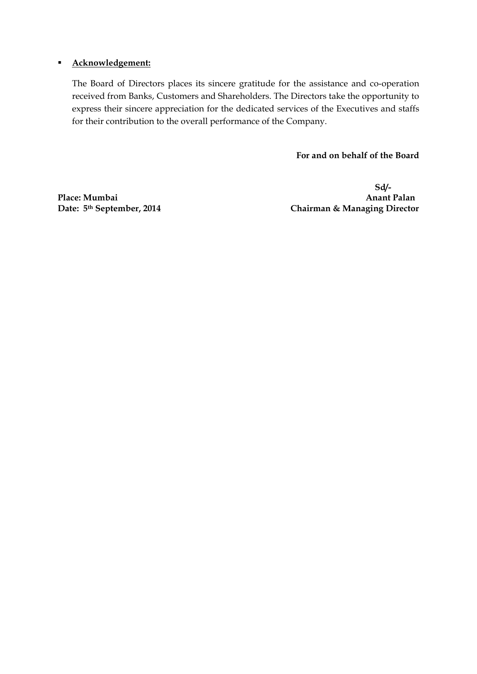#### **Acknowledgement:**

The Board of Directors places its sincere gratitude for the assistance and co-operation received from Banks, Customers and Shareholders. The Directors take the opportunity to express their sincere appreciation for the dedicated services of the Executives and staffs for their contribution to the overall performance of the Company.

 **For and on behalf of the Board**

Place: Mumbai<br>Date: 5<sup>th</sup> September, 2014

**Sd/- Chairman & Managing Director**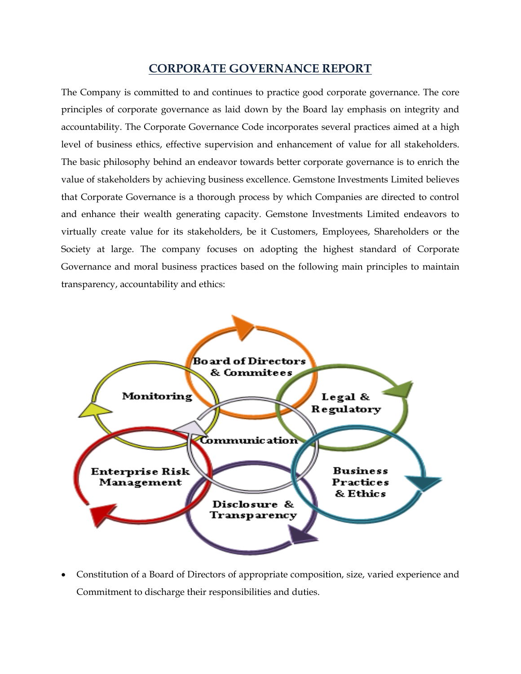# **CORPORATE GOVERNANCE REPORT**

The Company is committed to and continues to practice good corporate governance. The core principles of corporate governance as laid down by the Board lay emphasis on integrity and accountability. The Corporate Governance Code incorporates several practices aimed at a high level of business ethics, effective supervision and enhancement of value for all stakeholders. The basic philosophy behind an endeavor towards better corporate governance is to enrich the value of stakeholders by achieving business excellence. Gemstone Investments Limited believes that Corporate Governance is a thorough process by which Companies are directed to control and enhance their wealth generating capacity. Gemstone Investments Limited endeavors to virtually create value for its stakeholders, be it Customers, Employees, Shareholders or the Society at large. The company focuses on adopting the highest standard of Corporate Governance and moral business practices based on the following main principles to maintain transparency, accountability and ethics:



• Constitution of a Board of Directors of appropriate composition, size, varied experience and Commitment to discharge their responsibilities and duties.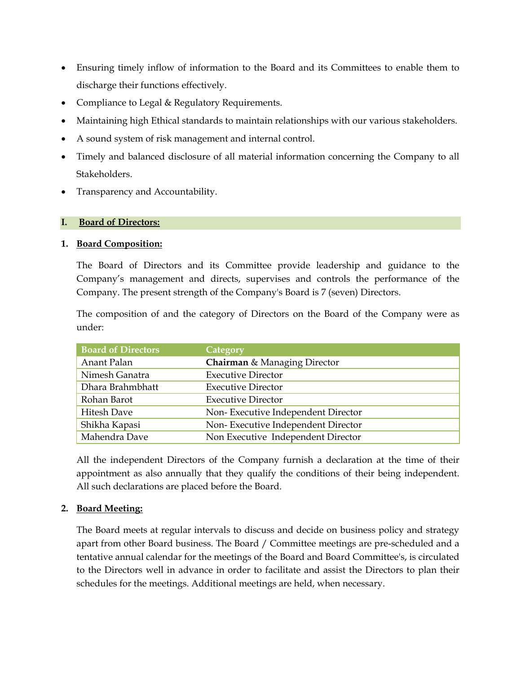- Ensuring timely inflow of information to the Board and its Committees to enable them to discharge their functions effectively.
- Compliance to Legal & Regulatory Requirements.
- Maintaining high Ethical standards to maintain relationships with our various stakeholders.
- A sound system of risk management and internal control.
- Timely and balanced disclosure of all material information concerning the Company to all Stakeholders.
- Transparency and Accountability.

#### **I. Board of Directors:**

#### **1. Board Composition:**

The Board of Directors and its Committee provide leadership and guidance to the Company's management and directs, supervises and controls the performance of the Company. The present strength of the Company's Board is 7 (seven) Directors.

The composition of and the category of Directors on the Board of the Company were as under:

| <b>Board of Directors</b> | Category                                |
|---------------------------|-----------------------------------------|
| Anant Palan               | <b>Chairman &amp; Managing Director</b> |
| Nimesh Ganatra            | <b>Executive Director</b>               |
| Dhara Brahmbhatt          | <b>Executive Director</b>               |
| Rohan Barot               | <b>Executive Director</b>               |
| <b>Hitesh Dave</b>        | Non-Executive Independent Director      |
| Shikha Kapasi             | Non-Executive Independent Director      |
| Mahendra Dave             | Non Executive Independent Director      |

All the independent Directors of the Company furnish a declaration at the time of their appointment as also annually that they qualify the conditions of their being independent. All such declarations are placed before the Board.

#### **2. Board Meeting:**

The Board meets at regular intervals to discuss and decide on business policy and strategy apart from other Board business. The Board / Committee meetings are pre-scheduled and a tentative annual calendar for the meetings of the Board and Board Committee's, is circulated to the Directors well in advance in order to facilitate and assist the Directors to plan their schedules for the meetings. Additional meetings are held, when necessary.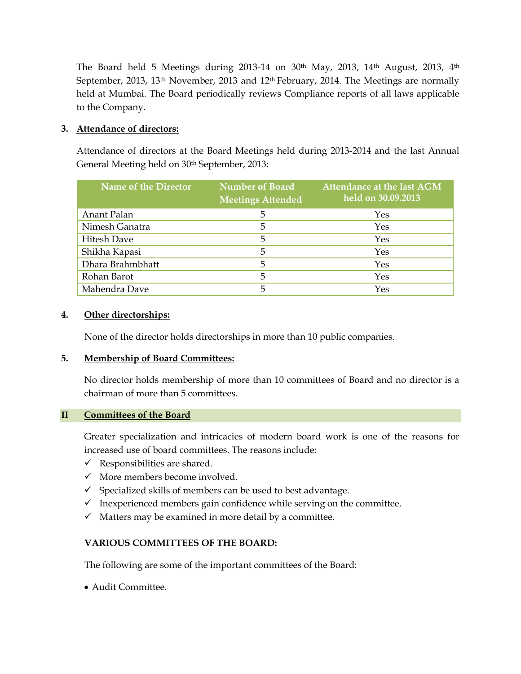The Board held 5 Meetings during 2013-14 on 30<sup>th</sup> May, 2013, 14<sup>th</sup> August, 2013, 4<sup>th</sup> September, 2013, 13<sup>th</sup> November, 2013 and 12<sup>th</sup> February, 2014. The Meetings are normally held at Mumbai. The Board periodically reviews Compliance reports of all laws applicable to the Company.

#### **3. Attendance of directors:**

Attendance of directors at the Board Meetings held during 2013-2014 and the last Annual General Meeting held on 30<sup>th</sup> September, 2013:

| <b>Name of the Director</b> | <b>Number of Board</b><br><b>Meetings Attended</b> | Attendance at the last AGM<br>held on 30.09.2013 |
|-----------------------------|----------------------------------------------------|--------------------------------------------------|
| Anant Palan                 | 5                                                  | <b>Yes</b>                                       |
| Nimesh Ganatra              | 5                                                  | Yes                                              |
| <b>Hitesh Dave</b>          | 5                                                  | Yes                                              |
| Shikha Kapasi               | 5                                                  | Yes                                              |
| Dhara Brahmbhatt            | 5                                                  | Yes                                              |
| Rohan Barot                 | 5                                                  | Yes                                              |
| Mahendra Dave               | 5                                                  | Yes                                              |

#### **4. Other directorships:**

None of the director holds directorships in more than 10 public companies.

#### **5. Membership of Board Committees:**

No director holds membership of more than 10 committees of Board and no director is a chairman of more than 5 committees.

#### **II Committees of the Board**

Greater specialization and intricacies of modern board work is one of the reasons for increased use of board committees. The reasons include:

- $\checkmark$  Responsibilities are shared.
- $\checkmark$  More members become involved.
- $\checkmark$  Specialized skills of members can be used to best advantage.
- $\checkmark$  Inexperienced members gain confidence while serving on the committee.
- $\checkmark$  Matters may be examined in more detail by a committee.

#### **VARIOUS COMMITTEES OF THE BOARD:**

The following are some of the important committees of the Board:

• Audit Committee.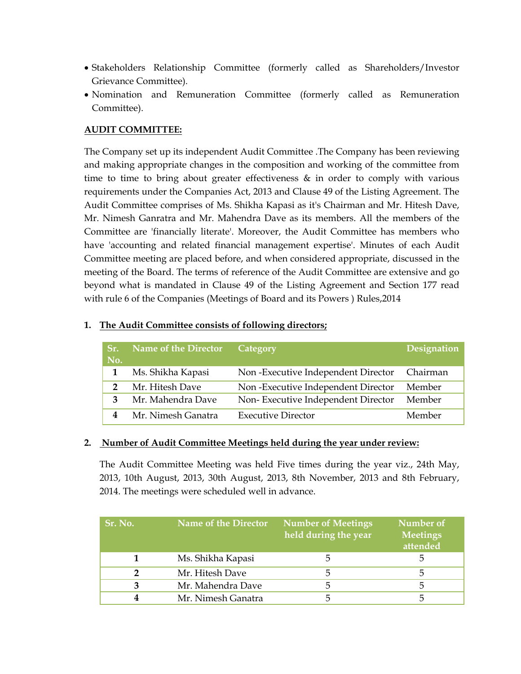- Stakeholders Relationship Committee (formerly called as Shareholders/Investor Grievance Committee).
- Nomination and Remuneration Committee (formerly called as Remuneration Committee).

#### **AUDIT COMMITTEE:**

The Company set up its independent Audit Committee .The Company has been reviewing and making appropriate changes in the composition and working of the committee from time to time to bring about greater effectiveness & in order to comply with various requirements under the Companies Act, 2013 and Clause 49 of the Listing Agreement. The Audit Committee comprises of Ms. Shikha Kapasi as it's Chairman and Mr. Hitesh Dave, Mr. Nimesh Ganratra and Mr. Mahendra Dave as its members. All the members of the Committee are 'financially literate'. Moreover, the Audit Committee has members who have 'accounting and related financial management expertise'. Minutes of each Audit Committee meeting are placed before, and when considered appropriate, discussed in the meeting of the Board. The terms of reference of the Audit Committee are extensive and go beyond what is mandated in Clause 49 of the Listing Agreement and Section 177 read with rule 6 of the Companies (Meetings of Board and its Powers ) Rules,2014

| The Trums committee consider of following willestore |  |
|------------------------------------------------------|--|
|                                                      |  |
|                                                      |  |
|                                                      |  |
| Name of the Director Category                        |  |

**1. The Audit Committee consists of following directors;**

| Sr.<br>No. | <b>Name of the Director</b> | Category                           | Designation |
|------------|-----------------------------|------------------------------------|-------------|
|            | Ms. Shikha Kapasi           | Non-Executive Independent Director | Chairman    |
|            | Mr. Hitesh Dave             | Non-Executive Independent Director | Member      |
|            | Mr. Mahendra Dave           | Non-Executive Independent Director | Member      |
|            | Mr. Nimesh Ganatra          | <b>Executive Director</b>          | Member      |

#### **2. Number of Audit Committee Meetings held during the year under review:**

The Audit Committee Meeting was held Five times during the year viz., 24th May, 2013, 10th August, 2013, 30th August, 2013, 8th November, 2013 and 8th February, 2014. The meetings were scheduled well in advance.

| Sr. No. | <b>Name of the Director</b> | <b>Number of Meetings</b><br>held during the year | Number of<br><b>Meetings</b><br>attended |
|---------|-----------------------------|---------------------------------------------------|------------------------------------------|
|         | Ms. Shikha Kapasi           |                                                   | ຕ                                        |
|         | Mr. Hitesh Dave             |                                                   | د.                                       |
|         | Mr. Mahendra Dave           | .h                                                | כ                                        |
|         | Mr. Nimesh Ganatra          |                                                   |                                          |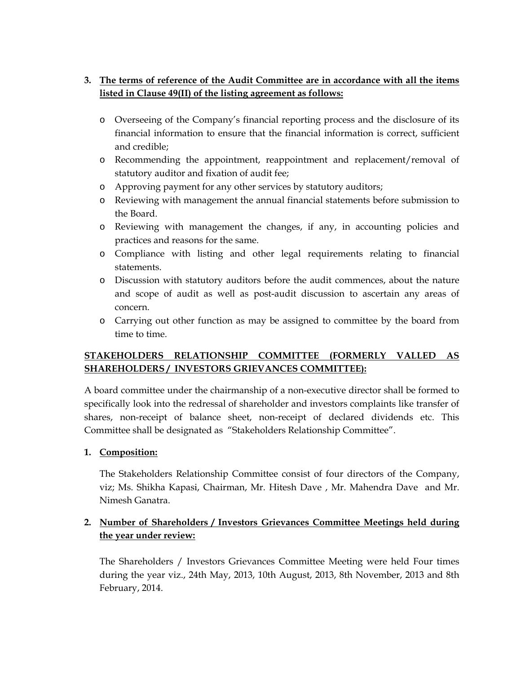#### **3. The terms of reference of the Audit Committee are in accordance with all the items listed in Clause 49(II) of the listing agreement as follows:**

- o Overseeing of the Company's financial reporting process and the disclosure of its financial information to ensure that the financial information is correct, sufficient and credible;
- o Recommending the appointment, reappointment and replacement/removal of statutory auditor and fixation of audit fee;
- o Approving payment for any other services by statutory auditors;
- o Reviewing with management the annual financial statements before submission to the Board.
- o Reviewing with management the changes, if any, in accounting policies and practices and reasons for the same.
- o Compliance with listing and other legal requirements relating to financial statements.
- o Discussion with statutory auditors before the audit commences, about the nature and scope of audit as well as post-audit discussion to ascertain any areas of concern.
- o Carrying out other function as may be assigned to committee by the board from time to time.

#### **STAKEHOLDERS RELATIONSHIP COMMITTEE (FORMERLY VALLED AS SHAREHOLDERS / INVESTORS GRIEVANCES COMMITTEE):**

A board committee under the chairmanship of a non-executive director shall be formed to specifically look into the redressal of shareholder and investors complaints like transfer of shares, non-receipt of balance sheet, non-receipt of declared dividends etc. This Committee shall be designated as "Stakeholders Relationship Committee".

#### **1. Composition:**

The Stakeholders Relationship Committee consist of four directors of the Company, viz; Ms. Shikha Kapasi, Chairman, Mr. Hitesh Dave , Mr. Mahendra Dave and Mr. Nimesh Ganatra.

#### **2. Number of Shareholders / Investors Grievances Committee Meetings held during the year under review:**

The Shareholders / Investors Grievances Committee Meeting were held Four times during the year viz., 24th May, 2013, 10th August, 2013, 8th November, 2013 and 8th February, 2014.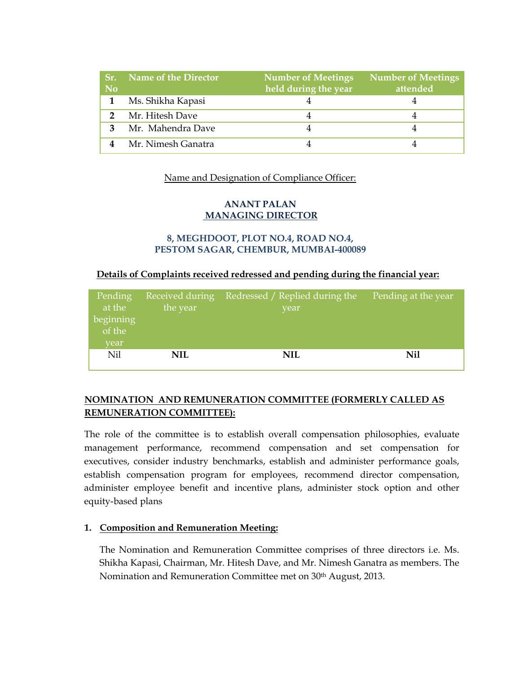| <b>No</b> | <b>Sr.</b> Name of the Director | <b>Number of Meetings</b><br>held during the year | <b>Number of Meetings</b><br>attended |
|-----------|---------------------------------|---------------------------------------------------|---------------------------------------|
|           | Ms. Shikha Kapasi               |                                                   |                                       |
|           | Mr. Hitesh Dave                 |                                                   |                                       |
|           | Mr. Mahendra Dave               |                                                   |                                       |
|           | Mr. Nimesh Ganatra              |                                                   |                                       |

#### Name and Designation of Compliance Officer:

#### **ANANT PALAN MANAGING DIRECTOR**

#### **8, MEGHDOOT, PLOT NO.4, ROAD NO.4, PESTOM SAGAR, CHEMBUR, MUMBAI-400089**

#### **Details of Complaints received redressed and pending during the financial year:**

| Pending<br>at the   | Received during<br>the year | Redressed / Replied during the<br>year | Pending at the year |
|---------------------|-----------------------------|----------------------------------------|---------------------|
| beginning<br>of the |                             |                                        |                     |
| vear                |                             |                                        |                     |
| Nil                 | NIL                         | NIL                                    | Nil                 |
|                     |                             |                                        |                     |

#### **NOMINATION AND REMUNERATION COMMITTEE (FORMERLY CALLED AS REMUNERATION COMMITTEE):**

The role of the committee is to establish overall compensation philosophies, evaluate management performance, recommend compensation and set compensation for executives, consider industry benchmarks, establish and administer performance goals, establish compensation program for employees, recommend director compensation, administer employee benefit and incentive plans, administer stock option and other equity-based plans

#### **1. Composition and Remuneration Meeting:**

The Nomination and Remuneration Committee comprises of three directors i.e. Ms. Shikha Kapasi, Chairman, Mr. Hitesh Dave, and Mr. Nimesh Ganatra as members. The Nomination and Remuneration Committee met on 30th August, 2013.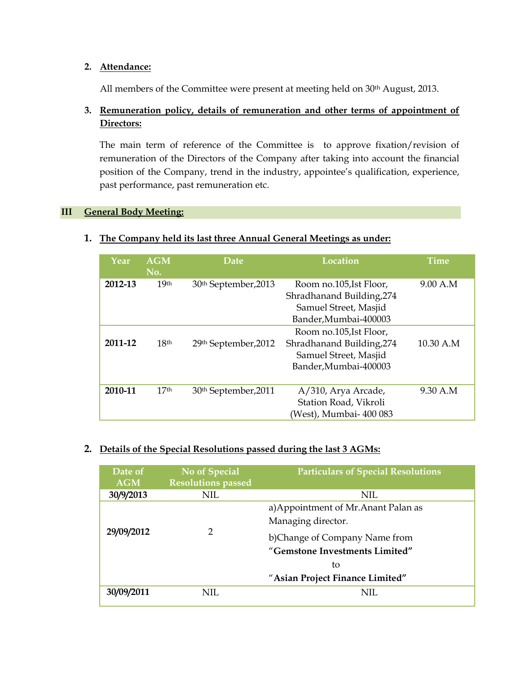#### **2. Attendance:**

All members of the Committee were present at meeting held on 30<sup>th</sup> August, 2013.

#### **3. Remuneration policy, details of remuneration and other terms of appointment of Directors:**

The main term of reference of the Committee is to approve fixation/revision of remuneration of the Directors of the Company after taking into account the financial position of the Company, trend in the industry, appointee's qualification, experience, past performance, past remuneration etc.

#### **III General Body Meeting:**

| Year    | <b>AGM</b><br>No. | <b>Location</b><br>Date |                                                                                                        | <b>Time</b> |
|---------|-------------------|-------------------------|--------------------------------------------------------------------------------------------------------|-------------|
| 2012-13 | 19 <sup>th</sup>  | 30th September, 2013    | Room no.105, Ist Floor,<br>Shradhanand Building, 274<br>Samuel Street, Masjid<br>Bander, Mumbai-400003 | 9.00 A.M    |
| 2011-12 | 18 <sup>th</sup>  | 29th September, 2012    | Room no.105, Ist Floor,<br>Shradhanand Building, 274<br>Samuel Street, Masjid<br>Bander, Mumbai-400003 | 10.30 A.M   |
| 2010-11 | 17 <sub>th</sub>  | 30th September, 2011    | A/310, Arya Arcade,<br>Station Road, Vikroli<br>(West), Mumbai- 400 083                                | 9.30 A.M    |

#### **1. The Company held its last three Annual General Meetings as under:**

#### **2. Details of the Special Resolutions passed during the last 3 AGMs:**

| Date of<br><b>AGM</b> | <b>No of Special</b><br><b>Resolutions passed</b> | <b>Particulars of Special Resolutions</b>                       |  |
|-----------------------|---------------------------------------------------|-----------------------------------------------------------------|--|
| 30/9/2013             | NIL.                                              | NIL.                                                            |  |
|                       | 2                                                 | a) Appointment of Mr. Anant Palan as<br>Managing director.      |  |
| 29/09/2012            |                                                   | b)Change of Company Name from<br>"Gemstone Investments Limited" |  |
|                       |                                                   | tο                                                              |  |
|                       |                                                   | "Asian Project Finance Limited"                                 |  |
| 30/09/2011            | NIL.                                              | NIL                                                             |  |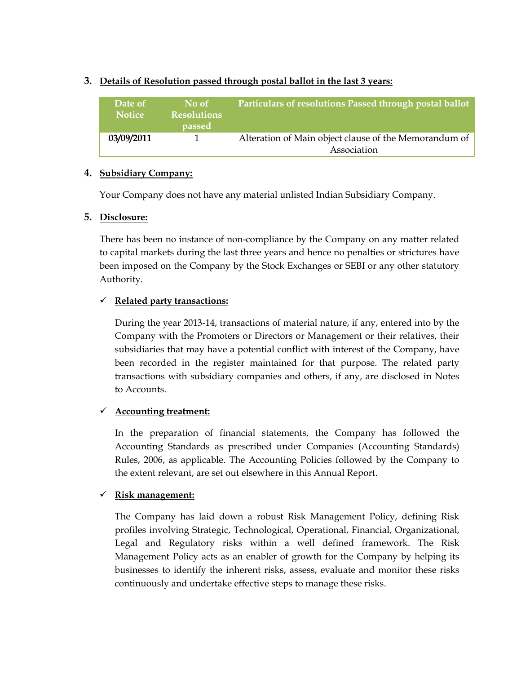| Date of<br><b>Notice</b> | No of<br><b>Resolutions</b><br><i>passed</i> | Particulars of resolutions Passed through postal ballot |
|--------------------------|----------------------------------------------|---------------------------------------------------------|
| 03/09/2011               |                                              | Alteration of Main object clause of the Memorandum of   |
|                          |                                              | Association                                             |

#### **3. Details of Resolution passed through postal ballot in the last 3 years:**

#### **4. Subsidiary Company:**

Your Company does not have any material unlisted Indian Subsidiary Company.

#### **5. Disclosure:**

There has been no instance of non-compliance by the Company on any matter related to capital markets during the last three years and hence no penalties or strictures have been imposed on the Company by the Stock Exchanges or SEBI or any other statutory Authority.

#### **Related party transactions:**

During the year 2013-14, transactions of material nature, if any, entered into by the Company with the Promoters or Directors or Management or their relatives, their subsidiaries that may have a potential conflict with interest of the Company, have been recorded in the register maintained for that purpose. The related party transactions with subsidiary companies and others, if any, are disclosed in Notes to Accounts.

#### **Accounting treatment:**

In the preparation of financial statements, the Company has followed the Accounting Standards as prescribed under Companies (Accounting Standards) Rules, 2006, as applicable. The Accounting Policies followed by the Company to the extent relevant, are set out elsewhere in this Annual Report.

#### **Risk management:**

The Company has laid down a robust Risk Management Policy, defining Risk profiles involving Strategic, Technological, Operational, Financial, Organizational, Legal and Regulatory risks within a well defined framework. The Risk Management Policy acts as an enabler of growth for the Company by helping its businesses to identify the inherent risks, assess, evaluate and monitor these risks continuously and undertake effective steps to manage these risks.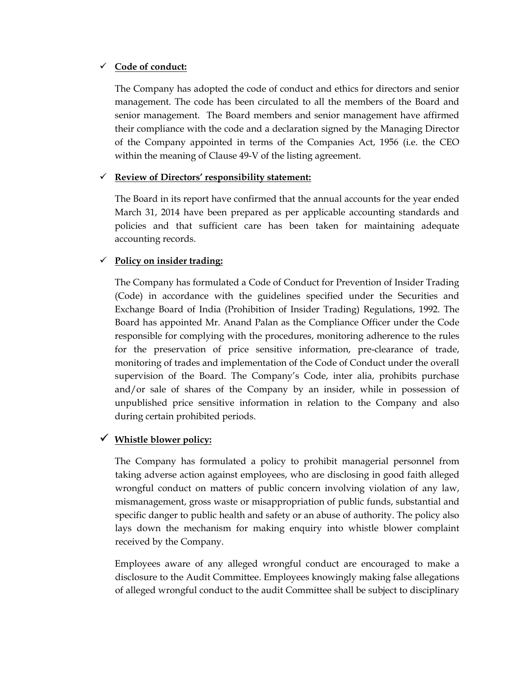#### **Code of conduct:**

The Company has adopted the code of conduct and ethics for directors and senior management. The code has been circulated to all the members of the Board and senior management. The Board members and senior management have affirmed their compliance with the code and a declaration signed by the Managing Director of the Company appointed in terms of the Companies Act, 1956 (i.e. the CEO within the meaning of Clause 49-V of the listing agreement.

#### **Review of Directors' responsibility statement:**

The Board in its report have confirmed that the annual accounts for the year ended March 31, 2014 have been prepared as per applicable accounting standards and policies and that sufficient care has been taken for maintaining adequate accounting records.

#### **Policy on insider trading:**

The Company has formulated a Code of Conduct for Prevention of Insider Trading (Code) in accordance with the guidelines specified under the Securities and Exchange Board of India (Prohibition of Insider Trading) Regulations, 1992. The Board has appointed Mr. Anand Palan as the Compliance Officer under the Code responsible for complying with the procedures, monitoring adherence to the rules for the preservation of price sensitive information, pre-clearance of trade, monitoring of trades and implementation of the Code of Conduct under the overall supervision of the Board. The Company's Code, inter alia, prohibits purchase and/or sale of shares of the Company by an insider, while in possession of unpublished price sensitive information in relation to the Company and also during certain prohibited periods.

# **Whistle blower policy:**

The Company has formulated a policy to prohibit managerial personnel from taking adverse action against employees, who are disclosing in good faith alleged wrongful conduct on matters of public concern involving violation of any law, mismanagement, gross waste or misappropriation of public funds, substantial and specific danger to public health and safety or an abuse of authority. The policy also lays down the mechanism for making enquiry into whistle blower complaint received by the Company.

Employees aware of any alleged wrongful conduct are encouraged to make a disclosure to the Audit Committee. Employees knowingly making false allegations of alleged wrongful conduct to the audit Committee shall be subject to disciplinary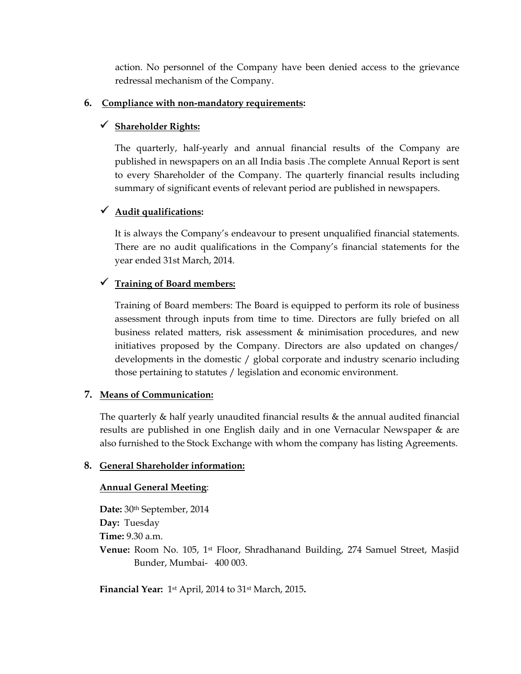action. No personnel of the Company have been denied access to the grievance redressal mechanism of the Company.

#### **6. Compliance with non-mandatory requirements:**

#### **Shareholder Rights:**

The quarterly, half-yearly and annual financial results of the Company are published in newspapers on an all India basis .The complete Annual Report is sent to every Shareholder of the Company. The quarterly financial results including summary of significant events of relevant period are published in newspapers.

#### **Audit qualifications:**

It is always the Company's endeavour to present unqualified financial statements. There are no audit qualifications in the Company's financial statements for the year ended 31st March, 2014.

#### **Training of Board members:**

Training of Board members: The Board is equipped to perform its role of business assessment through inputs from time to time. Directors are fully briefed on all business related matters, risk assessment & minimisation procedures, and new initiatives proposed by the Company. Directors are also updated on changes/ developments in the domestic / global corporate and industry scenario including those pertaining to statutes / legislation and economic environment.

#### **7. Means of Communication:**

The quarterly & half yearly unaudited financial results & the annual audited financial results are published in one English daily and in one Vernacular Newspaper & are also furnished to the Stock Exchange with whom the company has listing Agreements.

#### **8. General Shareholder information:**

#### **Annual General Meeting**:

**Date:** 30th September, 2014 **Day:** Tuesday **Time:** 9.30 a.m. **Venue:** Room No. 105, 1st Floor, Shradhanand Building, 274 Samuel Street, Masjid Bunder, Mumbai- 400 003.

**Financial Year:** 1st April, 2014 to 31st March, 2015**.**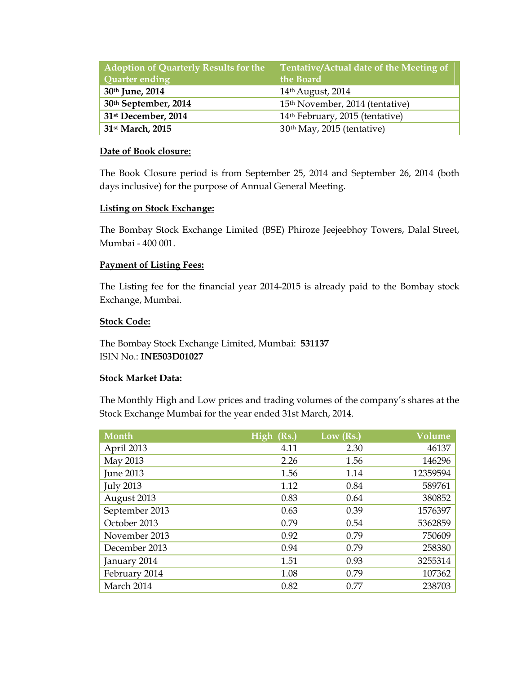| <b>Adoption of Quarterly Results for the</b><br>Quarter ending | Tentative/Actual date of the Meeting of<br>the Board |
|----------------------------------------------------------------|------------------------------------------------------|
| 30th June, 2014                                                | 14th August, 2014                                    |
| 30th September, 2014                                           | 15 <sup>th</sup> November, 2014 (tentative)          |
| 31 <sup>st</sup> December, 2014                                | 14th February, 2015 (tentative)                      |
| 31 <sup>st</sup> March, 2015                                   | 30 <sup>th</sup> May, 2015 (tentative)               |

#### **Date of Book closure:**

The Book Closure period is from September 25, 2014 and September 26, 2014 (both days inclusive) for the purpose of Annual General Meeting.

#### **Listing on Stock Exchange:**

The Bombay Stock Exchange Limited (BSE) Phiroze Jeejeebhoy Towers, Dalal Street, Mumbai - 400 001.

#### **Payment of Listing Fees:**

The Listing fee for the financial year 2014-2015 is already paid to the Bombay stock Exchange, Mumbai.

#### **Stock Code:**

The Bombay Stock Exchange Limited, Mumbai: **531137** ISIN No.: **INE503D01027**

#### **Stock Market Data:**

The Monthly High and Low prices and trading volumes of the company's shares at the Stock Exchange Mumbai for the year ended 31st March, 2014.

| Month            | High (Rs.) | Low (Rs.) | Volume   |
|------------------|------------|-----------|----------|
| April 2013       | 4.11       | 2.30      | 46137    |
| May 2013         | 2.26       | 1.56      | 146296   |
| <b>June 2013</b> | 1.56       | 1.14      | 12359594 |
| <b>July 2013</b> | 1.12       | 0.84      | 589761   |
| August 2013      | 0.83       | 0.64      | 380852   |
| September 2013   | 0.63       | 0.39      | 1576397  |
| October 2013     | 0.79       | 0.54      | 5362859  |
| November 2013    | 0.92       | 0.79      | 750609   |
| December 2013    | 0.94       | 0.79      | 258380   |
| January 2014     | 1.51       | 0.93      | 3255314  |
| February 2014    | 1.08       | 0.79      | 107362   |
| March 2014       | 0.82       | 0.77      | 238703   |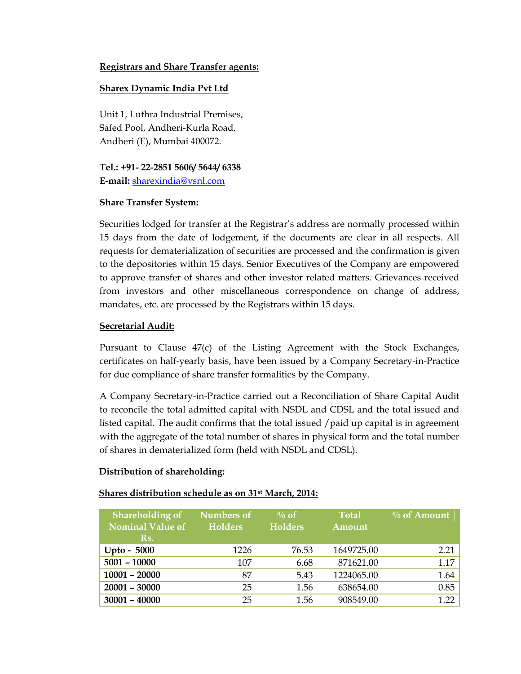#### **Registrars and Share Transfer agents:**

#### **Sharex Dynamic India Pvt Ltd**

Unit 1, Luthra Industrial Premises, Safed Pool, Andheri-Kurla Road, Andheri (E), Mumbai 400072.

**Tel.: +91- 22-2851 5606/ 5644/ 6338 E-mail:** [sharexindia@vsnl.com](mailto:sharexindia@vsnl.com)

#### **Share Transfer System:**

Securities lodged for transfer at the Registrar's address are normally processed within 15 days from the date of lodgement, if the documents are clear in all respects. All requests for dematerialization of securities are processed and the confirmation is given to the depositories within 15 days. Senior Executives of the Company are empowered to approve transfer of shares and other investor related matters. Grievances received from investors and other miscellaneous correspondence on change of address, mandates, etc. are processed by the Registrars within 15 days.

#### **Secretarial Audit:**

Pursuant to Clause 47(c) of the Listing Agreement with the Stock Exchanges, certificates on half-yearly basis, have been issued by a Company Secretary-in-Practice for due compliance of share transfer formalities by the Company.

A Company Secretary-in-Practice carried out a Reconciliation of Share Capital Audit to reconcile the total admitted capital with NSDL and CDSL and the total issued and listed capital. The audit confirms that the total issued /paid up capital is in agreement with the aggregate of the total number of shares in physical form and the total number of shares in dematerialized form (held with NSDL and CDSL).

#### **Distribution of shareholding:**

#### **Shares distribution schedule as on 31st March, 2014:**

| <b>Shareholding of</b><br><b>Nominal Value of</b><br>Rs. | Numbers of<br><b>Holders</b> | $\%$ of<br><b>Holders</b> | <b>Total</b><br>Amount | $\%$ of Amount |
|----------------------------------------------------------|------------------------------|---------------------------|------------------------|----------------|
| Upto - $5000$                                            | 1226                         | 76.53                     | 1649725.00             | 2.21           |
| $5001 - 10000$                                           | 107                          | 6.68                      | 871621.00              | 1.17           |
| $10001 - 20000$                                          | 87                           | 5.43                      | 1224065.00             | 1.64           |
| $20001 - 30000$                                          | 25                           | 1.56                      | 638654.00              | 0.85           |
| $30001 - 40000$                                          | 25                           | 1.56                      | 908549.00              | 1 22           |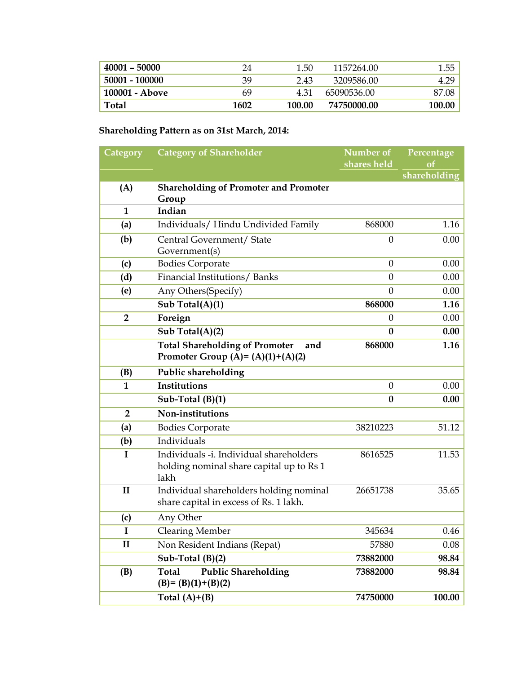| $40001 - 50000$ | 24   | 1.50   | 1157264.00  | - 55.  |
|-----------------|------|--------|-------------|--------|
| 50001 - 100000  | 39   | 2.43   | 3209586.00  |        |
| 100001 - Above  | 69   | 4 31   | 65090536.00 | 87.08  |
| <b>Total</b>    | 1602 | 100.00 | 74750000.00 | 100.00 |

#### **Shareholding Pattern as on 31st March, 2014:**

| Category       | <b>Category of Shareholder</b>               | Number of        | Percentage                    |  |
|----------------|----------------------------------------------|------------------|-------------------------------|--|
|                |                                              | shares held      | <sub>of</sub><br>shareholding |  |
| (A)            | <b>Shareholding of Promoter and Promoter</b> |                  |                               |  |
|                | Group                                        |                  |                               |  |
| $\mathbf{1}$   | Indian                                       |                  |                               |  |
| (a)            | Individuals/ Hindu Undivided Family          | 868000           | 1.16                          |  |
| (b)            | Central Government/ State                    | $\theta$         | 0.00                          |  |
|                | Government(s)                                |                  |                               |  |
| (c)            | <b>Bodies Corporate</b>                      | $\Omega$         | 0.00                          |  |
| (d)            | Financial Institutions/Banks                 | $\boldsymbol{0}$ | 0.00                          |  |
| (e)            | Any Others (Specify)                         | $\theta$         | 0.00                          |  |
|                | Sub Total(A)(1)                              | 868000           | 1.16                          |  |
| $\overline{2}$ | Foreign                                      | $\theta$         | 0.00                          |  |
|                | Sub Total(A)(2)                              | $\boldsymbol{0}$ | 0.00                          |  |
|                | <b>Total Shareholding of Promoter</b><br>and | 868000           | 1.16                          |  |
|                | Promoter Group (A)= $(A)(1)+(A)(2)$          |                  |                               |  |
| (B)            | Public shareholding                          |                  |                               |  |
| $\mathbf{1}$   | <b>Institutions</b>                          | $\Omega$         | 0.00                          |  |
|                | Sub-Total $(B)(1)$                           | $\boldsymbol{0}$ | 0.00                          |  |
| $\overline{2}$ | Non-institutions                             |                  |                               |  |
| (a)            | <b>Bodies Corporate</b>                      | 38210223         | 51.12                         |  |
| (b)            | Individuals                                  |                  |                               |  |
| $\mathbf I$    | Individuals -i. Individual shareholders      | 8616525          | 11.53                         |  |
|                | holding nominal share capital up to Rs 1     |                  |                               |  |
|                | lakh                                         |                  |                               |  |
| $\mathbf{I}$   | Individual shareholders holding nominal      | 26651738         | 35.65                         |  |
|                | share capital in excess of Rs. 1 lakh.       |                  |                               |  |
| (c)            | Any Other                                    |                  |                               |  |
| I              | <b>Clearing Member</b>                       | 345634           | 0.46                          |  |
| $\mathbf{I}$   | Non Resident Indians (Repat)                 | 57880            | 0.08                          |  |
|                | Sub-Total $(B)(2)$                           | 73882000         | 98.84                         |  |
| (B)            | <b>Public Shareholding</b><br><b>Total</b>   | 73882000         | 98.84                         |  |
|                | $(B)=(B)(1)+(B)(2)$                          |                  |                               |  |
|                | Total $(A)+(B)$                              | 74750000         | 100.00                        |  |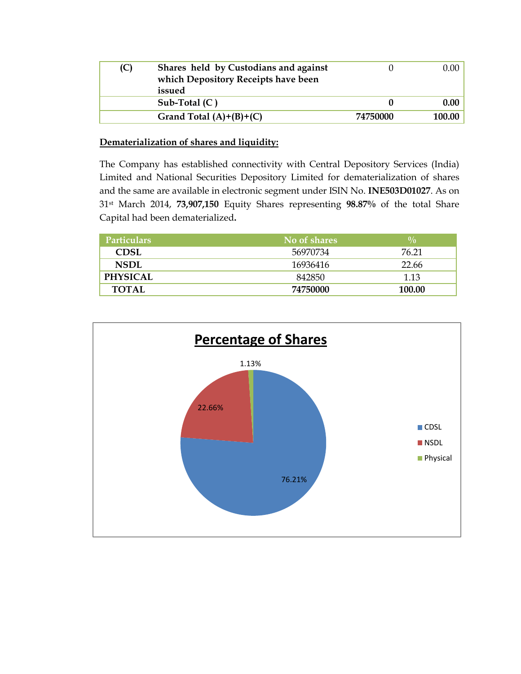| (C) | Shares held by Custodians and against<br>which Depository Receipts have been<br>issued |          | $0.00\,$ |
|-----|----------------------------------------------------------------------------------------|----------|----------|
|     | Sub-Total $(C)$                                                                        |          | 0.00     |
|     | Grand Total $(A)+(B)+(C)$                                                              | 74750000 | 100.00   |

#### **Dematerialization of shares and liquidity:**

The Company has established connectivity with Central Depository Services (India) Limited and National Securities Depository Limited for dematerialization of shares and the same are available in electronic segment under ISIN No. **INE503D01027**. As on 31st March 2014, **73,907,150** Equity Shares representing **98.87%** of the total Share Capital had been dematerialized**.** 

| Particulars <sup>1</sup> | No of shares | $\frac{0}{0}$ |
|--------------------------|--------------|---------------|
| CDSL                     | 56970734     | 76.21         |
| <b>NSDL</b>              | 16936416     | 22.66         |
| <b>PHYSICAL</b>          | 842850       | 1.13          |
| <b>TOTAL</b>             | 74750000     | 100.00        |

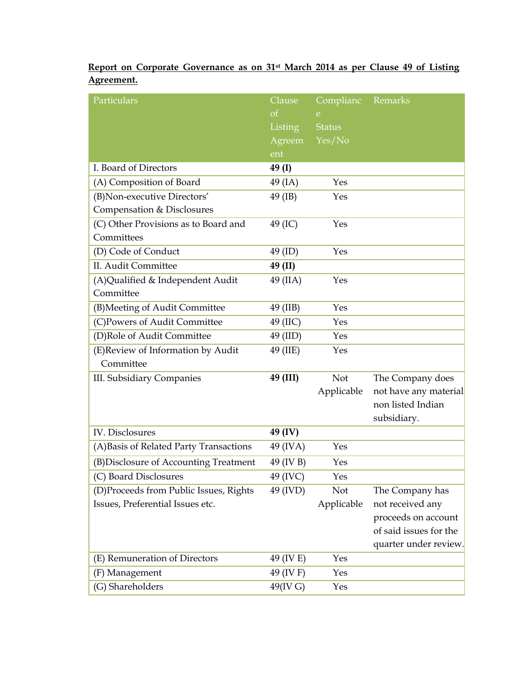|            | Report on Corporate Governance as on 31 <sup>st</sup> March 2014 as per Clause 49 of Listing |  |  |  |  |  |
|------------|----------------------------------------------------------------------------------------------|--|--|--|--|--|
| Agreement. |                                                                                              |  |  |  |  |  |

| Particulars                             | Clause    | Complianc     | Remarks                |
|-----------------------------------------|-----------|---------------|------------------------|
|                                         | $\sigma$  | e             |                        |
|                                         | Listing   | <b>Status</b> |                        |
|                                         | Agreem    | Yes/No        |                        |
|                                         | ent       |               |                        |
| I. Board of Directors                   | 49 (I)    |               |                        |
| (A) Composition of Board                | 49 (IA)   | Yes           |                        |
| (B) Non-executive Directors'            | 49 (IB)   | Yes           |                        |
| Compensation & Disclosures              |           |               |                        |
| (C) Other Provisions as to Board and    | 49 (IC)   | Yes           |                        |
| Committees                              |           |               |                        |
| (D) Code of Conduct                     | 49 (ID)   | Yes           |                        |
| II. Audit Committee                     | 49 (II)   |               |                        |
| (A)Qualified & Independent Audit        | 49 (IIA)  | Yes           |                        |
| Committee                               |           |               |                        |
| (B) Meeting of Audit Committee          | 49 (IIB)  | Yes           |                        |
| (C)Powers of Audit Committee            | 49 (IIC)  | Yes           |                        |
| (D)Role of Audit Committee              | 49 (IID)  | Yes           |                        |
| (E)Review of Information by Audit       | 49 (IIE)  | Yes           |                        |
| Committee                               |           |               |                        |
| <b>III.</b> Subsidiary Companies        | 49 (III)  | Not           | The Company does       |
|                                         |           | Applicable    | not have any material  |
|                                         |           |               | non listed Indian      |
|                                         |           |               | subsidiary.            |
| <b>IV.</b> Disclosures                  | 49 (IV)   |               |                        |
| (A) Basis of Related Party Transactions | 49 (IVA)  | Yes           |                        |
| (B) Disclosure of Accounting Treatment  | 49 (IV B) | Yes           |                        |
| (C) Board Disclosures                   | 49 (IVC)  | Yes           |                        |
| (D)Proceeds from Public Issues, Rights  | 49 (IVD)  | Not           | The Company has        |
| Issues, Preferential Issues etc.        |           | Applicable    | not received any       |
|                                         |           |               | proceeds on account    |
|                                         |           |               | of said issues for the |
|                                         |           |               | quarter under review.  |
| (E) Remuneration of Directors           | 49 (IV E) | Yes           |                        |
| (F) Management                          | 49 (IV F) | Yes           |                        |
| (G) Shareholders                        | 49(IV G)  | Yes           |                        |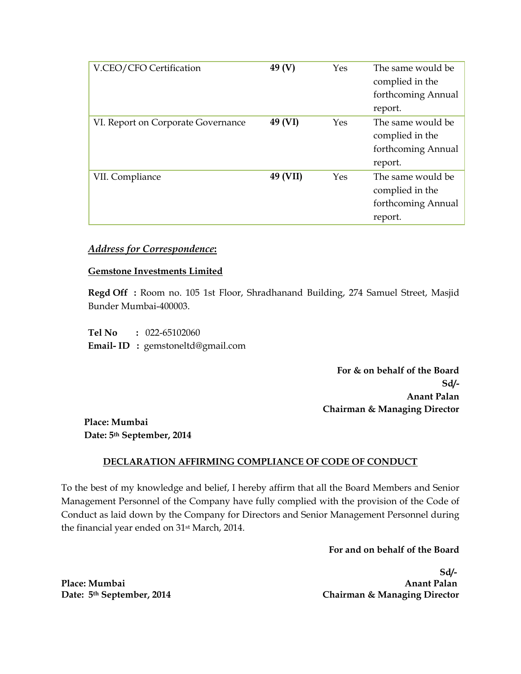| V.CEO/CFO Certification            | 49 $(V)$ | Yes | The same would be<br>complied in the<br>forthcoming Annual<br>report. |
|------------------------------------|----------|-----|-----------------------------------------------------------------------|
| VI. Report on Corporate Governance | 49 (VI)  | Yes | The same would be<br>complied in the<br>forthcoming Annual<br>report. |
| VII. Compliance                    | 49 (VII) | Yes | The same would be<br>complied in the<br>forthcoming Annual<br>report. |

# *Address for Correspondence***:**

#### **Gemstone Investments Limited**

**Regd Off :** Room no. 105 1st Floor, Shradhanand Building, 274 Samuel Street, Masjid Bunder Mumbai-400003.

**Tel No :** 022-65102060 **Email- ID :** [gemstoneltd@gmail.com](mailto:gemstoneltd@gmail.com) 

> **For & on behalf of the Board Sd/- Anant Palan Chairman & Managing Director**

**Place: Mumbai Date: 5th September, 2014**

#### **DECLARATION AFFIRMING COMPLIANCE OF CODE OF CONDUCT**

To the best of my knowledge and belief, I hereby affirm that all the Board Members and Senior Management Personnel of the Company have fully complied with the provision of the Code of Conduct as laid down by the Company for Directors and Senior Management Personnel during the financial year ended on 31st March, 2014.

**For and on behalf of the Board**

 **Sd/-**  Place: Mumbai **Anant Palan Date: 5th September, 2014 Chairman & Managing Director**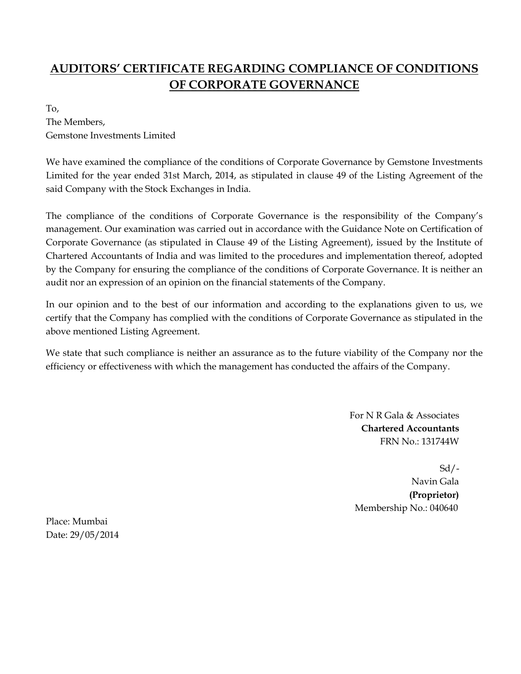# **AUDITORS' CERTIFICATE REGARDING COMPLIANCE OF CONDITIONS OF CORPORATE GOVERNANCE**

To, The Members, Gemstone Investments Limited

We have examined the compliance of the conditions of Corporate Governance by Gemstone Investments Limited for the year ended 31st March, 2014, as stipulated in clause 49 of the Listing Agreement of the said Company with the Stock Exchanges in India.

The compliance of the conditions of Corporate Governance is the responsibility of the Company's management. Our examination was carried out in accordance with the Guidance Note on Certification of Corporate Governance (as stipulated in Clause 49 of the Listing Agreement), issued by the Institute of Chartered Accountants of India and was limited to the procedures and implementation thereof, adopted by the Company for ensuring the compliance of the conditions of Corporate Governance. It is neither an audit nor an expression of an opinion on the financial statements of the Company.

In our opinion and to the best of our information and according to the explanations given to us, we certify that the Company has complied with the conditions of Corporate Governance as stipulated in the above mentioned Listing Agreement.

We state that such compliance is neither an assurance as to the future viability of the Company nor the efficiency or effectiveness with which the management has conducted the affairs of the Company.

> For N R Gala & Associates **Chartered Accountants** FRN No.: 131744W

 $Sd$  /- Navin Gala  **(Proprietor)** Membership No.: 040640

Place: Mumbai Date: 29/05/2014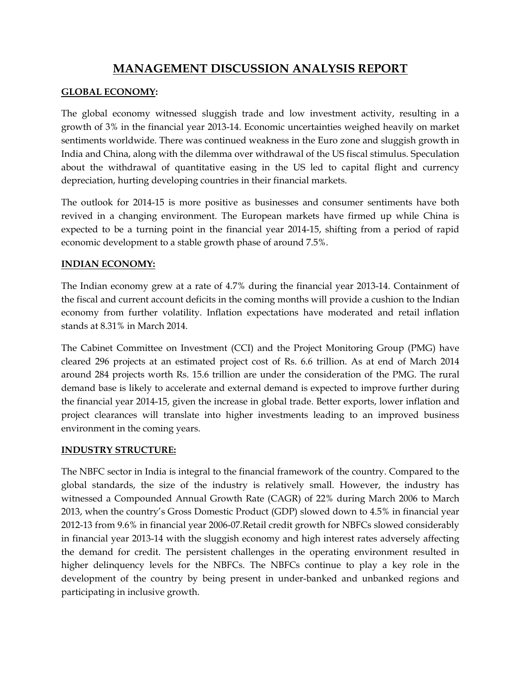# **MANAGEMENT DISCUSSION ANALYSIS REPORT**

#### **GLOBAL ECONOMY:**

The global economy witnessed sluggish trade and low investment activity, resulting in a growth of 3% in the financial year 2013-14. Economic uncertainties weighed heavily on market sentiments worldwide. There was continued weakness in the Euro zone and sluggish growth in India and China, along with the dilemma over withdrawal of the US fiscal stimulus. Speculation about the withdrawal of quantitative easing in the US led to capital flight and currency depreciation, hurting developing countries in their financial markets.

The outlook for 2014-15 is more positive as businesses and consumer sentiments have both revived in a changing environment. The European markets have firmed up while China is expected to be a turning point in the financial year 2014-15, shifting from a period of rapid economic development to a stable growth phase of around 7.5%.

#### **INDIAN ECONOMY:**

The Indian economy grew at a rate of 4.7% during the financial year 2013-14. Containment of the fiscal and current account deficits in the coming months will provide a cushion to the Indian economy from further volatility. Inflation expectations have moderated and retail inflation stands at 8.31% in March 2014.

The Cabinet Committee on Investment (CCI) and the Project Monitoring Group (PMG) have cleared 296 projects at an estimated project cost of Rs. 6.6 trillion. As at end of March 2014 around 284 projects worth Rs. 15.6 trillion are under the consideration of the PMG. The rural demand base is likely to accelerate and external demand is expected to improve further during the financial year 2014-15, given the increase in global trade. Better exports, lower inflation and project clearances will translate into higher investments leading to an improved business environment in the coming years.

#### **INDUSTRY STRUCTURE:**

The NBFC sector in India is integral to the financial framework of the country. Compared to the global standards, the size of the industry is relatively small. However, the industry has witnessed a Compounded Annual Growth Rate (CAGR) of 22% during March 2006 to March 2013, when the country's Gross Domestic Product (GDP) slowed down to 4.5% in financial year 2012-13 from 9.6% in financial year 2006-07.Retail credit growth for NBFCs slowed considerably in financial year 2013-14 with the sluggish economy and high interest rates adversely affecting the demand for credit. The persistent challenges in the operating environment resulted in higher delinquency levels for the NBFCs. The NBFCs continue to play a key role in the development of the country by being present in under-banked and unbanked regions and participating in inclusive growth.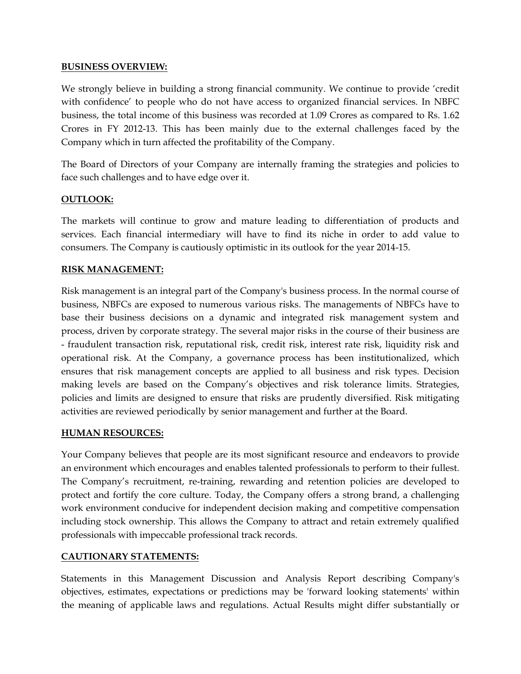#### **BUSINESS OVERVIEW:**

We strongly believe in building a strong financial community. We continue to provide 'credit with confidence' to people who do not have access to organized financial services. In NBFC business, the total income of this business was recorded at 1.09 Crores as compared to Rs. 1.62 Crores in FY 2012-13. This has been mainly due to the external challenges faced by the Company which in turn affected the profitability of the Company.

The Board of Directors of your Company are internally framing the strategies and policies to face such challenges and to have edge over it.

#### **OUTLOOK:**

The markets will continue to grow and mature leading to differentiation of products and services. Each financial intermediary will have to find its niche in order to add value to consumers. The Company is cautiously optimistic in its outlook for the year 2014-15.

#### **RISK MANAGEMENT:**

Risk management is an integral part of the Company's business process. In the normal course of business, NBFCs are exposed to numerous various risks. The managements of NBFCs have to base their business decisions on a dynamic and integrated risk management system and process, driven by corporate strategy. The several major risks in the course of their business are - fraudulent transaction risk, reputational risk, credit risk, interest rate risk, liquidity risk and operational risk. At the Company, a governance process has been institutionalized, which ensures that risk management concepts are applied to all business and risk types. Decision making levels are based on the Company's objectives and risk tolerance limits. Strategies, policies and limits are designed to ensure that risks are prudently diversified. Risk mitigating activities are reviewed periodically by senior management and further at the Board.

#### **HUMAN RESOURCES:**

Your Company believes that people are its most significant resource and endeavors to provide an environment which encourages and enables talented professionals to perform to their fullest. The Company's recruitment, re-training, rewarding and retention policies are developed to protect and fortify the core culture. Today, the Company offers a strong brand, a challenging work environment conducive for independent decision making and competitive compensation including stock ownership. This allows the Company to attract and retain extremely qualified professionals with impeccable professional track records.

#### **CAUTIONARY STATEMENTS:**

Statements in this Management Discussion and Analysis Report describing Company's objectives, estimates, expectations or predictions may be 'forward looking statements' within the meaning of applicable laws and regulations. Actual Results might differ substantially or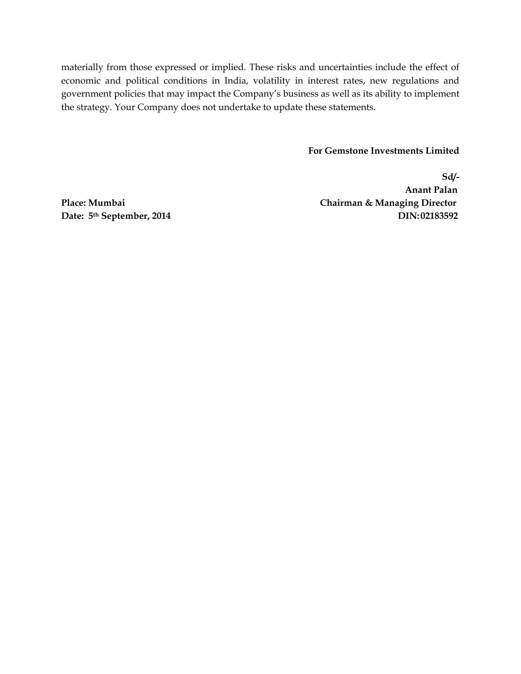materially from those expressed or implied. These risks and uncertainties include the effect of economic and political conditions in India, volatility in interest rates, new regulations and government policies that may impact the Company's business as well as its ability to implement the strategy. Your Company does not undertake to update these statements.

#### **For Gemstone Investments Limited**

**Sd/- Anant Palan Place: Mumbai Chairman & Managing Director Date:** 5<sup>th</sup> September, 2014 DIN:02183592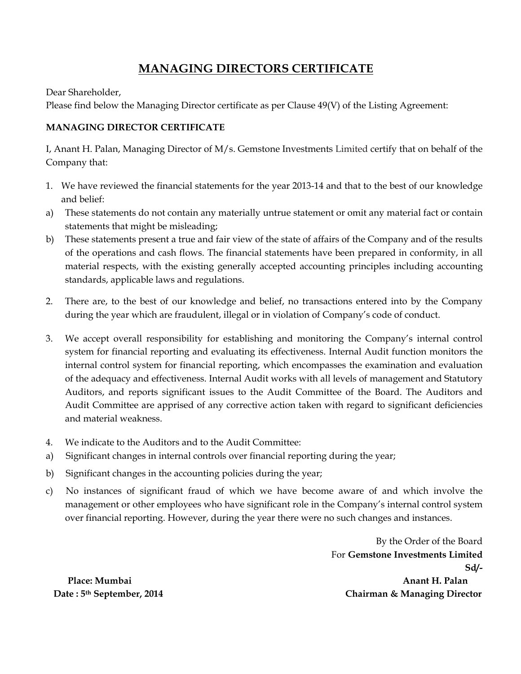# **MANAGING DIRECTORS CERTIFICATE**

Dear Shareholder,

Please find below the Managing Director certificate as per Clause 49(V) of the Listing Agreement:

#### **MANAGING DIRECTOR CERTIFICATE**

I, Anant H. Palan, Managing Director of M/s. Gemstone Investments Limited certify that on behalf of the Company that:

- 1. We have reviewed the financial statements for the year 2013-14 and that to the best of our knowledge and belief:
- a) These statements do not contain any materially untrue statement or omit any material fact or contain statements that might be misleading;
- b) These statements present a true and fair view of the state of affairs of the Company and of the results of the operations and cash flows. The financial statements have been prepared in conformity, in all material respects, with the existing generally accepted accounting principles including accounting standards, applicable laws and regulations.
- 2. There are, to the best of our knowledge and belief, no transactions entered into by the Company during the year which are fraudulent, illegal or in violation of Company's code of conduct.
- 3. We accept overall responsibility for establishing and monitoring the Company's internal control system for financial reporting and evaluating its effectiveness. Internal Audit function monitors the internal control system for financial reporting, which encompasses the examination and evaluation of the adequacy and effectiveness. Internal Audit works with all levels of management and Statutory Auditors, and reports significant issues to the Audit Committee of the Board. The Auditors and Audit Committee are apprised of any corrective action taken with regard to significant deficiencies and material weakness.
- 4. We indicate to the Auditors and to the Audit Committee:
- a) Significant changes in internal controls over financial reporting during the year;
- b) Significant changes in the accounting policies during the year;
- c) No instances of significant fraud of which we have become aware of and which involve the management or other employees who have significant role in the Company's internal control system over financial reporting. However, during the year there were no such changes and instances.

By the Order of the Board For **Gemstone Investments Limited Sd/- Place: Mumbai Anant H. Palan Date : 5th September, 2014 Chairman & Managing Director**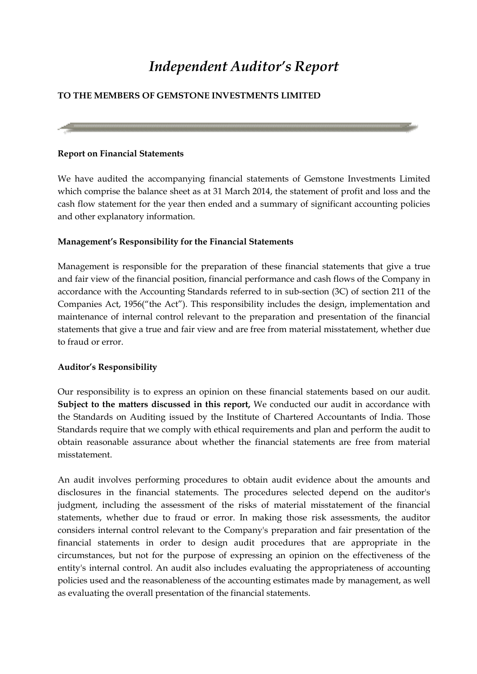# *Independent Auditor's Report*

## **TO THE MEMBERS OF GEMSTONE INVESTMENTS LIMITED**

#### **Report on Financial Statements**

We have audited the accompanying financial statements of Gemstone Investments Limited which comprise the balance sheet as at 31 March 2014, the statement of profit and loss and the cash flow statement for the year then ended and a summary of significant accounting policies and other explanatory information.

#### **Management's Responsibility for the Financial Statements**

Management is responsible for the preparation of these financial statements that give a true and fair view of the financial position, financial performance and cash flows of the Company in accordance with the Accounting Standards referred to in sub-section (3C) of section 211 of the Companies Act, 1956("the Act"). This responsibility includes the design, implementation and maintenance of internal control relevant to the preparation and presentation of the financial statements that give a true and fair view and are free from material misstatement, whether due to fraud or error.

#### **Auditor's Responsibility**

Our responsibility is to express an opinion on these financial statements based on our audit. **Subject to the matters discussed in this report,** We conducted our audit in accordance with the Standards on Auditing issued by the Institute of Chartered Accountants of India. Those Standards require that we comply with ethical requirements and plan and perform the audit to obtain reasonable assurance about whether the financial statements are free from material misstatement.

An audit involves performing procedures to obtain audit evidence about the amounts and disclosures in the financial statements. The procedures selected depend on the auditor's judgment, including the assessment of the risks of material misstatement of the financial statements, whether due to fraud or error. In making those risk assessments, the auditor considers internal control relevant to the Company's preparation and fair presentation of the financial statements in order to design audit procedures that are appropriate in the circumstances, but not for the purpose of expressing an opinion on the effectiveness of the entity's internal control. An audit also includes evaluating the appropriateness of accounting policies used and the reasonableness of the accounting estimates made by management, as well as evaluating the overall presentation of the financial statements.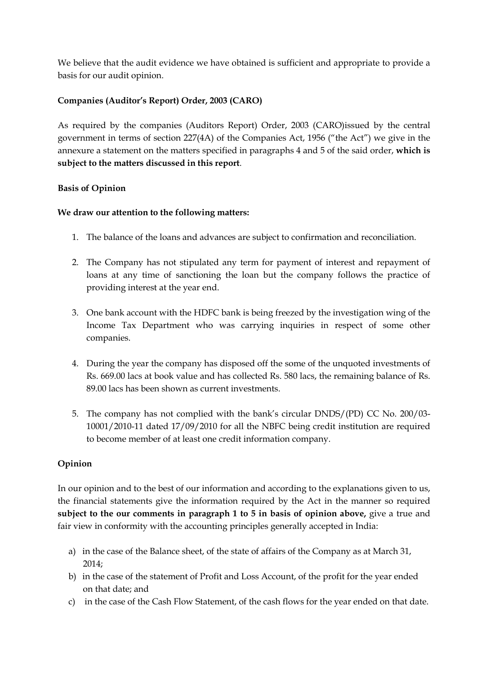We believe that the audit evidence we have obtained is sufficient and appropriate to provide a basis for our audit opinion.

#### **Companies (Auditor's Report) Order, 2003 (CARO)**

As required by the companies (Auditors Report) Order, 2003 (CARO)issued by the central government in terms of section 227(4A) of the Companies Act, 1956 ("the Act") we give in the annexure a statement on the matters specified in paragraphs 4 and 5 of the said order, **which is subject to the matters discussed in this report**.

#### **Basis of Opinion**

#### **We draw our attention to the following matters:**

- 1. The balance of the loans and advances are subject to confirmation and reconciliation.
- 2. The Company has not stipulated any term for payment of interest and repayment of loans at any time of sanctioning the loan but the company follows the practice of providing interest at the year end.
- 3. One bank account with the HDFC bank is being freezed by the investigation wing of the Income Tax Department who was carrying inquiries in respect of some other companies.
- 4. During the year the company has disposed off the some of the unquoted investments of Rs. 669.00 lacs at book value and has collected Rs. 580 lacs, the remaining balance of Rs. 89.00 lacs has been shown as current investments.
- 5. The company has not complied with the bank's circular DNDS/(PD) CC No. 200/03- 10001/2010-11 dated 17/09/2010 for all the NBFC being credit institution are required to become member of at least one credit information company.

#### **Opinion**

In our opinion and to the best of our information and according to the explanations given to us, the financial statements give the information required by the Act in the manner so required **subject to the our comments in paragraph 1 to 5 in basis of opinion above,** give a true and fair view in conformity with the accounting principles generally accepted in India:

- a) in the case of the Balance sheet, of the state of affairs of the Company as at March 31, 2014;
- b) in the case of the statement of Profit and Loss Account, of the profit for the year ended on that date; and
- c) in the case of the Cash Flow Statement, of the cash flows for the year ended on that date.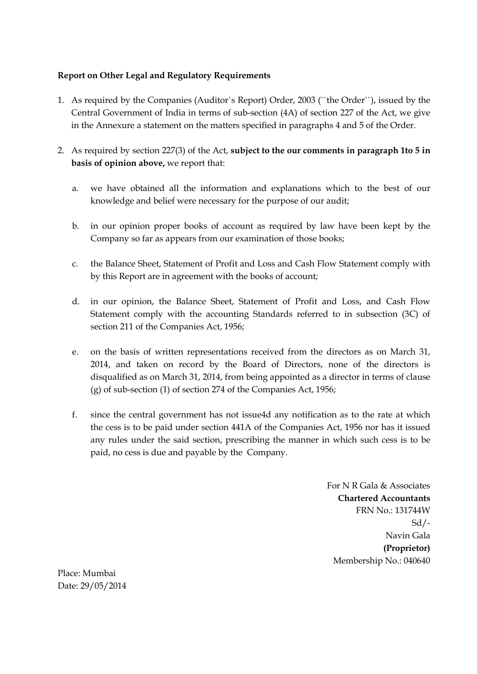#### **Report on Other Legal and Regulatory Requirements**

- 1. As required by the Companies (Auditor`s Report) Order, 2003 (``the Order``), issued by the Central Government of India in terms of sub-section (4A) of section 227 of the Act, we give in the Annexure a statement on the matters specified in paragraphs 4 and 5 of the Order.
- 2. As required by section 227(3) of the Act, **subject to the our comments in paragraph 1to 5 in basis of opinion above,** we report that:
	- a. we have obtained all the information and explanations which to the best of our knowledge and belief were necessary for the purpose of our audit;
	- b. in our opinion proper books of account as required by law have been kept by the Company so far as appears from our examination of those books;
	- c. the Balance Sheet, Statement of Profit and Loss and Cash Flow Statement comply with by this Report are in agreement with the books of account;
	- d. in our opinion, the Balance Sheet, Statement of Profit and Loss, and Cash Flow Statement comply with the accounting Standards referred to in subsection (3C) of section 211 of the Companies Act, 1956;
	- e. on the basis of written representations received from the directors as on March 31, 2014, and taken on record by the Board of Directors, none of the directors is disqualified as on March 31, 2014, from being appointed as a director in terms of clause (g) of sub-section (1) of section 274 of the Companies Act, 1956;
	- f. since the central government has not issue4d any notification as to the rate at which the cess is to be paid under section 441A of the Companies Act, 1956 nor has it issued any rules under the said section, prescribing the manner in which such cess is to be paid, no cess is due and payable by the Company.

For N R Gala & Associates **Chartered Accountants** FRN No.: 131744W Sd/- Navin Gala  **(Proprietor)** Membership No.: 040640

Place: Mumbai Date: 29/05/2014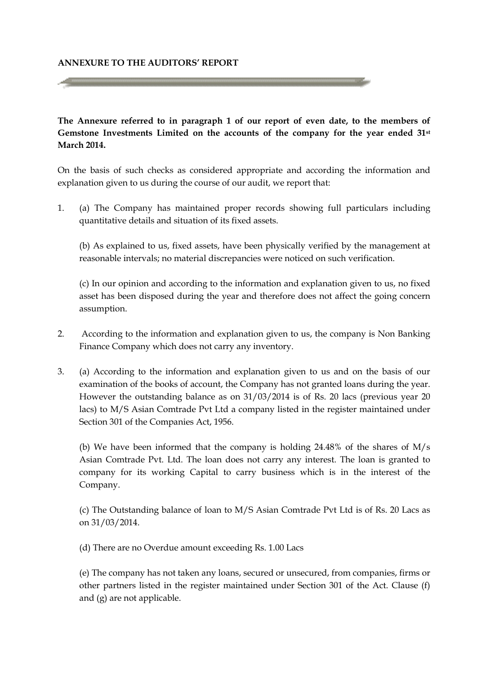#### **ANNEXURE TO THE AUDITORS' REPORT**

**The Annexure referred to in paragraph 1 of our report of even date, to the members of Gemstone Investments Limited on the accounts of the company for the year ended 31st March 2014.**

On the basis of such checks as considered appropriate and according the information and explanation given to us during the course of our audit, we report that:

1. (a) The Company has maintained proper records showing full particulars including quantitative details and situation of its fixed assets.

(b) As explained to us, fixed assets, have been physically verified by the management at reasonable intervals; no material discrepancies were noticed on such verification.

(c) In our opinion and according to the information and explanation given to us, no fixed asset has been disposed during the year and therefore does not affect the going concern assumption.

- 2. According to the information and explanation given to us, the company is Non Banking Finance Company which does not carry any inventory.
- 3. (a) According to the information and explanation given to us and on the basis of our examination of the books of account, the Company has not granted loans during the year. However the outstanding balance as on 31/03/2014 is of Rs. 20 lacs (previous year 20 lacs) to M/S Asian Comtrade Pvt Ltd a company listed in the register maintained under Section 301 of the Companies Act, 1956.

(b) We have been informed that the company is holding 24.48% of the shares of M/s Asian Comtrade Pvt. Ltd. The loan does not carry any interest. The loan is granted to company for its working Capital to carry business which is in the interest of the Company.

(c) The Outstanding balance of loan to M/S Asian Comtrade Pvt Ltd is of Rs. 20 Lacs as on 31/03/2014.

(d) There are no Overdue amount exceeding Rs. 1.00 Lacs

(e) The company has not taken any loans, secured or unsecured, from companies, firms or other partners listed in the register maintained under Section 301 of the Act. Clause (f) and (g) are not applicable.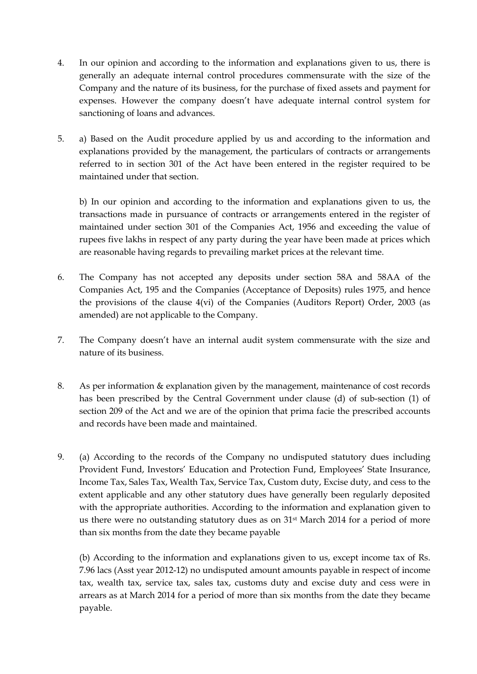- 4. In our opinion and according to the information and explanations given to us, there is generally an adequate internal control procedures commensurate with the size of the Company and the nature of its business, for the purchase of fixed assets and payment for expenses. However the company doesn't have adequate internal control system for sanctioning of loans and advances.
- 5. a) Based on the Audit procedure applied by us and according to the information and explanations provided by the management, the particulars of contracts or arrangements referred to in section 301 of the Act have been entered in the register required to be maintained under that section.

b) In our opinion and according to the information and explanations given to us, the transactions made in pursuance of contracts or arrangements entered in the register of maintained under section 301 of the Companies Act, 1956 and exceeding the value of rupees five lakhs in respect of any party during the year have been made at prices which are reasonable having regards to prevailing market prices at the relevant time.

- 6. The Company has not accepted any deposits under section 58A and 58AA of the Companies Act, 195 and the Companies (Acceptance of Deposits) rules 1975, and hence the provisions of the clause 4(vi) of the Companies (Auditors Report) Order, 2003 (as amended) are not applicable to the Company.
- 7. The Company doesn't have an internal audit system commensurate with the size and nature of its business.
- 8. As per information & explanation given by the management, maintenance of cost records has been prescribed by the Central Government under clause (d) of sub-section (1) of section 209 of the Act and we are of the opinion that prima facie the prescribed accounts and records have been made and maintained.
- 9. (a) According to the records of the Company no undisputed statutory dues including Provident Fund, Investors' Education and Protection Fund, Employees' State Insurance, Income Tax, Sales Tax, Wealth Tax, Service Tax, Custom duty, Excise duty, and cess to the extent applicable and any other statutory dues have generally been regularly deposited with the appropriate authorities. According to the information and explanation given to us there were no outstanding statutory dues as on 31st March 2014 for a period of more than six months from the date they became payable

(b) According to the information and explanations given to us, except income tax of Rs. 7.96 lacs (Asst year 2012-12) no undisputed amount amounts payable in respect of income tax, wealth tax, service tax, sales tax, customs duty and excise duty and cess were in arrears as at March 2014 for a period of more than six months from the date they became payable.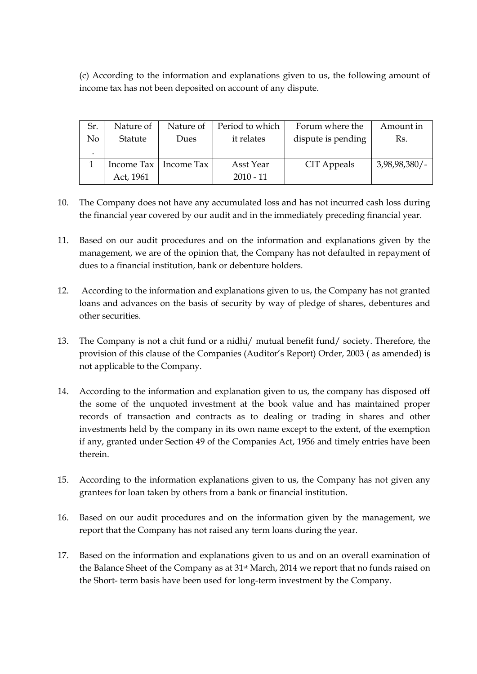(c) According to the information and explanations given to us, the following amount of income tax has not been deposited on account of any dispute.

| Sr. | Nature of | Nature of               | Period to which | Forum where the    | Amount in        |
|-----|-----------|-------------------------|-----------------|--------------------|------------------|
| No  | Statute   | Dues                    | it relates      | dispute is pending | Rs.              |
|     |           |                         |                 |                    |                  |
|     |           | Income Tax   Income Tax | Asst Year       | CIT Appeals        | $3,98,98,380/$ - |
|     | Act, 1961 |                         | $2010 - 11$     |                    |                  |

- 10. The Company does not have any accumulated loss and has not incurred cash loss during the financial year covered by our audit and in the immediately preceding financial year.
- 11. Based on our audit procedures and on the information and explanations given by the management, we are of the opinion that, the Company has not defaulted in repayment of dues to a financial institution, bank or debenture holders.
- 12. According to the information and explanations given to us, the Company has not granted loans and advances on the basis of security by way of pledge of shares, debentures and other securities.
- 13. The Company is not a chit fund or a nidhi/ mutual benefit fund/ society. Therefore, the provision of this clause of the Companies (Auditor's Report) Order, 2003 ( as amended) is not applicable to the Company.
- 14. According to the information and explanation given to us, the company has disposed off the some of the unquoted investment at the book value and has maintained proper records of transaction and contracts as to dealing or trading in shares and other investments held by the company in its own name except to the extent, of the exemption if any, granted under Section 49 of the Companies Act, 1956 and timely entries have been therein.
- 15. According to the information explanations given to us, the Company has not given any grantees for loan taken by others from a bank or financial institution.
- 16. Based on our audit procedures and on the information given by the management, we report that the Company has not raised any term loans during the year.
- 17. Based on the information and explanations given to us and on an overall examination of the Balance Sheet of the Company as at 31st March, 2014 we report that no funds raised on the Short- term basis have been used for long-term investment by the Company.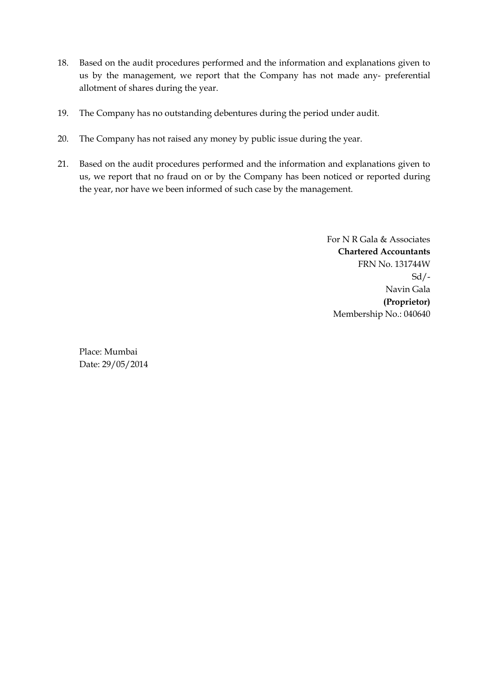- 18. Based on the audit procedures performed and the information and explanations given to us by the management, we report that the Company has not made any- preferential allotment of shares during the year.
- 19. The Company has no outstanding debentures during the period under audit.
- 20. The Company has not raised any money by public issue during the year.
- 21. Based on the audit procedures performed and the information and explanations given to us, we report that no fraud on or by the Company has been noticed or reported during the year, nor have we been informed of such case by the management.

For N R Gala & Associates **Chartered Accountants** FRN No. 131744W Sd/- Navin Gala  **(Proprietor)** Membership No.: 040640

Place: Mumbai Date: 29/05/2014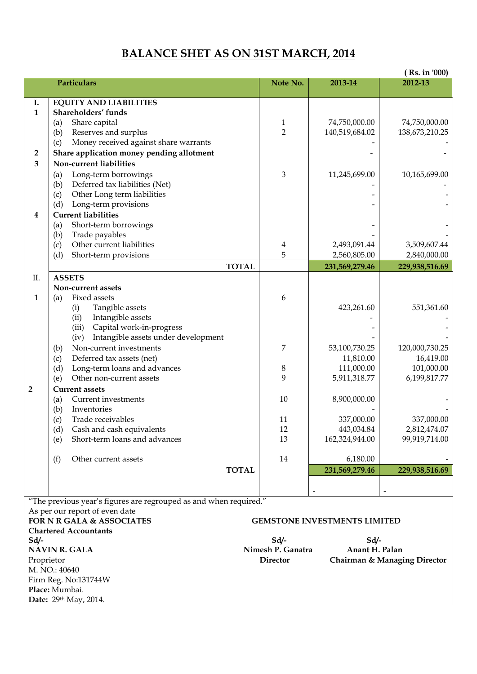# **BALANCE SHET AS ON 31ST MARCH, 2014**

|                |                                                                   |                     |                                     | (Rs. in '000)                |
|----------------|-------------------------------------------------------------------|---------------------|-------------------------------------|------------------------------|
|                | Particulars                                                       | Note No.            | 2013-14                             | 2012-13                      |
|                |                                                                   |                     |                                     |                              |
| I.             | <b>EQUITY AND LIABILITIES</b>                                     |                     |                                     |                              |
| $\mathbf{1}$   | Shareholders' funds                                               |                     |                                     |                              |
|                | Share capital<br>(a)                                              | 1<br>$\overline{2}$ | 74,750,000.00                       | 74,750,000.00                |
|                | Reserves and surplus<br>(b)                                       |                     | 140,519,684.02                      | 138,673,210.25               |
|                | Money received against share warrants<br>(c)                      |                     |                                     |                              |
| 2              | Share application money pending allotment                         |                     |                                     |                              |
| 3              | Non-current liabilities                                           |                     |                                     |                              |
|                | Long-term borrowings<br>(a)                                       | $\mathfrak{B}$      | 11,245,699.00                       | 10,165,699.00                |
|                | Deferred tax liabilities (Net)<br>(b)                             |                     |                                     |                              |
|                | Other Long term liabilities<br>(c)                                |                     |                                     |                              |
|                | Long-term provisions<br>(d)                                       |                     |                                     |                              |
| 4              | <b>Current liabilities</b>                                        |                     |                                     |                              |
|                | Short-term borrowings<br>(a)                                      |                     |                                     |                              |
|                | Trade payables<br>(b)<br>Other current liabilities                |                     | 2,493,091.44                        | 3,509,607.44                 |
|                | (c)<br>(d)<br>Short-term provisions                               | 4<br>5              | 2,560,805.00                        | 2,840,000.00                 |
|                |                                                                   |                     |                                     |                              |
|                | <b>TOTAL</b>                                                      |                     | 231,569,279.46                      | 229,938,516.69               |
| Π.             | <b>ASSETS</b>                                                     |                     |                                     |                              |
|                | Non-current assets                                                |                     |                                     |                              |
| $\mathbf{1}$   | Fixed assets<br>(a)                                               | 6                   |                                     |                              |
|                | Tangible assets<br>(i)<br>Intangible assets                       |                     | 423,261.60                          | 551,361.60                   |
|                | (ii)<br>Capital work-in-progress<br>(iii)                         |                     |                                     |                              |
|                | Intangible assets under development<br>(iv)                       |                     |                                     |                              |
|                | Non-current investments<br>(b)                                    | 7                   | 53,100,730.25                       | 120,000,730.25               |
|                | Deferred tax assets (net)<br>(c)                                  |                     | 11,810.00                           | 16,419.00                    |
|                | Long-term loans and advances<br>(d)                               | 8                   | 111,000.00                          | 101,000.00                   |
|                | Other non-current assets<br>(e)                                   | 9                   | 5,911,318.77                        | 6,199,817.77                 |
| $\overline{2}$ | <b>Current assets</b>                                             |                     |                                     |                              |
|                | Current investments<br>(a)                                        | 10                  | 8,900,000.00                        |                              |
|                | Inventories<br>(b)                                                |                     |                                     |                              |
|                | Trade receivables<br>(c)                                          | 11                  | 337,000.00                          | 337,000.00                   |
|                | Cash and cash equivalents<br>(d)                                  | 12                  | 443,034.84                          | 2,812,474.07                 |
|                | Short-term loans and advances<br>(e)                              | 13                  | 162,324,944.00                      | 99,919,714.00                |
|                |                                                                   |                     |                                     |                              |
|                | (f)<br>Other current assets                                       | 14                  | 6,180.00                            |                              |
|                | <b>TOTAL</b>                                                      |                     | 231,569,279.46                      | 229,938,516.69               |
|                |                                                                   |                     |                                     |                              |
|                |                                                                   |                     |                                     |                              |
|                | "The previous year's figures are regrouped as and when required." |                     |                                     |                              |
|                | As per our report of even date                                    |                     |                                     |                              |
|                | <b>FOR N R GALA &amp; ASSOCIATES</b>                              |                     | <b>GEMSTONE INVESTMENTS LIMITED</b> |                              |
|                | <b>Chartered Accountants</b>                                      |                     |                                     |                              |
| Sd/-           |                                                                   | $Sd$ /-             | $Sd$ /-                             |                              |
|                | <b>NAVIN R. GALA</b>                                              | Nimesh P. Ganatra   | Anant H. Palan                      |                              |
| Proprietor     |                                                                   | <b>Director</b>     |                                     | Chairman & Managing Director |
|                | M. NO.: 40640                                                     |                     |                                     |                              |
|                | Firm Reg. No:131744W                                              |                     |                                     |                              |
|                | Place: Mumbai.                                                    |                     |                                     |                              |
|                | Date: 29th May, 2014.                                             |                     |                                     |                              |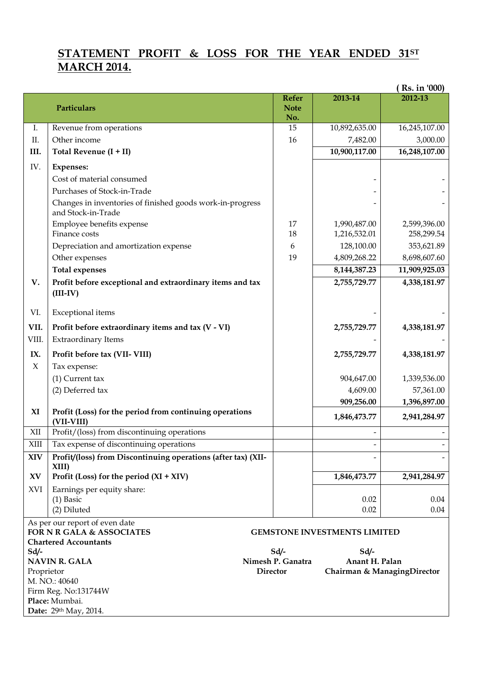# **STATEMENT PROFIT & LOSS FOR THE YEAR ENDED 31ST MARCH 2014.**

|            |                                                                                 |                           |                                     | <b>Rs.</b> in '000) |
|------------|---------------------------------------------------------------------------------|---------------------------|-------------------------------------|---------------------|
|            |                                                                                 | <b>Refer</b>              | 2013-14                             | 2012-13             |
|            | Particulars                                                                     | <b>Note</b>               |                                     |                     |
| Ι.         | Revenue from operations                                                         | No.<br>15                 | 10,892,635.00                       | 16,245,107.00       |
| Π.         | Other income                                                                    | 16                        | 7,482.00                            | 3,000.00            |
| III.       | Total Revenue (I + II)                                                          |                           | 10,900,117.00                       | 16,248,107.00       |
|            |                                                                                 |                           |                                     |                     |
| IV.        | <b>Expenses:</b>                                                                |                           |                                     |                     |
|            | Cost of material consumed                                                       |                           |                                     |                     |
|            | Purchases of Stock-in-Trade                                                     |                           |                                     |                     |
|            | Changes in inventories of finished goods work-in-progress<br>and Stock-in-Trade |                           |                                     |                     |
|            | Employee benefits expense                                                       | 17                        | 1,990,487.00                        | 2,599,396.00        |
|            | Finance costs                                                                   | 18                        | 1,216,532.01                        | 258,299.54          |
|            | Depreciation and amortization expense                                           | 6                         | 128,100.00                          | 353,621.89          |
|            | Other expenses                                                                  | 19                        | 4,809,268.22                        | 8,698,607.60        |
|            | <b>Total expenses</b>                                                           |                           | 8, 144, 387. 23                     | 11,909,925.03       |
| V.         | Profit before exceptional and extraordinary items and tax                       |                           | 2,755,729.77                        | 4,338,181.97        |
|            | $(III-IV)$                                                                      |                           |                                     |                     |
| VI.        | <b>Exceptional</b> items                                                        |                           |                                     |                     |
| VII.       | Profit before extraordinary items and tax (V - VI)                              |                           | 2,755,729.77                        | 4,338,181.97        |
| VIII.      | <b>Extraordinary Items</b>                                                      |                           |                                     |                     |
| IX.        | Profit before tax (VII-VIII)                                                    |                           | 2,755,729.77                        | 4,338,181.97        |
| $\chi$     | Tax expense:                                                                    |                           |                                     |                     |
|            | $(1)$ Current tax                                                               |                           | 904,647.00                          | 1,339,536.00        |
|            | (2) Deferred tax                                                                |                           | 4,609.00                            | 57,361.00           |
|            |                                                                                 |                           | 909,256.00                          | 1,396,897.00        |
| XI         | Profit (Loss) for the period from continuing operations<br>(VII-VIII)           |                           | 1,846,473.77                        | 2,941,284.97        |
| XII        | Profit/(loss) from discontinuing operations                                     |                           |                                     |                     |
| XIII       | Tax expense of discontinuing operations                                         |                           |                                     |                     |
| XIV        | Profit/(loss) from Discontinuing operations (after tax) (XII-<br>XIII)          |                           |                                     |                     |
| XV         | Profit (Loss) for the period $(XI + XIV)$                                       |                           | 1,846,473.77                        | 2,941,284.97        |
| XVI        | Earnings per equity share:                                                      |                           |                                     |                     |
|            | $(1)$ Basic                                                                     |                           | 0.02                                | 0.04                |
|            | (2) Diluted                                                                     |                           | 0.02                                | 0.04                |
|            | As per our report of even date                                                  |                           |                                     |                     |
|            | FOR N R GALA & ASSOCIATES                                                       |                           | <b>GEMSTONE INVESTMENTS LIMITED</b> |                     |
|            | <b>Chartered Accountants</b>                                                    |                           |                                     |                     |
| Sd/-       | <b>NAVIN R. GALA</b>                                                            | Sd/-<br>Nimesh P. Ganatra | Sd/-<br>Anant H. Palan              |                     |
| Proprietor |                                                                                 | <b>Director</b>           | Chairman & ManagingDirector         |                     |
|            | M. NO.: 40640                                                                   |                           |                                     |                     |
|            | Firm Reg. No:131744W                                                            |                           |                                     |                     |
|            | Place: Mumbai.                                                                  |                           |                                     |                     |
|            | Date: 29th May, 2014.                                                           |                           |                                     |                     |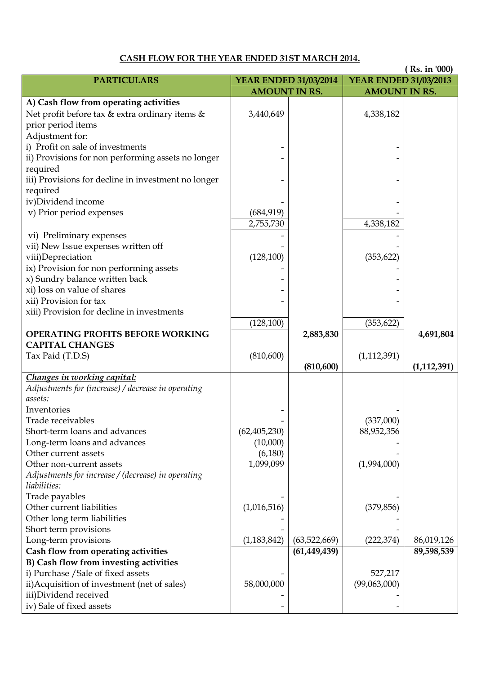# **CASH FLOW FOR THE YEAR ENDED 31ST MARCH 2014.**

|                                                     |                              |                |                              | (Rs. in '000) |
|-----------------------------------------------------|------------------------------|----------------|------------------------------|---------------|
| <b>PARTICULARS</b>                                  | <b>YEAR ENDED 31/03/2014</b> |                | <b>YEAR ENDED 31/03/2013</b> |               |
|                                                     | <b>AMOUNT IN RS.</b>         |                | <b>AMOUNT IN RS.</b>         |               |
| A) Cash flow from operating activities              |                              |                |                              |               |
| Net profit before tax & extra ordinary items &      | 3,440,649                    |                | 4,338,182                    |               |
| prior period items                                  |                              |                |                              |               |
| Adjustment for:                                     |                              |                |                              |               |
| i) Profit on sale of investments                    |                              |                |                              |               |
| ii) Provisions for non performing assets no longer  |                              |                |                              |               |
| required                                            |                              |                |                              |               |
| iii) Provisions for decline in investment no longer |                              |                |                              |               |
| required                                            |                              |                |                              |               |
| iv)Dividend income                                  |                              |                |                              |               |
| v) Prior period expenses                            | (684, 919)                   |                |                              |               |
|                                                     | 2,755,730                    |                | 4,338,182                    |               |
| vi) Preliminary expenses                            |                              |                |                              |               |
| vii) New Issue expenses written off                 |                              |                |                              |               |
| viii)Depreciation                                   | (128, 100)                   |                | (353, 622)                   |               |
| ix) Provision for non performing assets             |                              |                |                              |               |
| x) Sundry balance written back                      |                              |                |                              |               |
| xi) loss on value of shares                         |                              |                |                              |               |
| xii) Provision for tax                              |                              |                |                              |               |
| xiii) Provision for decline in investments          |                              |                |                              |               |
|                                                     | (128,100)                    |                | (353, 622)                   |               |
| <b>OPERATING PROFITS BEFORE WORKING</b>             |                              | 2,883,830      |                              | 4,691,804     |
| <b>CAPITAL CHANGES</b>                              |                              |                |                              |               |
| Tax Paid (T.D.S)                                    | (810, 600)                   |                | (1, 112, 391)                |               |
|                                                     |                              | (810, 600)     |                              | (1, 112, 391) |
| Changes in working capital:                         |                              |                |                              |               |
| Adjustments for (increase) / decrease in operating  |                              |                |                              |               |
| assets:                                             |                              |                |                              |               |
| Inventories                                         |                              |                |                              |               |
| Trade receivables                                   |                              |                | (337,000)                    |               |
| Short-term loans and advances                       | (62, 405, 230)               |                | 88,952,356                   |               |
| Long-term loans and advances                        | (10,000)                     |                |                              |               |
| Other current assets                                | (6,180)                      |                |                              |               |
| Other non-current assets                            | 1,099,099                    |                | (1,994,000)                  |               |
| Adjustments for increase / (decrease) in operating  |                              |                |                              |               |
| liabilities:                                        |                              |                |                              |               |
| Trade payables                                      |                              |                |                              |               |
| Other current liabilities                           | (1,016,516)                  |                | (379, 856)                   |               |
| Other long term liabilities                         |                              |                |                              |               |
| Short term provisions                               |                              |                |                              |               |
| Long-term provisions                                | (1, 183, 842)                | (63,522,669)   | (222, 374)                   | 86,019,126    |
| Cash flow from operating activities                 |                              | (61, 449, 439) |                              | 89,598,539    |
| B) Cash flow from investing activities              |                              |                |                              |               |
| i) Purchase / Sale of fixed assets                  |                              |                | 527,217                      |               |
| ii) Acquisition of investment (net of sales)        | 58,000,000                   |                | (99,063,000)                 |               |
| iii)Dividend received                               |                              |                |                              |               |
| iv) Sale of fixed assets                            |                              |                |                              |               |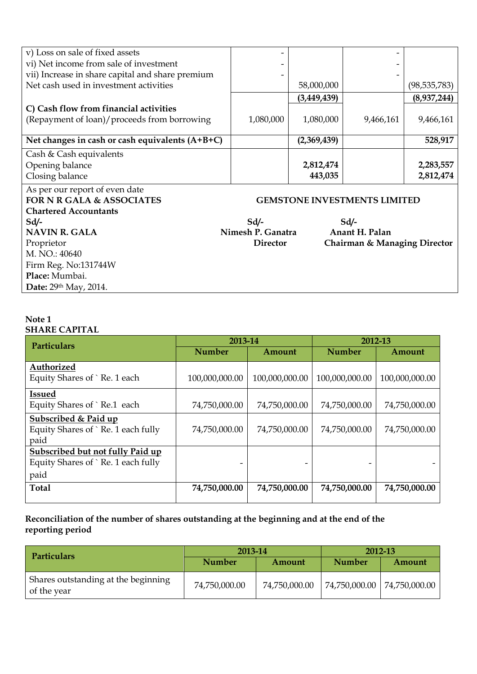| v) Loss on sale of fixed assets                   |                   |             |                                     |                |
|---------------------------------------------------|-------------------|-------------|-------------------------------------|----------------|
| vi) Net income from sale of investment            |                   |             |                                     |                |
| vii) Increase in share capital and share premium  | -                 |             |                                     |                |
| Net cash used in investment activities            |                   | 58,000,000  |                                     | (98, 535, 783) |
|                                                   |                   | (3,449,439) |                                     | (8,937,244)    |
| C) Cash flow from financial activities            |                   |             |                                     |                |
| (Repayment of loan)/proceeds from borrowing       | 1,080,000         | 1,080,000   | 9,466,161                           | 9,466,161      |
|                                                   |                   |             |                                     |                |
| Net changes in cash or cash equivalents $(A+B+C)$ |                   | (2,369,439) |                                     | 528,917        |
| Cash & Cash equivalents                           |                   |             |                                     |                |
| Opening balance                                   |                   | 2,812,474   |                                     | 2,283,557      |
| Closing balance                                   |                   | 443,035     |                                     | 2,812,474      |
| As per our report of even date                    |                   |             |                                     |                |
| <b>FOR N R GALA &amp; ASSOCIATES</b>              |                   |             | <b>GEMSTONE INVESTMENTS LIMITED</b> |                |
| <b>Chartered Accountants</b>                      |                   |             |                                     |                |
| $Sd$ /-                                           | $Sd/-$            |             | $Sd$ /-                             |                |
| <b>NAVIN R. GALA</b>                              | Nimesh P. Ganatra |             | Anant H. Palan                      |                |
| Proprietor                                        | <b>Director</b>   |             | Chairman & Managing Director        |                |
| M. NO.: 40640                                     |                   |             |                                     |                |
| Firm Reg. No:131744W                              |                   |             |                                     |                |
| Place: Mumbai.                                    |                   |             |                                     |                |
| Date: 29th May, 2014.                             |                   |             |                                     |                |

#### **Note 1 SHARE CAPITAL**

| <b>Particulars</b>                      | 2013-14        |                |                | 2012-13        |
|-----------------------------------------|----------------|----------------|----------------|----------------|
|                                         | <b>Number</b>  | Amount         | <b>Number</b>  | Amount         |
| Authorized                              |                |                |                |                |
| Equity Shares of `Re. 1 each            | 100,000,000.00 | 100,000,000.00 | 100,000,000.00 | 100,000,000.00 |
| <b>Issued</b>                           |                |                |                |                |
| Equity Shares of `Re.1 each             | 74,750,000.00  | 74,750,000.00  | 74,750,000.00  | 74,750,000.00  |
| Subscribed & Paid up                    |                |                |                |                |
| Equity Shares of `Re. 1 each fully      | 74,750,000.00  | 74,750,000.00  | 74,750,000.00  | 74,750,000.00  |
| paid                                    |                |                |                |                |
| <b>Subscribed but not fully Paid up</b> |                |                |                |                |
| Equity Shares of `Re. 1 each fully      |                |                |                |                |
| paid                                    |                |                |                |                |
| <b>Total</b>                            | 74,750,000.00  | 74,750,000.00  | 74,750,000.00  | 74,750,000.00  |

**Reconciliation of the number of shares outstanding at the beginning and at the end of the reporting period**

| <b>Particulars</b>                                 | 2013-14       |               | 2012-13       |               |
|----------------------------------------------------|---------------|---------------|---------------|---------------|
|                                                    | <b>Number</b> | Amount        | <b>Number</b> | Amount        |
| Shares outstanding at the beginning<br>of the year | 74,750,000.00 | 74,750,000.00 | 74,750,000.00 | 74,750,000.00 |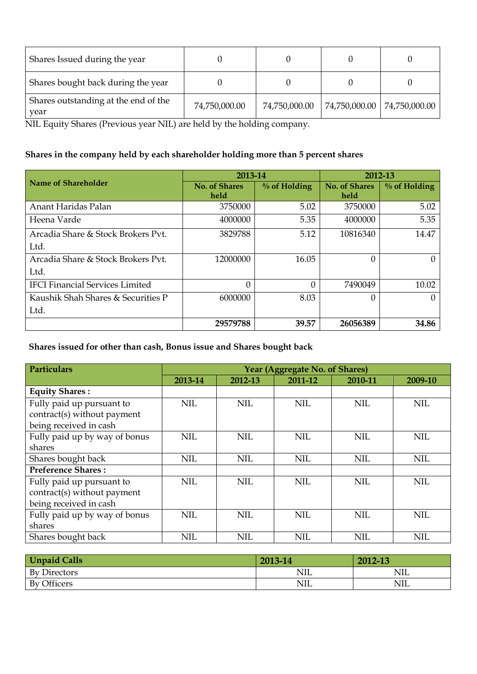| Shares Issued during the year                |               |               |                               |
|----------------------------------------------|---------------|---------------|-------------------------------|
| Shares bought back during the year           |               |               |                               |
| Shares outstanding at the end of the<br>year | 74,750,000.00 | 74,750,000.00 | 74,750,000.00   74,750,000.00 |

NIL Equity Shares (Previous year NIL) are held by the holding company.

# **Shares in the company held by each shareholder holding more than 5 percent shares**

|                                        | 2013-14              |                 | 2012-13              |                 |
|----------------------------------------|----------------------|-----------------|----------------------|-----------------|
| Name of Shareholder                    | <b>No. of Shares</b> | $\%$ of Holding | <b>No. of Shares</b> | $\%$ of Holding |
|                                        | held                 |                 | held                 |                 |
| Anant Haridas Palan                    | 3750000              | 5.02            | 3750000              | 5.02            |
| Heena Varde                            | 4000000              | 5.35            | 4000000              | 5.35            |
| Arcadia Share & Stock Brokers Pvt.     | 3829788              | 5.12            | 10816340             | 14.47           |
| Ltd.                                   |                      |                 |                      |                 |
| Arcadia Share & Stock Brokers Pvt.     | 12000000             | 16.05           | 0                    |                 |
| Ltd.                                   |                      |                 |                      |                 |
| <b>IFCI Financial Services Limited</b> | 0                    | $\Omega$        | 7490049              | 10.02           |
| Kaushik Shah Shares & Securities P     | 6000000              | 8.03            | $\Omega$             |                 |
| Ltd.                                   |                      |                 |                      |                 |
|                                        | 29579788             | 39.57           | 26056389             | 34.86           |

# **Shares issued for other than cash, Bonus issue and Shares bought back**

| <b>Particulars</b>            |            |            | Year (Aggregate No. of Shares) |            |            |
|-------------------------------|------------|------------|--------------------------------|------------|------------|
|                               | 2013-14    | 2012-13    | 2011-12                        | 2010-11    | 2009-10    |
| <b>Equity Shares:</b>         |            |            |                                |            |            |
| Fully paid up pursuant to     | <b>NIL</b> | <b>NIL</b> | <b>NIL</b>                     | <b>NIL</b> | <b>NIL</b> |
| contract(s) without payment   |            |            |                                |            |            |
| being received in cash        |            |            |                                |            |            |
| Fully paid up by way of bonus | <b>NIL</b> | <b>NIL</b> | NIL                            | NIL.       | <b>NIL</b> |
| shares                        |            |            |                                |            |            |
| Shares bought back            | <b>NIL</b> | <b>NIL</b> | <b>NIL</b>                     | <b>NIL</b> | <b>NIL</b> |
| <b>Preference Shares:</b>     |            |            |                                |            |            |
| Fully paid up pursuant to     | <b>NIL</b> | <b>NIL</b> | <b>NIL</b>                     | <b>NIL</b> | <b>NIL</b> |
| contract(s) without payment   |            |            |                                |            |            |
| being received in cash        |            |            |                                |            |            |
| Fully paid up by way of bonus | <b>NIL</b> | <b>NIL</b> | <b>NIL</b>                     | <b>NIL</b> | <b>NIL</b> |
| shares                        |            |            |                                |            |            |
| Shares bought back            | <b>NIL</b> | <b>NIL</b> | <b>NIL</b>                     | <b>NIL</b> | <b>NIL</b> |

| <b>Unpaid Calls</b> | 2013-14    | 2012-13    |
|---------------------|------------|------------|
| <b>By Directors</b> | <b>NIL</b> | <b>NIL</b> |
| By Officers         | <b>NIL</b> | <b>NIL</b> |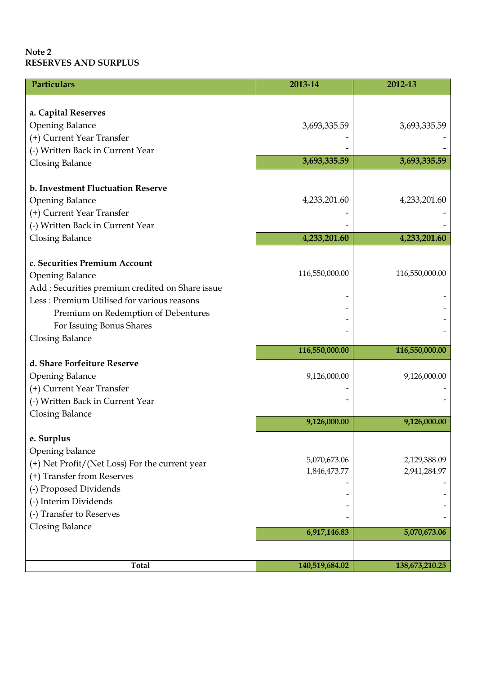#### **Note 2 RESERVES AND SURPLUS**

| <b>Particulars</b>                                                                                                                                                                                                           | 2013-14                      | 2012-13                      |
|------------------------------------------------------------------------------------------------------------------------------------------------------------------------------------------------------------------------------|------------------------------|------------------------------|
| a. Capital Reserves<br><b>Opening Balance</b><br>(+) Current Year Transfer                                                                                                                                                   | 3,693,335.59                 | 3,693,335.59                 |
| (-) Written Back in Current Year                                                                                                                                                                                             |                              |                              |
| <b>Closing Balance</b>                                                                                                                                                                                                       | 3,693,335.59                 | 3,693,335.59                 |
| b. Investment Fluctuation Reserve<br><b>Opening Balance</b><br>(+) Current Year Transfer<br>(-) Written Back in Current Year                                                                                                 | 4,233,201.60                 | 4,233,201.60                 |
| <b>Closing Balance</b>                                                                                                                                                                                                       | 4,233,201.60                 | 4,233,201.60                 |
| c. Securities Premium Account<br><b>Opening Balance</b><br>Add : Securities premium credited on Share issue<br>Less: Premium Utilised for various reasons<br>Premium on Redemption of Debentures<br>For Issuing Bonus Shares | 116,550,000.00               | 116,550,000.00               |
| <b>Closing Balance</b>                                                                                                                                                                                                       | 116,550,000.00               | 116,550,000.00               |
| d. Share Forfeiture Reserve<br><b>Opening Balance</b><br>(+) Current Year Transfer<br>(-) Written Back in Current Year                                                                                                       | 9,126,000.00                 | 9,126,000.00                 |
| <b>Closing Balance</b>                                                                                                                                                                                                       | 9,126,000.00                 | 9,126,000.00                 |
| e. Surplus<br>Opening balance<br>(+) Net Profit/(Net Loss) For the current year<br>(+) Transfer from Reserves<br>(-) Proposed Dividends<br>(-) Interim Dividends<br>(-) Transfer to Reserves<br><b>Closing Balance</b>       | 5,070,673.06<br>1,846,473.77 | 2,129,388.09<br>2,941,284.97 |
|                                                                                                                                                                                                                              | 6,917,146.83                 | 5,070,673.06                 |
| <b>Total</b>                                                                                                                                                                                                                 | 140,519,684.02               | 138,673,210.25               |
|                                                                                                                                                                                                                              |                              |                              |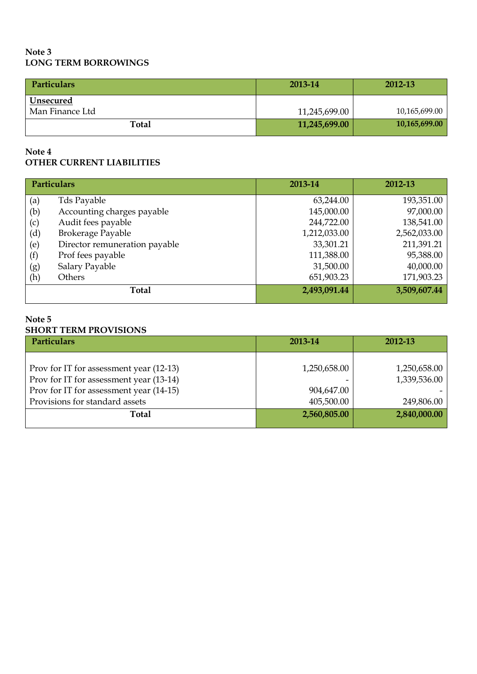#### **Note 3 LONG TERM BORROWINGS**

| Particulars                  | 2013-14       | 2012-13       |
|------------------------------|---------------|---------------|
| Unsecured<br>Man Finance Ltd | 11,245,699.00 | 10,165,699.00 |
|                              |               |               |
| Total                        | 11,245,699.00 | 10,165,699.00 |

#### **Note 4 OTHER CURRENT LIABILITIES**

|     | Particulars                   | 2013-14      | 2012-13      |
|-----|-------------------------------|--------------|--------------|
| (a) | Tds Payable                   | 63,244.00    | 193,351.00   |
| (b) | Accounting charges payable    | 145,000.00   | 97,000.00    |
| (c) | Audit fees payable            | 244,722.00   | 138,541.00   |
| (d) | Brokerage Payable             | 1,212,033.00 | 2,562,033.00 |
| (e) | Director remuneration payable | 33,301.21    | 211,391.21   |
| (f) | Prof fees payable             | 111,388.00   | 95,388.00    |
| (g) | Salary Payable                | 31,500.00    | 40,000.00    |
| (h) | Others                        | 651,903.23   | 171,903.23   |
|     | <b>Total</b>                  | 2,493,091.44 | 3,509,607.44 |

#### **Note 5 SHORT TERM PROVISIONS**

| <b>Particulars</b>                      | 2013-14      | 2012-13      |
|-----------------------------------------|--------------|--------------|
|                                         |              |              |
| Prov for IT for assessment year (12-13) | 1,250,658.00 | 1,250,658.00 |
| Prov for IT for assessment year (13-14) |              | 1,339,536.00 |
| Prov for IT for assessment year (14-15) | 904,647.00   |              |
| Provisions for standard assets          | 405,500.00   | 249,806.00   |
| Total                                   | 2,560,805.00 | 2,840,000.00 |
|                                         |              |              |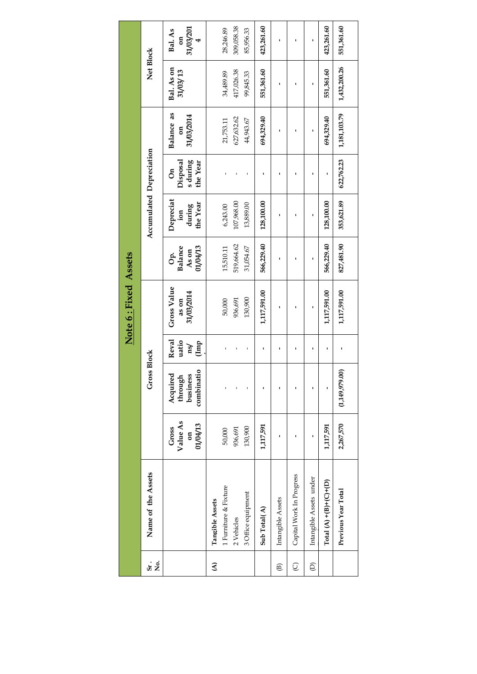|                          |                          |                                                 |                                                   |                               | Note 6: Fixed Assets               |                                    |                                                            |                                              |                                            |                        |                                        |
|--------------------------|--------------------------|-------------------------------------------------|---------------------------------------------------|-------------------------------|------------------------------------|------------------------------------|------------------------------------------------------------|----------------------------------------------|--------------------------------------------|------------------------|----------------------------------------|
| $s_{i}$ .<br>å<br>S      | Name of the Assets       |                                                 | <b>ISS Block</b><br>Gro                           |                               |                                    |                                    | Accumulated Depreciation                                   |                                              |                                            | Net Block              |                                        |
|                          |                          | Value As<br>01/04/13<br>Gross<br>$\mathfrak{a}$ | combinatio<br>ರ<br>business<br>through<br>Acquire | Reval<br>uatio<br>(Imp<br>ns/ | Gross Value<br>31/03/2014<br>as on | Balance<br>01/04/13<br>As on<br>Ġ. | Depreciat<br>the Year<br>during<br>$\lim_{\epsilon \to 0}$ | s during<br>Disposal<br>the Year<br>$\delta$ | Balance as<br>31/03/2014<br>$\mathfrak{g}$ | Bal. As on<br>31/03/13 | 31/03/201<br>Bal. As<br>$\mathfrak{a}$ |
| $\mathbf{\widehat{z}}$   | Tangible Assets          |                                                 |                                                   |                               |                                    |                                    |                                                            |                                              |                                            |                        |                                        |
|                          | 1 Furniture & Fixture    | 50,000                                          |                                                   |                               | 50,000                             | 15,510.11                          | 6,243.00                                                   |                                              | 21,753.11                                  | 34,489.89              | 28,246.89                              |
|                          | 2 Vehicles               | 936,691                                         |                                                   |                               | 936,691                            | 519,664.62                         | 107,968.00                                                 |                                              | 627,632.62                                 | 417,026.38             | 309,058.38                             |
|                          | 3 Office equipment       | 130,900                                         |                                                   | ı                             | 130,900                            | 31,054.67                          | 13,889.00                                                  |                                              | 44,943.67                                  | 99,845.33              | 85,956.33                              |
|                          | Sub Total(A)             | 1,117,591                                       | ı                                                 | ı                             | 1,117,591.00                       | 566,229.40                         | 128,100.00                                                 |                                              | 694,329.40                                 | 551,361.60             | 423,261.60                             |
| $\widehat{\mathfrak{B}}$ | Intangible Assets        | ı                                               | ı                                                 | ı                             | ı                                  | ı                                  | ı                                                          | ı                                            | ı                                          | ı                      | ı                                      |
| $\overline{O}$           | Capital Work In Progress |                                                 |                                                   | ٠                             |                                    |                                    | ı                                                          |                                              |                                            |                        |                                        |
| $\widehat{\Theta}$       | Intangible Assets under  | ı                                               |                                                   | ٠                             |                                    |                                    |                                                            |                                              |                                            |                        |                                        |
|                          | Total $(A)$ +(B)+(C)+(D) | 1,117,591                                       | ı                                                 | ı                             | 1,117,591.00                       | 566,229.40                         | 128,100.00                                                 |                                              | 694,329.40                                 | 551,361.60             | 423,261.60                             |
|                          | Previous Year Total      | 2,267,570                                       | (1,149,979.00)                                    |                               | 1,117,591.00                       | 827,481.90                         | 353,621.89                                                 | 622,762.23                                   | 1,181,103.79                               | 1,432,200.26           | 551,361.60                             |
|                          |                          |                                                 |                                                   |                               |                                    |                                    |                                                            |                                              |                                            |                        |                                        |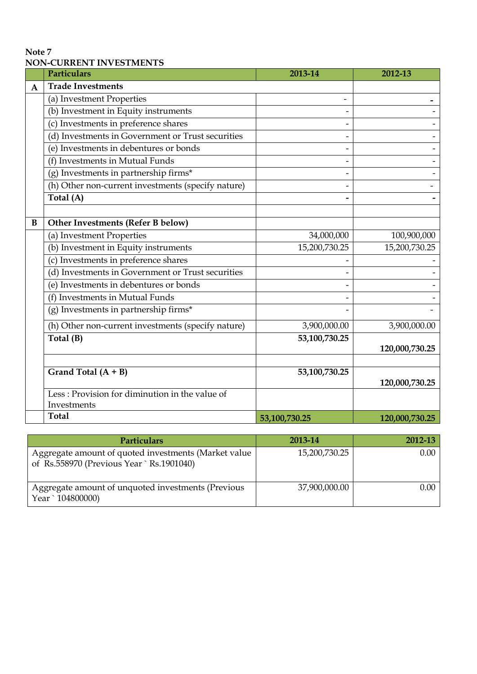#### **Note 7 NON-CURRENT INVESTMENTS**

|              | <b>Particulars</b>                                 | 2012-13       |                |
|--------------|----------------------------------------------------|---------------|----------------|
| $\mathbf{A}$ | <b>Trade Investments</b>                           |               |                |
|              | (a) Investment Properties                          |               |                |
|              | (b) Investment in Equity instruments               |               |                |
|              | (c) Investments in preference shares               |               |                |
|              | (d) Investments in Government or Trust securities  |               |                |
|              | (e) Investments in debentures or bonds             |               |                |
|              | (f) Investments in Mutual Funds                    |               |                |
|              | (g) Investments in partnership firms*              |               |                |
|              | (h) Other non-current investments (specify nature) |               |                |
|              | Total (A)                                          |               |                |
|              |                                                    |               |                |
| B            | Other Investments (Refer B below)                  |               |                |
|              | (a) Investment Properties                          | 34,000,000    | 100,900,000    |
|              | (b) Investment in Equity instruments               | 15,200,730.25 | 15,200,730.25  |
|              | (c) Investments in preference shares               |               |                |
|              | (d) Investments in Government or Trust securities  |               |                |
|              | (e) Investments in debentures or bonds             |               |                |
|              | (f) Investments in Mutual Funds                    |               |                |
|              | (g) Investments in partnership firms*              |               |                |
|              | (h) Other non-current investments (specify nature) | 3,900,000.00  | 3,900,000.00   |
|              | Total (B)                                          | 53,100,730.25 |                |
|              |                                                    |               | 120,000,730.25 |
|              |                                                    |               |                |
|              | Grand Total $(A + B)$                              | 53,100,730.25 | 120,000,730.25 |
|              | Less: Provision for diminution in the value of     |               |                |
|              | Investments                                        |               |                |
|              | <b>Total</b>                                       | 53,100,730.25 | 120,000,730.25 |

| <b>Particulars</b>                                                                                | 2013-14       | 2012-13        |
|---------------------------------------------------------------------------------------------------|---------------|----------------|
| Aggregate amount of quoted investments (Market value<br>of Rs.558970 (Previous Year ` Rs.1901040) | 15,200,730.25 | $0.00^{\circ}$ |
| Aggregate amount of unquoted investments (Previous<br>Year ` 104800000)                           | 37,900,000.00 | $0.00\,$       |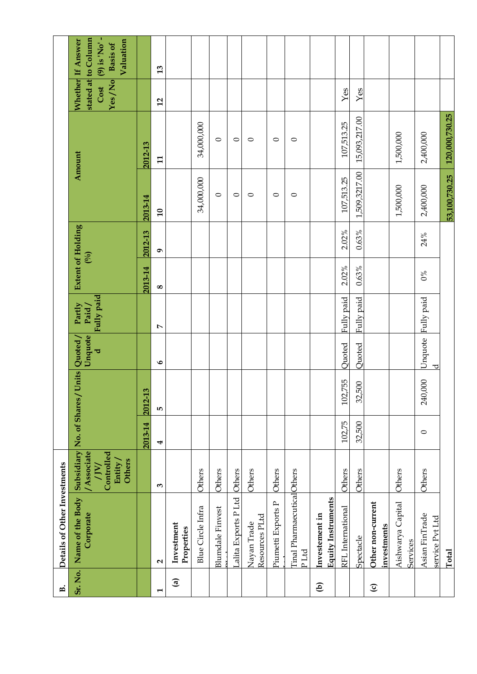| $\dot{\mathbf{E}}$    | Details of Other Investments                |                                                                        |         |                                           |              |                               |                                   |           |                 |                |                |                                                                                   |
|-----------------------|---------------------------------------------|------------------------------------------------------------------------|---------|-------------------------------------------|--------------|-------------------------------|-----------------------------------|-----------|-----------------|----------------|----------------|-----------------------------------------------------------------------------------|
| Sr. No.               | Name of the Body<br>Corporate               | / Associate<br>Controlled<br><b>Others</b><br>Entity,<br>$\frac{1}{2}$ |         | Subsidiary No. of Shares / Units Quoted / | Unquote<br>ಕ | Fully paid<br>Partly<br>Paid/ | <b>Extent of Holding</b><br>(0,0) |           |                 | Amount         | Yes/No<br>Cost | stated at to Column<br>(9) is 'No'-<br>Whether If Answer<br>Valuation<br>Basis of |
|                       |                                             |                                                                        | 2013-14 | ്ര<br>2012-1                              |              |                               | 2013-14                           | 2012-13   | 2013-14         | 2012-13        |                |                                                                                   |
| $\mathbf{\mathbf{t}}$ | $\mathbf{\Omega}$                           | $\mathbf{c}$                                                           | 4       | LO <sub>1</sub>                           | $\bullet$    | $\triangleright$              | $\infty$                          | $\bullet$ | $\overline{10}$ | $\mathbf{H}$   | 12             | 13                                                                                |
| $\mathbf{G}$          | Investment<br>Properties                    |                                                                        |         |                                           |              |                               |                                   |           |                 |                |                |                                                                                   |
|                       | <b>Blue Circle Infra</b>                    | Others                                                                 |         |                                           |              |                               |                                   |           | 34,000,000      | 34,000,000     |                |                                                                                   |
|                       | <b>Blumdale Finvest</b>                     | Others                                                                 |         |                                           |              |                               |                                   |           | $\circ$         | $\circ$        |                |                                                                                   |
|                       | Lalita Exports P Ltd                        | Others                                                                 |         |                                           |              |                               |                                   |           | $\circ$         | $\circ$        |                |                                                                                   |
|                       | Resources PLtd<br>Nayan Trade               | Others                                                                 |         |                                           |              |                               |                                   |           | $\circ$         | $\circ$        |                |                                                                                   |
|                       | Piumetti Exports P                          | Others                                                                 |         |                                           |              |                               |                                   |           | $\circ$         | $\circ$        |                |                                                                                   |
|                       | Tinal PharmaecuticalOthers<br>PLtd          |                                                                        |         |                                           |              |                               |                                   |           | $\circ$         | $\circ$        |                |                                                                                   |
| $\mathbf{g}$          | <b>Equity Instruments</b><br>Investement in |                                                                        |         |                                           |              |                               |                                   |           |                 |                |                |                                                                                   |
|                       | RFL International                           | Others                                                                 | 102,75  | 102,755                                   | Quoted       | Fully paid                    | $2.02\%$                          | 2.02%     | 107,513.25      | 107,513.25     | Yes            |                                                                                   |
|                       | Spectacle                                   | Others                                                                 | 32,500  | 500<br>32,                                | Quoted       | Fully paid                    | 0.63%                             | 0.63%     | 1,509,3217.00   | 15,093,217.00  | Yes            |                                                                                   |
| $\mathbf{C}$          | Other non-current<br>investments            |                                                                        |         |                                           |              |                               |                                   |           |                 |                |                |                                                                                   |
|                       | Aishwarya Capital<br>Services               | Others                                                                 |         |                                           |              |                               |                                   |           | 1,500,000       | 1,500,000      |                |                                                                                   |
|                       | Asian FinTrade<br>service Pvt Ltd           | Others                                                                 | $\circ$ | 240,000                                   | Unquote<br>ರ | Fully paid                    | $0\%$                             | 24%       | 2,400,000       | 2,400,000      |                |                                                                                   |
|                       | Total                                       |                                                                        |         |                                           |              |                               |                                   |           | 53,100,730.25   | 120,000,730.25 |                |                                                                                   |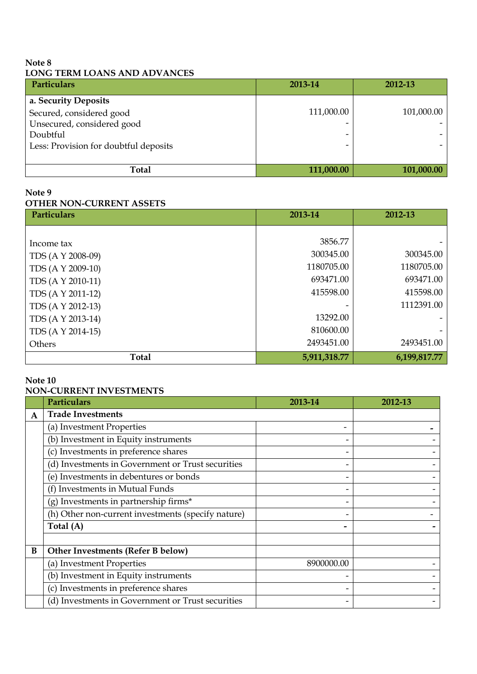#### **Note 8 LONG TERM LOANS AND ADVANCES**

| <b>Particulars</b>                    | 2013-14    | 2012-13    |
|---------------------------------------|------------|------------|
| a. Security Deposits                  |            |            |
| Secured, considered good              | 111,000.00 | 101,000.00 |
| Unsecured, considered good            |            |            |
| Doubtful                              |            |            |
| Less: Provision for doubtful deposits | -          |            |
|                                       |            |            |
| <b>Total</b>                          | 111,000.00 | 101,000.00 |

#### **Note 9**

#### **OTHER NON-CURRENT ASSETS**

| <b>Particulars</b> | 2013-14      | 2012-13      |
|--------------------|--------------|--------------|
|                    |              |              |
| Income tax         | 3856.77      |              |
| TDS (A Y 2008-09)  | 300345.00    | 300345.00    |
| TDS (A Y 2009-10)  | 1180705.00   | 1180705.00   |
| TDS (A Y 2010-11)  | 693471.00    | 693471.00    |
| TDS (A Y 2011-12)  | 415598.00    | 415598.00    |
| TDS (A Y 2012-13)  |              | 1112391.00   |
| TDS (A Y 2013-14)  | 13292.00     |              |
| TDS (A Y 2014-15)  | 810600.00    |              |
| Others             | 2493451.00   | 2493451.00   |
| <b>Total</b>       | 5,911,318.77 | 6,199,817.77 |

#### **Note 10**

# **NON-CURRENT INVESTMENTS**

|   | <b>Particulars</b>                                 | 2013-14    | 2012-13 |
|---|----------------------------------------------------|------------|---------|
| A | <b>Trade Investments</b>                           |            |         |
|   | (a) Investment Properties                          |            |         |
|   | (b) Investment in Equity instruments               |            |         |
|   | (c) Investments in preference shares               |            |         |
|   | (d) Investments in Government or Trust securities  |            |         |
|   | (e) Investments in debentures or bonds             |            |         |
|   | (f) Investments in Mutual Funds                    |            |         |
|   | $(g)$ Investments in partnership firms*            |            |         |
|   | (h) Other non-current investments (specify nature) |            |         |
|   | Total (A)                                          |            |         |
|   |                                                    |            |         |
| B | Other Investments (Refer B below)                  |            |         |
|   | (a) Investment Properties                          | 8900000.00 |         |
|   | (b) Investment in Equity instruments               |            |         |
|   | (c) Investments in preference shares               |            |         |
|   | (d) Investments in Government or Trust securities  |            |         |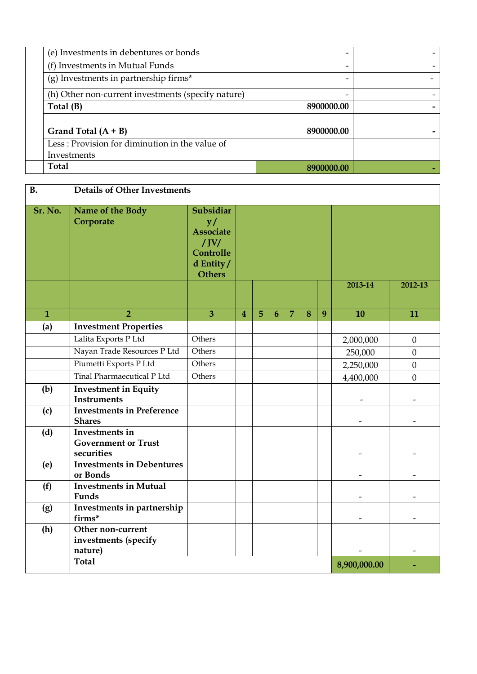| (e) Investments in debentures or bonds             |            |  |
|----------------------------------------------------|------------|--|
| (f) Investments in Mutual Funds                    |            |  |
| $(g)$ Investments in partnership firms*            |            |  |
| (h) Other non-current investments (specify nature) |            |  |
| Total (B)                                          | 8900000.00 |  |
|                                                    |            |  |
| Grand Total $(A + B)$                              | 8900000.00 |  |
| Less: Provision for diminution in the value of     |            |  |
| Investments                                        |            |  |
| Total                                              | 8900000.00 |  |

| <b>B.</b>    | Details of Other Investments                               |                                                                                              |                         |                |   |                |   |   |              |                  |
|--------------|------------------------------------------------------------|----------------------------------------------------------------------------------------------|-------------------------|----------------|---|----------------|---|---|--------------|------------------|
| Sr. No.      | Name of the Body<br>Corporate                              | Subsidiar<br>y/<br><b>Associate</b><br>$/$ JV $/$<br>Controlle<br>d Entity/<br><b>Others</b> |                         |                |   |                |   |   |              |                  |
|              |                                                            |                                                                                              |                         |                |   |                |   |   | 2013-14      | 2012-13          |
| $\mathbf{1}$ | $\overline{2}$                                             | $\overline{3}$                                                                               | $\overline{\mathbf{4}}$ | $\overline{5}$ | 6 | $\overline{7}$ | 8 | 9 | 10           | 11               |
| (a)          | <b>Investment Properties</b><br>Lalita Exports P Ltd       | Others                                                                                       |                         |                |   |                |   |   |              |                  |
|              | Nayan Trade Resources P Ltd                                | Others                                                                                       |                         |                |   |                |   |   | 2,000,000    | $\boldsymbol{0}$ |
|              | Piumetti Exports P Ltd                                     | Others                                                                                       |                         |                |   |                |   |   | 250,000      | $\boldsymbol{0}$ |
|              | Tinal Pharmaecutical P Ltd                                 | Others                                                                                       |                         |                |   |                |   |   | 2,250,000    | $\mathbf{0}$     |
| (b)          | <b>Investment in Equity</b>                                |                                                                                              |                         |                |   |                |   |   | 4,400,000    | $\boldsymbol{0}$ |
|              | <b>Instruments</b>                                         |                                                                                              |                         |                |   |                |   |   |              |                  |
| (c)          | <b>Investments in Preference</b><br><b>Shares</b>          |                                                                                              |                         |                |   |                |   |   |              |                  |
| (d)          | Investments in<br><b>Government or Trust</b><br>securities |                                                                                              |                         |                |   |                |   |   |              |                  |
| (e)          | <b>Investments in Debentures</b><br>or Bonds               |                                                                                              |                         |                |   |                |   |   |              |                  |
| (f)          | <b>Investments in Mutual</b><br>Funds                      |                                                                                              |                         |                |   |                |   |   |              |                  |
| (g)          | Investments in partnership<br>firms*                       |                                                                                              |                         |                |   |                |   |   |              |                  |
| (h)          | Other non-current<br>investments (specify<br>nature)       |                                                                                              |                         |                |   |                |   |   |              |                  |
|              | <b>Total</b>                                               |                                                                                              |                         |                |   |                |   |   | 8,900,000.00 |                  |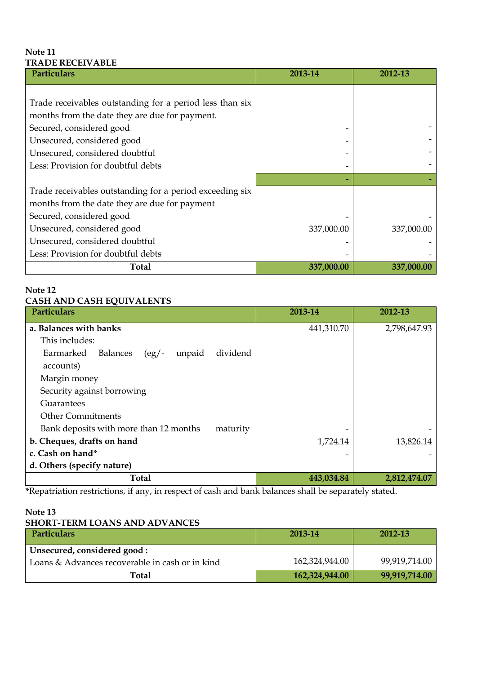#### **Note 11 TRADE RECEIVABLE**

| Particulars                                              | 2013-14    | 2012-13    |
|----------------------------------------------------------|------------|------------|
|                                                          |            |            |
| Trade receivables outstanding for a period less than six |            |            |
| months from the date they are due for payment.           |            |            |
| Secured, considered good                                 |            |            |
| Unsecured, considered good                               |            |            |
| Unsecured, considered doubtful                           |            |            |
| Less: Provision for doubtful debts                       |            |            |
|                                                          |            |            |
| Trade receivables outstanding for a period exceeding six |            |            |
| months from the date they are due for payment            |            |            |
| Secured, considered good                                 |            |            |
| Unsecured, considered good                               | 337,000.00 | 337,000.00 |
| Unsecured, considered doubtful                           |            |            |
| Less: Provision for doubtful debts                       |            |            |
| <b>Total</b>                                             | 337,000.00 | 337,000.00 |

#### **Note 12**

#### **CASH AND CASH EQUIVALENTS**

| <b>Particulars</b>                                           | 2013-14    | 2012-13      |
|--------------------------------------------------------------|------------|--------------|
| a. Balances with banks                                       | 441,310.70 | 2,798,647.93 |
| This includes:                                               |            |              |
| dividend<br>unpaid<br>Earmarked<br>Balances<br>$\frac{1}{2}$ |            |              |
| accounts)                                                    |            |              |
| Margin money                                                 |            |              |
| Security against borrowing                                   |            |              |
| Guarantees                                                   |            |              |
| <b>Other Commitments</b>                                     |            |              |
| Bank deposits with more than 12 months<br>maturity           |            |              |
| b. Cheques, drafts on hand                                   | 1,724.14   | 13,826.14    |
| c. Cash on hand*                                             |            |              |
| d. Others (specify nature)                                   |            |              |
| <b>Total</b>                                                 | 443,034.84 | 2,812,474.07 |

**\***Repatriation restrictions, if any, in respect of cash and bank balances shall be separately stated.

#### **Note 13 SHORT-TERM LOANS AND ADVANCES**

| <b>Particulars</b>                              | 2013-14        | 2012-13       |
|-------------------------------------------------|----------------|---------------|
| Unsecured, considered good:                     |                |               |
| Loans & Advances recoverable in cash or in kind | 162,324,944.00 | 99,919,714.00 |
| Total                                           | 162,324,944.00 | 99,919,714.00 |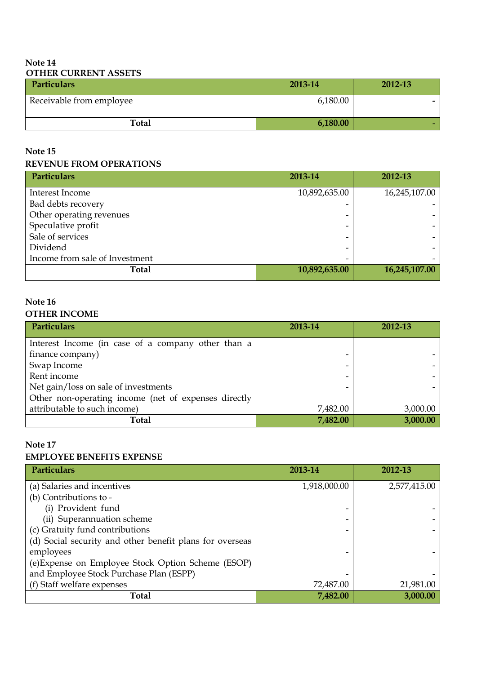### **Note 14 OTHER CURRENT ASSETS**

| <b>Particulars</b>       | 2013-14  | 2012-13 |
|--------------------------|----------|---------|
| Receivable from employee | 6,180.00 |         |
| <b>Total</b>             | 6,180.00 |         |

# **Note 15**

#### **REVENUE FROM OPERATIONS**

| Particulars                    | 2013-14       | 2012-13       |
|--------------------------------|---------------|---------------|
| Interest Income                | 10,892,635.00 | 16,245,107.00 |
| Bad debts recovery             |               |               |
| Other operating revenues       |               |               |
| Speculative profit             |               |               |
| Sale of services               |               |               |
| Dividend                       |               |               |
| Income from sale of Investment |               |               |
| <b>Total</b>                   | 10,892,635.00 | 16,245,107.00 |

# **Note 16**

# **OTHER INCOME**

| Particulars                                          | 2013-14  | 2012-13  |
|------------------------------------------------------|----------|----------|
| Interest Income (in case of a company other than a   |          |          |
| finance company)                                     |          |          |
| Swap Income                                          |          |          |
| Rent income                                          |          |          |
| Net gain/loss on sale of investments                 |          |          |
| Other non-operating income (net of expenses directly |          |          |
| attributable to such income)                         | 7,482.00 | 3,000.00 |
| Total                                                | 7,482.00 | 3,000.00 |

#### **Note 17**

#### **EMPLOYEE BENEFITS EXPENSE**

| Particulars                                              | 2013-14      | 2012-13      |
|----------------------------------------------------------|--------------|--------------|
| (a) Salaries and incentives                              | 1,918,000.00 | 2,577,415.00 |
| (b) Contributions to -                                   |              |              |
| (i) Provident fund                                       |              |              |
| (ii) Superannuation scheme                               |              |              |
| (c) Gratuity fund contributions                          |              |              |
| (d) Social security and other benefit plans for overseas |              |              |
| employees                                                |              |              |
| (e) Expense on Employee Stock Option Scheme (ESOP)       |              |              |
| and Employee Stock Purchase Plan (ESPP)                  |              |              |
| (f) Staff welfare expenses                               | 72,487.00    | 21,981.00    |
| <b>Total</b>                                             | 7,482.00     | 3,000.00     |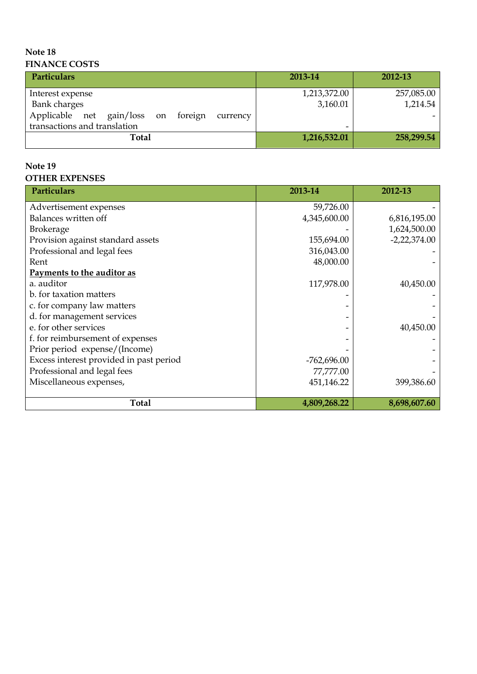#### **Note 18 FINANCE COSTS**

| <b>Particulars</b>                              | 2013-14      | 2012-13    |
|-------------------------------------------------|--------------|------------|
| Interest expense                                | 1,213,372.00 | 257,085.00 |
| <b>Bank</b> charges                             | 3,160.01     | 1,214.54   |
| Applicable net gain/loss on foreign<br>currency |              |            |
| transactions and translation                    |              |            |
| Total                                           | 1,216,532.01 | 258,299.54 |

# **Note 19 OTHER EXPENSES**

| <b>Particulars</b>                      | 2013-14       | 2012-13        |
|-----------------------------------------|---------------|----------------|
| Advertisement expenses                  | 59,726.00     |                |
| Balances written off                    | 4,345,600.00  | 6,816,195.00   |
| <b>Brokerage</b>                        |               | 1,624,500.00   |
| Provision against standard assets       | 155,694.00    | $-2,22,374.00$ |
| Professional and legal fees             | 316,043.00    |                |
| Rent                                    | 48,000.00     |                |
| Payments to the auditor as              |               |                |
| a. auditor                              | 117,978.00    | 40,450.00      |
| b. for taxation matters                 |               |                |
| c. for company law matters              |               |                |
| d. for management services              |               |                |
| e. for other services                   |               | 40,450.00      |
| f. for reimbursement of expenses        |               |                |
| Prior period expense/(Income)           |               |                |
| Excess interest provided in past period | $-762,696.00$ |                |
| Professional and legal fees             | 77,777.00     |                |
| Miscellaneous expenses,                 | 451,146.22    | 399,386.60     |
| <b>Total</b>                            | 4,809,268.22  | 8,698,607.60   |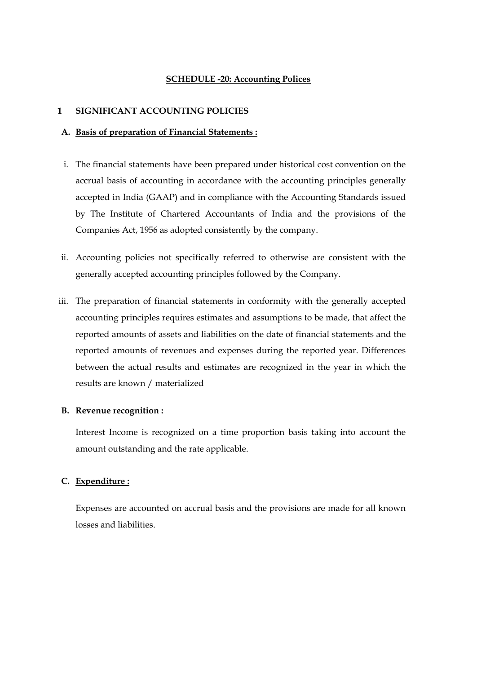#### **SCHEDULE -20: Accounting Polices**

#### **1 SIGNIFICANT ACCOUNTING POLICIES**

#### **A. Basis of preparation of Financial Statements :**

- i. The financial statements have been prepared under historical cost convention on the accrual basis of accounting in accordance with the accounting principles generally accepted in India (GAAP) and in compliance with the Accounting Standards issued by The Institute of Chartered Accountants of India and the provisions of the Companies Act, 1956 as adopted consistently by the company.
- ii. Accounting policies not specifically referred to otherwise are consistent with the generally accepted accounting principles followed by the Company.
- iii. The preparation of financial statements in conformity with the generally accepted accounting principles requires estimates and assumptions to be made, that affect the reported amounts of assets and liabilities on the date of financial statements and the reported amounts of revenues and expenses during the reported year. Differences between the actual results and estimates are recognized in the year in which the results are known / materialized

#### **B. Revenue recognition :**

Interest Income is recognized on a time proportion basis taking into account the amount outstanding and the rate applicable.

#### **C. Expenditure :**

Expenses are accounted on accrual basis and the provisions are made for all known losses and liabilities.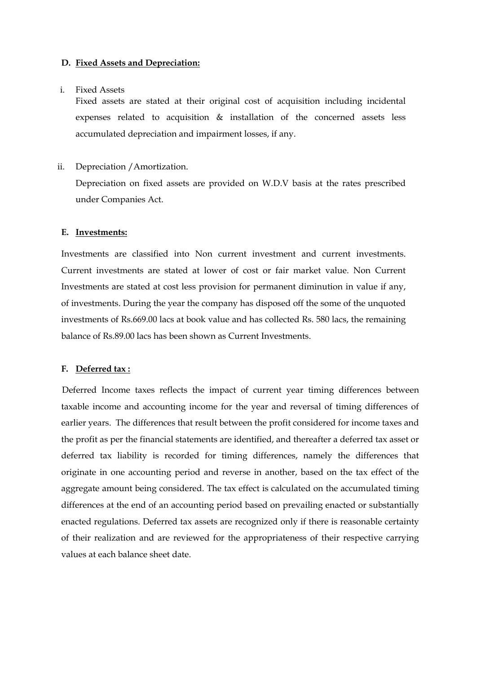#### **D. Fixed Assets and Depreciation:**

#### i. Fixed Assets

Fixed assets are stated at their original cost of acquisition including incidental expenses related to acquisition & installation of the concerned assets less accumulated depreciation and impairment losses, if any.

ii. Depreciation /Amortization.

Depreciation on fixed assets are provided on W.D.V basis at the rates prescribed under Companies Act.

#### **E. Investments:**

Investments are classified into Non current investment and current investments. Current investments are stated at lower of cost or fair market value. Non Current Investments are stated at cost less provision for permanent diminution in value if any, of investments. During the year the company has disposed off the some of the unquoted investments of Rs.669.00 lacs at book value and has collected Rs. 580 lacs, the remaining balance of Rs.89.00 lacs has been shown as Current Investments.

#### **F. Deferred tax :**

 Deferred Income taxes reflects the impact of current year timing differences between taxable income and accounting income for the year and reversal of timing differences of earlier years. The differences that result between the profit considered for income taxes and the profit as per the financial statements are identified, and thereafter a deferred tax asset or deferred tax liability is recorded for timing differences, namely the differences that originate in one accounting period and reverse in another, based on the tax effect of the aggregate amount being considered. The tax effect is calculated on the accumulated timing differences at the end of an accounting period based on prevailing enacted or substantially enacted regulations. Deferred tax assets are recognized only if there is reasonable certainty of their realization and are reviewed for the appropriateness of their respective carrying values at each balance sheet date.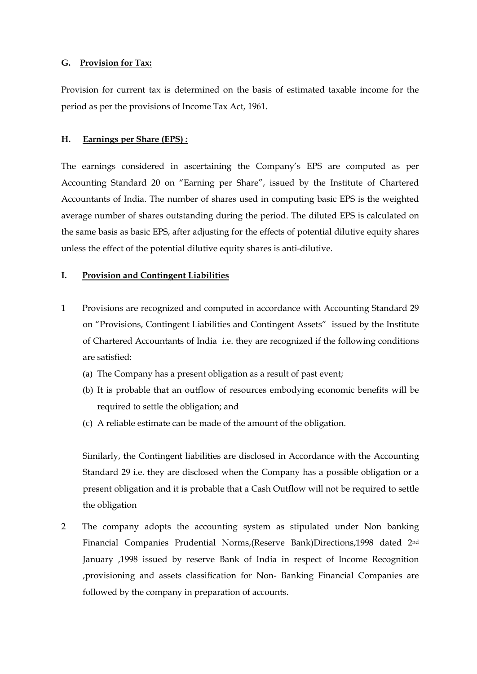#### **G. Provision for Tax:**

Provision for current tax is determined on the basis of estimated taxable income for the period as per the provisions of Income Tax Act, 1961.

#### **H. Earnings per Share (EPS)** *:*

The earnings considered in ascertaining the Company's EPS are computed as per Accounting Standard 20 on "Earning per Share", issued by the Institute of Chartered Accountants of India. The number of shares used in computing basic EPS is the weighted average number of shares outstanding during the period. The diluted EPS is calculated on the same basis as basic EPS, after adjusting for the effects of potential dilutive equity shares unless the effect of the potential dilutive equity shares is anti-dilutive.

#### **I. Provision and Contingent Liabilities**

- 1 Provisions are recognized and computed in accordance with Accounting Standard 29 on "Provisions, Contingent Liabilities and Contingent Assets" issued by the Institute of Chartered Accountants of India i.e. they are recognized if the following conditions are satisfied:
	- (a) The Company has a present obligation as a result of past event;
	- (b) It is probable that an outflow of resources embodying economic benefits will be required to settle the obligation; and
	- (c) A reliable estimate can be made of the amount of the obligation.

Similarly, the Contingent liabilities are disclosed in Accordance with the Accounting Standard 29 i.e. they are disclosed when the Company has a possible obligation or a present obligation and it is probable that a Cash Outflow will not be required to settle the obligation

2 The company adopts the accounting system as stipulated under Non banking Financial Companies Prudential Norms,(Reserve Bank)Directions,1998 dated 2nd January ,1998 issued by reserve Bank of India in respect of Income Recognition ,provisioning and assets classification for Non- Banking Financial Companies are followed by the company in preparation of accounts.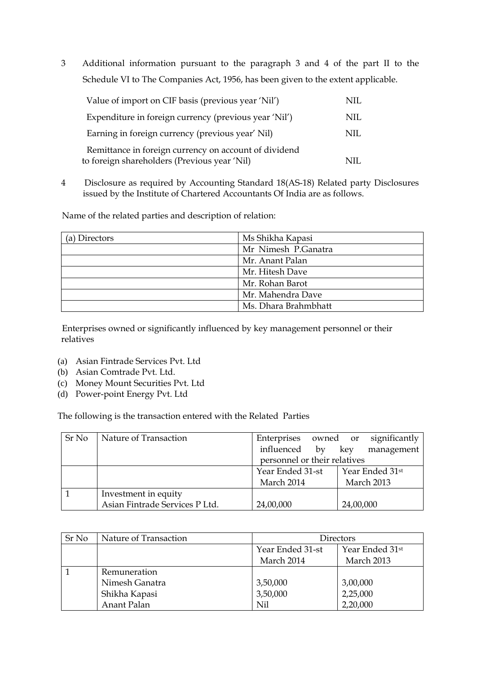3 Additional information pursuant to the paragraph 3 and 4 of the part II to the Schedule VI to The Companies Act, 1956, has been given to the extent applicable.

| Value of import on CIF basis (previous year 'Nil')                                                    | NIL. |
|-------------------------------------------------------------------------------------------------------|------|
| Expenditure in foreign currency (previous year 'Nil')                                                 | NIL  |
| Earning in foreign currency (previous year' Nil)                                                      | NIL  |
| Remittance in foreign currency on account of dividend<br>to foreign shareholders (Previous year 'Nil) |      |

4 Disclosure as required by Accounting Standard 18(AS-18) Related party Disclosures issued by the Institute of Chartered Accountants Of India are as follows.

Name of the related parties and description of relation:

| (a) Directors | Ms Shikha Kapasi     |
|---------------|----------------------|
|               | Mr Nimesh P.Ganatra  |
|               | Mr. Anant Palan      |
|               | Mr. Hitesh Dave      |
|               | Mr. Rohan Barot      |
|               | Mr. Mahendra Dave    |
|               | Ms. Dhara Brahmbhatt |

 Enterprises owned or significantly influenced by key management personnel or their relatives

- (a) Asian Fintrade Services Pvt. Ltd
- (b) Asian Comtrade Pvt. Ltd.
- (c) Money Mount Securities Pvt. Ltd
- (d) Power-point Energy Pvt. Ltd

The following is the transaction entered with the Related Parties

| Sr No | Nature of Transaction          | Enterprises                  | significantly<br>owned or |
|-------|--------------------------------|------------------------------|---------------------------|
|       |                                | influenced<br>$\mathbf{b}$   | management<br>key         |
|       |                                | personnel or their relatives |                           |
|       |                                | Year Ended 31-st             | Year Ended 31st           |
|       |                                | March 2014<br>March 2013     |                           |
|       | Investment in equity           |                              |                           |
|       | Asian Fintrade Services P Ltd. | 24,00,000                    | 24,00,000                 |

| Sr No | Nature of Transaction | Directors                                                                   |          |  |
|-------|-----------------------|-----------------------------------------------------------------------------|----------|--|
|       |                       | Year Ended 31 <sup>st</sup><br>Year Ended 31-st<br>March 2014<br>March 2013 |          |  |
|       | Remuneration          |                                                                             |          |  |
|       | Nimesh Ganatra        | 3,50,000                                                                    | 3,00,000 |  |
|       | Shikha Kapasi         | 3,50,000                                                                    | 2,25,000 |  |
|       | Anant Palan           | Nil                                                                         | 2,20,000 |  |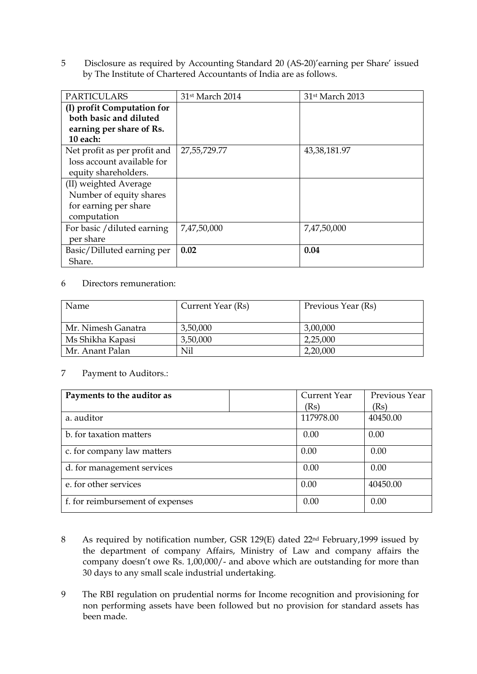5 Disclosure as required by Accounting Standard 20 (AS-20)'earning per Share' issued by The Institute of Chartered Accountants of India are as follows.

| <b>PARTICULARS</b>           | 31st March 2014 | 31st March 2013 |
|------------------------------|-----------------|-----------------|
| (I) profit Computation for   |                 |                 |
| both basic and diluted       |                 |                 |
| earning per share of Rs.     |                 |                 |
| 10 each:                     |                 |                 |
| Net profit as per profit and | 27,55,729.77    | 43,38,181.97    |
| loss account available for   |                 |                 |
| equity shareholders.         |                 |                 |
| (II) weighted Average        |                 |                 |
| Number of equity shares      |                 |                 |
| for earning per share        |                 |                 |
| computation                  |                 |                 |
| For basic / diluted earning  | 7,47,50,000     | 7,47,50,000     |
| per share                    |                 |                 |
| Basic/Dilluted earning per   | 0.02            | 0.04            |
| Share.                       |                 |                 |

#### 6 Directors remuneration:

| Name               | Current Year (Rs) | Previous Year (Rs) |
|--------------------|-------------------|--------------------|
|                    |                   |                    |
| Mr. Nimesh Ganatra | 3,50,000          | 3,00,000           |
| Ms Shikha Kapasi   | 3,50,000          | 2,25,000           |
| Mr. Anant Palan    | Nil               | 2,20,000           |

#### 7 Payment to Auditors.:

| Payments to the auditor as       | Current Year | Previous Year |
|----------------------------------|--------------|---------------|
|                                  | (Rs)         | (Rs)          |
| a. auditor                       | 117978.00    | 40450.00      |
| b. for taxation matters          | 0.00         | 0.00          |
| c. for company law matters       | 0.00         | 0.00          |
| d. for management services       | 0.00         | 0.00          |
| e. for other services            | 0.00         | 40450.00      |
| f. for reimbursement of expenses | 0.00         | 0.00          |

- 8 As required by notification number, GSR 129(E) dated 22<sup>nd</sup> February, 1999 issued by the department of company Affairs, Ministry of Law and company affairs the company doesn't owe Rs. 1,00,000/- and above which are outstanding for more than 30 days to any small scale industrial undertaking.
- 9 The RBI regulation on prudential norms for Income recognition and provisioning for non performing assets have been followed but no provision for standard assets has been made.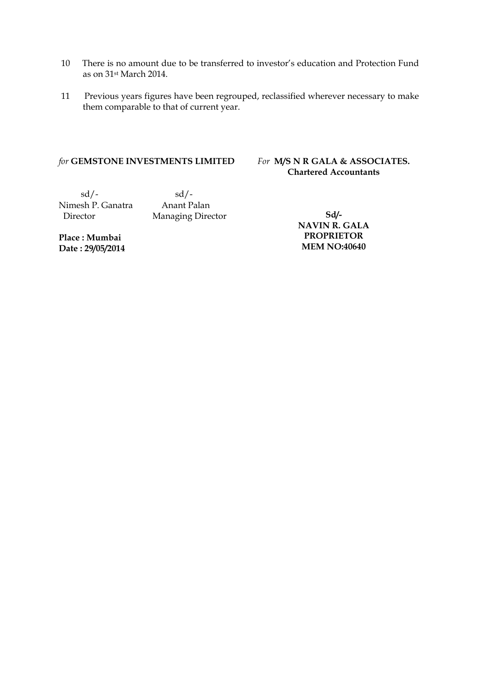- 10 There is no amount due to be transferred to investor's education and Protection Fund as on 31st March 2014.
- 11 Previous years figures have been regrouped, reclassified wherever necessary to make them comparable to that of current year.

#### *for* **GEMSTONE INVESTMENTS LIMITED**

#### *For* **M/S N R GALA & ASSOCIATES. Chartered Accountants**

 $sd/-$ Nimesh P. Ganatra Anant Palan

Director Managing Director

**Place : Mumbai Date : 29/05/2014**

**Sd/- NAVIN R. GALA PROPRIETOR MEM NO:40640**